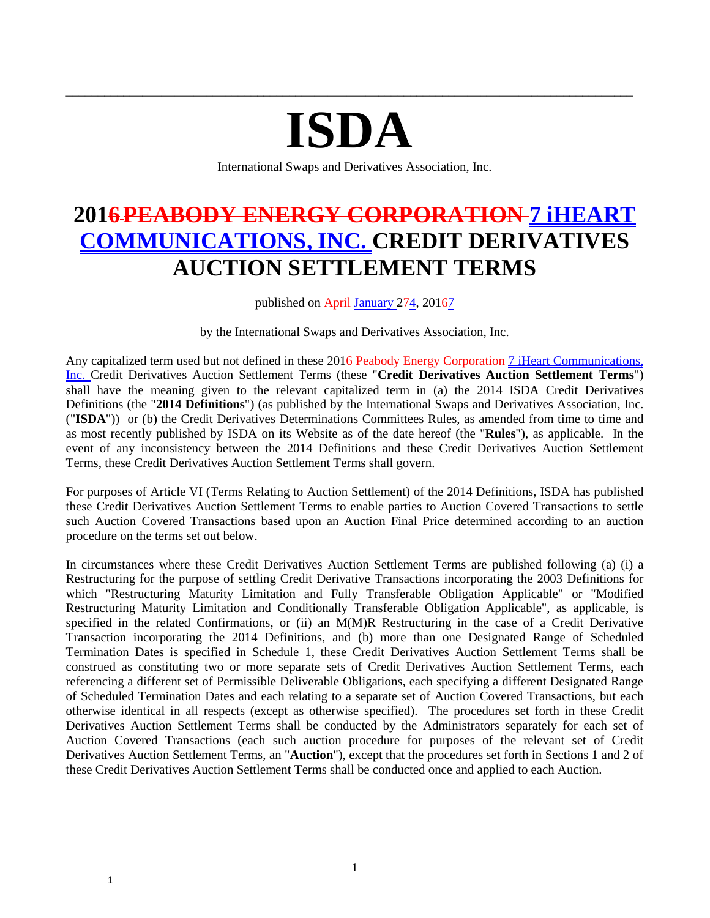# **ISDA**

\_\_\_\_\_\_\_\_\_\_\_\_\_\_\_\_\_\_\_\_\_\_\_\_\_\_\_\_\_\_\_\_\_\_\_\_\_\_\_\_\_\_\_\_\_\_\_\_\_\_\_\_\_\_\_\_\_\_\_\_\_\_\_\_\_\_\_\_\_\_\_\_\_\_\_\_\_\_\_\_\_\_\_\_\_\_\_\_\_

International Swaps and Derivatives Association, Inc.

# **2016PEABODY ENERGY CORPORATION 7 iHEART COMMUNICATIONS, INC. CREDIT DERIVATIVES AUCTION SETTLEMENT TERMS**

published on  $\overrightarrow{April-January}$  274, 20167

by the International Swaps and Derivatives Association, Inc.

Any capitalized term used but not defined in these 201<del>6 Peabody Energy Corporation-7 iHeart Communications</del>, Inc. Credit Derivatives Auction Settlement Terms (these "**Credit Derivatives Auction Settlement Terms**") shall have the meaning given to the relevant capitalized term in (a) the 2014 ISDA Credit Derivatives Definitions (the "**2014 Definitions**") (as published by the International Swaps and Derivatives Association, Inc. ("**ISDA**")) or (b) the Credit Derivatives Determinations Committees Rules, as amended from time to time and as most recently published by ISDA on its Website as of the date hereof (the "**Rules**"), as applicable. In the event of any inconsistency between the 2014 Definitions and these Credit Derivatives Auction Settlement Terms, these Credit Derivatives Auction Settlement Terms shall govern.

For purposes of Article VI (Terms Relating to Auction Settlement) of the 2014 Definitions, ISDA has published these Credit Derivatives Auction Settlement Terms to enable parties to Auction Covered Transactions to settle such Auction Covered Transactions based upon an Auction Final Price determined according to an auction procedure on the terms set out below.

In circumstances where these Credit Derivatives Auction Settlement Terms are published following (a) (i) a Restructuring for the purpose of settling Credit Derivative Transactions incorporating the 2003 Definitions for which "Restructuring Maturity Limitation and Fully Transferable Obligation Applicable" or "Modified Restructuring Maturity Limitation and Conditionally Transferable Obligation Applicable", as applicable, is specified in the related Confirmations, or (ii) an M(M)R Restructuring in the case of a Credit Derivative Transaction incorporating the 2014 Definitions, and (b) more than one Designated Range of Scheduled Termination Dates is specified in Schedule 1, these Credit Derivatives Auction Settlement Terms shall be construed as constituting two or more separate sets of Credit Derivatives Auction Settlement Terms, each referencing a different set of Permissible Deliverable Obligations, each specifying a different Designated Range of Scheduled Termination Dates and each relating to a separate set of Auction Covered Transactions, but each otherwise identical in all respects (except as otherwise specified). The procedures set forth in these Credit Derivatives Auction Settlement Terms shall be conducted by the Administrators separately for each set of Auction Covered Transactions (each such auction procedure for purposes of the relevant set of Credit Derivatives Auction Settlement Terms, an "**Auction**"), except that the procedures set forth in Sections 1 and 2 of these Credit Derivatives Auction Settlement Terms shall be conducted once and applied to each Auction.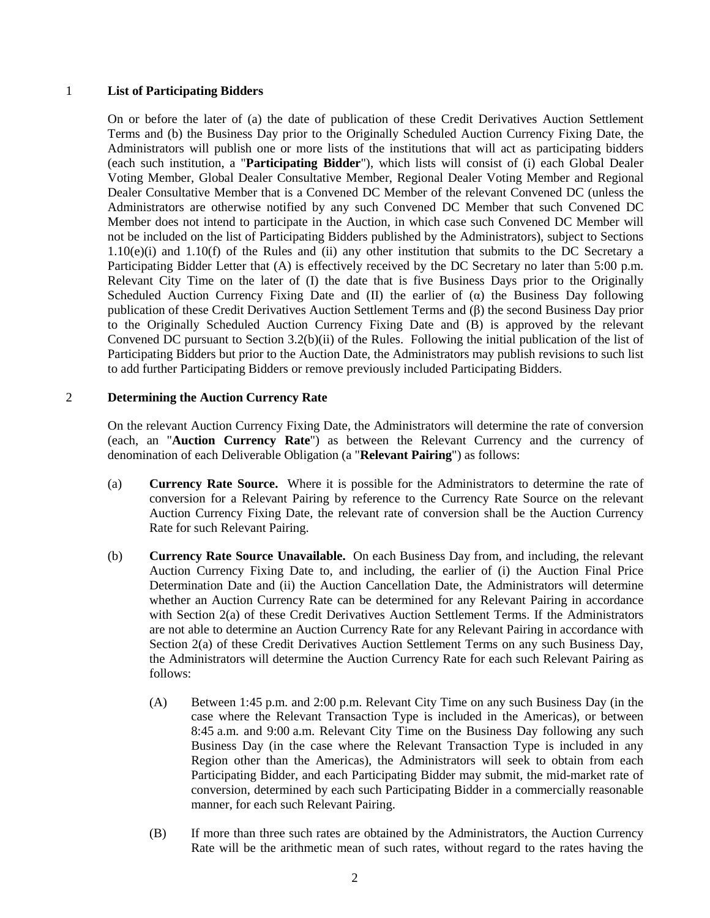#### 1 **List of Participating Bidders**

On or before the later of (a) the date of publication of these Credit Derivatives Auction Settlement Terms and (b) the Business Day prior to the Originally Scheduled Auction Currency Fixing Date, the Administrators will publish one or more lists of the institutions that will act as participating bidders (each such institution, a "**Participating Bidder**"), which lists will consist of (i) each Global Dealer Voting Member, Global Dealer Consultative Member, Regional Dealer Voting Member and Regional Dealer Consultative Member that is a Convened DC Member of the relevant Convened DC (unless the Administrators are otherwise notified by any such Convened DC Member that such Convened DC Member does not intend to participate in the Auction, in which case such Convened DC Member will not be included on the list of Participating Bidders published by the Administrators), subject to Sections 1.10(e)(i) and 1.10(f) of the Rules and (ii) any other institution that submits to the DC Secretary a Participating Bidder Letter that (A) is effectively received by the DC Secretary no later than 5:00 p.m. Relevant City Time on the later of (I) the date that is five Business Days prior to the Originally Scheduled Auction Currency Fixing Date and (II) the earlier of  $(\alpha)$  the Business Day following publication of these Credit Derivatives Auction Settlement Terms and (β) the second Business Day prior to the Originally Scheduled Auction Currency Fixing Date and (B) is approved by the relevant Convened DC pursuant to Section 3.2(b)(ii) of the Rules. Following the initial publication of the list of Participating Bidders but prior to the Auction Date, the Administrators may publish revisions to such list to add further Participating Bidders or remove previously included Participating Bidders.

# 2 **Determining the Auction Currency Rate**

On the relevant Auction Currency Fixing Date, the Administrators will determine the rate of conversion (each, an "**Auction Currency Rate**") as between the Relevant Currency and the currency of denomination of each Deliverable Obligation (a "**Relevant Pairing**") as follows:

- (a) **Currency Rate Source.** Where it is possible for the Administrators to determine the rate of conversion for a Relevant Pairing by reference to the Currency Rate Source on the relevant Auction Currency Fixing Date, the relevant rate of conversion shall be the Auction Currency Rate for such Relevant Pairing.
- (b) **Currency Rate Source Unavailable.** On each Business Day from, and including, the relevant Auction Currency Fixing Date to, and including, the earlier of (i) the Auction Final Price Determination Date and (ii) the Auction Cancellation Date, the Administrators will determine whether an Auction Currency Rate can be determined for any Relevant Pairing in accordance with Section 2(a) of these Credit Derivatives Auction Settlement Terms. If the Administrators are not able to determine an Auction Currency Rate for any Relevant Pairing in accordance with Section 2(a) of these Credit Derivatives Auction Settlement Terms on any such Business Day, the Administrators will determine the Auction Currency Rate for each such Relevant Pairing as follows:
	- (A) Between 1:45 p.m. and 2:00 p.m. Relevant City Time on any such Business Day (in the case where the Relevant Transaction Type is included in the Americas), or between 8:45 a.m. and 9:00 a.m. Relevant City Time on the Business Day following any such Business Day (in the case where the Relevant Transaction Type is included in any Region other than the Americas), the Administrators will seek to obtain from each Participating Bidder, and each Participating Bidder may submit, the mid-market rate of conversion, determined by each such Participating Bidder in a commercially reasonable manner, for each such Relevant Pairing.
	- (B) If more than three such rates are obtained by the Administrators, the Auction Currency Rate will be the arithmetic mean of such rates, without regard to the rates having the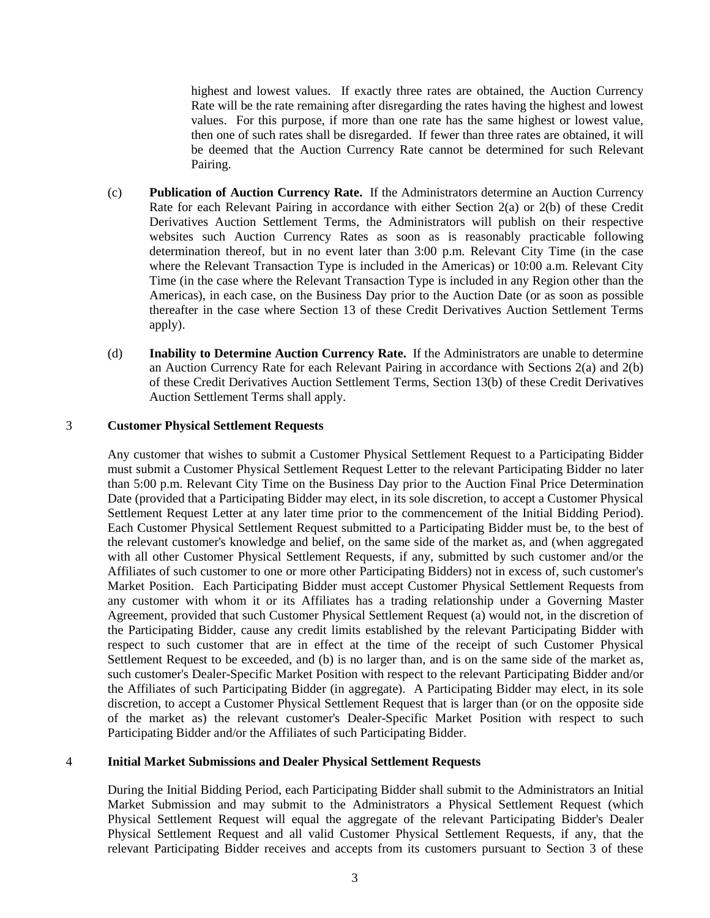highest and lowest values. If exactly three rates are obtained, the Auction Currency Rate will be the rate remaining after disregarding the rates having the highest and lowest values. For this purpose, if more than one rate has the same highest or lowest value, then one of such rates shall be disregarded. If fewer than three rates are obtained, it will be deemed that the Auction Currency Rate cannot be determined for such Relevant Pairing.

- (c) **Publication of Auction Currency Rate.** If the Administrators determine an Auction Currency Rate for each Relevant Pairing in accordance with either Section 2(a) or 2(b) of these Credit Derivatives Auction Settlement Terms, the Administrators will publish on their respective websites such Auction Currency Rates as soon as is reasonably practicable following determination thereof, but in no event later than 3:00 p.m. Relevant City Time (in the case where the Relevant Transaction Type is included in the Americas) or 10:00 a.m. Relevant City Time (in the case where the Relevant Transaction Type is included in any Region other than the Americas), in each case, on the Business Day prior to the Auction Date (or as soon as possible thereafter in the case where Section 13 of these Credit Derivatives Auction Settlement Terms apply).
- (d) **Inability to Determine Auction Currency Rate.** If the Administrators are unable to determine an Auction Currency Rate for each Relevant Pairing in accordance with Sections 2(a) and 2(b) of these Credit Derivatives Auction Settlement Terms, Section 13(b) of these Credit Derivatives Auction Settlement Terms shall apply.

#### 3 **Customer Physical Settlement Requests**

Any customer that wishes to submit a Customer Physical Settlement Request to a Participating Bidder must submit a Customer Physical Settlement Request Letter to the relevant Participating Bidder no later than 5:00 p.m. Relevant City Time on the Business Day prior to the Auction Final Price Determination Date (provided that a Participating Bidder may elect, in its sole discretion, to accept a Customer Physical Settlement Request Letter at any later time prior to the commencement of the Initial Bidding Period). Each Customer Physical Settlement Request submitted to a Participating Bidder must be, to the best of the relevant customer's knowledge and belief, on the same side of the market as, and (when aggregated with all other Customer Physical Settlement Requests, if any, submitted by such customer and/or the Affiliates of such customer to one or more other Participating Bidders) not in excess of, such customer's Market Position. Each Participating Bidder must accept Customer Physical Settlement Requests from any customer with whom it or its Affiliates has a trading relationship under a Governing Master Agreement, provided that such Customer Physical Settlement Request (a) would not, in the discretion of the Participating Bidder, cause any credit limits established by the relevant Participating Bidder with respect to such customer that are in effect at the time of the receipt of such Customer Physical Settlement Request to be exceeded, and (b) is no larger than, and is on the same side of the market as, such customer's Dealer-Specific Market Position with respect to the relevant Participating Bidder and/or the Affiliates of such Participating Bidder (in aggregate). A Participating Bidder may elect, in its sole discretion, to accept a Customer Physical Settlement Request that is larger than (or on the opposite side of the market as) the relevant customer's Dealer-Specific Market Position with respect to such Participating Bidder and/or the Affiliates of such Participating Bidder.

#### 4 **Initial Market Submissions and Dealer Physical Settlement Requests**

During the Initial Bidding Period, each Participating Bidder shall submit to the Administrators an Initial Market Submission and may submit to the Administrators a Physical Settlement Request (which Physical Settlement Request will equal the aggregate of the relevant Participating Bidder's Dealer Physical Settlement Request and all valid Customer Physical Settlement Requests, if any, that the relevant Participating Bidder receives and accepts from its customers pursuant to Section 3 of these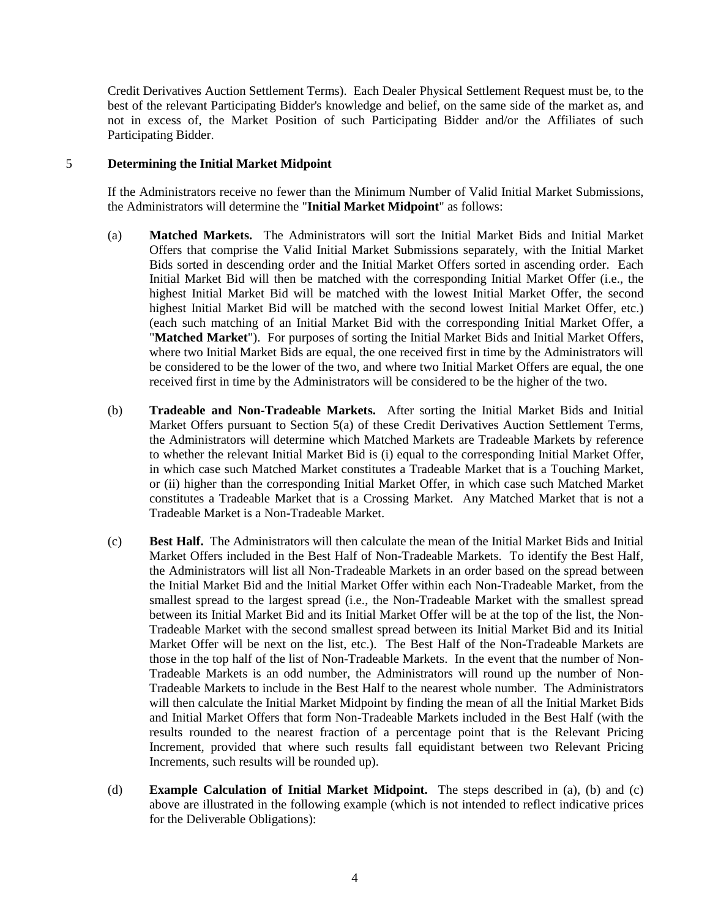Credit Derivatives Auction Settlement Terms). Each Dealer Physical Settlement Request must be, to the best of the relevant Participating Bidder's knowledge and belief, on the same side of the market as, and not in excess of, the Market Position of such Participating Bidder and/or the Affiliates of such Participating Bidder.

#### 5 **Determining the Initial Market Midpoint**

If the Administrators receive no fewer than the Minimum Number of Valid Initial Market Submissions, the Administrators will determine the "**Initial Market Midpoint**" as follows:

- (a) **Matched Markets.** The Administrators will sort the Initial Market Bids and Initial Market Offers that comprise the Valid Initial Market Submissions separately, with the Initial Market Bids sorted in descending order and the Initial Market Offers sorted in ascending order. Each Initial Market Bid will then be matched with the corresponding Initial Market Offer (i.e., the highest Initial Market Bid will be matched with the lowest Initial Market Offer, the second highest Initial Market Bid will be matched with the second lowest Initial Market Offer, etc.) (each such matching of an Initial Market Bid with the corresponding Initial Market Offer, a "**Matched Market**"). For purposes of sorting the Initial Market Bids and Initial Market Offers, where two Initial Market Bids are equal, the one received first in time by the Administrators will be considered to be the lower of the two, and where two Initial Market Offers are equal, the one received first in time by the Administrators will be considered to be the higher of the two.
- (b) **Tradeable and Non-Tradeable Markets.** After sorting the Initial Market Bids and Initial Market Offers pursuant to Section 5(a) of these Credit Derivatives Auction Settlement Terms, the Administrators will determine which Matched Markets are Tradeable Markets by reference to whether the relevant Initial Market Bid is (i) equal to the corresponding Initial Market Offer, in which case such Matched Market constitutes a Tradeable Market that is a Touching Market, or (ii) higher than the corresponding Initial Market Offer, in which case such Matched Market constitutes a Tradeable Market that is a Crossing Market. Any Matched Market that is not a Tradeable Market is a Non-Tradeable Market.
- (c) **Best Half.** The Administrators will then calculate the mean of the Initial Market Bids and Initial Market Offers included in the Best Half of Non-Tradeable Markets. To identify the Best Half, the Administrators will list all Non-Tradeable Markets in an order based on the spread between the Initial Market Bid and the Initial Market Offer within each Non-Tradeable Market, from the smallest spread to the largest spread (i.e., the Non-Tradeable Market with the smallest spread between its Initial Market Bid and its Initial Market Offer will be at the top of the list, the Non-Tradeable Market with the second smallest spread between its Initial Market Bid and its Initial Market Offer will be next on the list, etc.). The Best Half of the Non-Tradeable Markets are those in the top half of the list of Non-Tradeable Markets. In the event that the number of Non-Tradeable Markets is an odd number, the Administrators will round up the number of Non-Tradeable Markets to include in the Best Half to the nearest whole number. The Administrators will then calculate the Initial Market Midpoint by finding the mean of all the Initial Market Bids and Initial Market Offers that form Non-Tradeable Markets included in the Best Half (with the results rounded to the nearest fraction of a percentage point that is the Relevant Pricing Increment, provided that where such results fall equidistant between two Relevant Pricing Increments, such results will be rounded up).
- (d) **Example Calculation of Initial Market Midpoint.** The steps described in (a), (b) and (c) above are illustrated in the following example (which is not intended to reflect indicative prices for the Deliverable Obligations):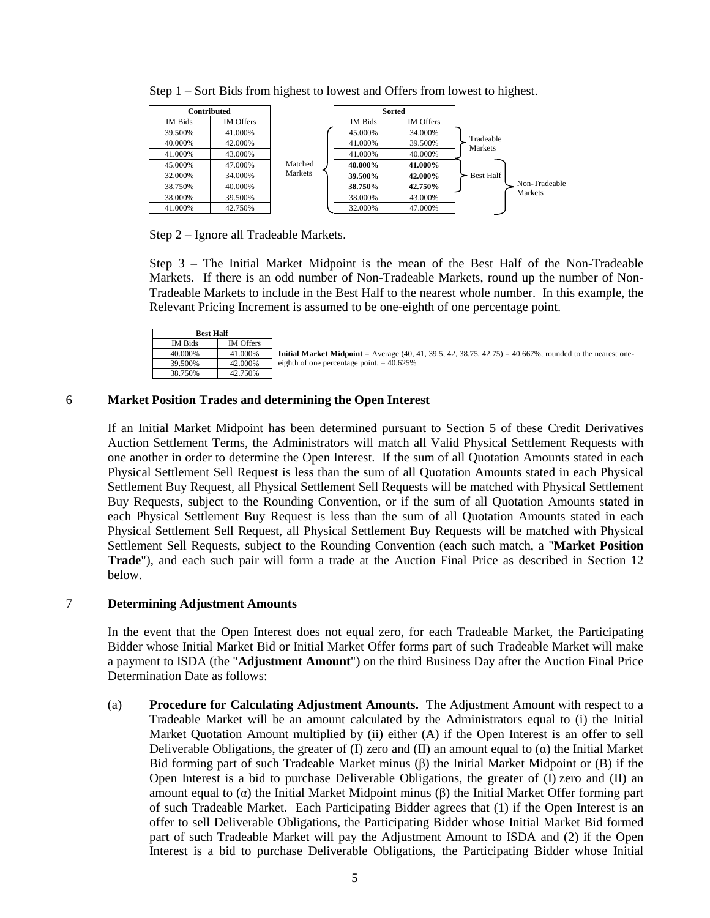|         | Contributed      |         |         | <b>Sorted</b>    |                      |
|---------|------------------|---------|---------|------------------|----------------------|
| IM Bids | <b>IM Offers</b> |         | IM Bids | <b>IM Offers</b> |                      |
| 39.500% | 41.000%          |         | 45.000% | 34.000%          |                      |
| 40.000% | 42.000%          |         | 41.000% | 39.500%          | Tradeable<br>Markets |
| 41.000% | 43.000%          |         | 41.000% | 40.000%          |                      |
| 45.000% | 47.000%          | Matched | 40.000% | 41.000%          |                      |
| 32.000% | 34.000%          | Markets | 39.500% | 42.000%          | <b>Best Half</b>     |
| 38.750% | 40.000%          |         | 38.750% | 42.750%          | Non-Tradeable        |
| 38.000% | 39.500%          |         | 38.000% | 43.000%          | Markets              |
| 41.000% | 42.750%          |         | 32.000% | 47.000%          |                      |

Step 1 – Sort Bids from highest to lowest and Offers from lowest to highest.

Step 2 – Ignore all Tradeable Markets.

Step 3 – The Initial Market Midpoint is the mean of the Best Half of the Non-Tradeable Markets. If there is an odd number of Non-Tradeable Markets, round up the number of Non-Tradeable Markets to include in the Best Half to the nearest whole number. In this example, the Relevant Pricing Increment is assumed to be one-eighth of one percentage point.

| <b>Best Half</b> |                  |  |
|------------------|------------------|--|
| IM Bids          | <b>IM</b> Offers |  |
| 40.000%          | 41.000%          |  |
| 39.500%          | 42.000%          |  |
| 38.750%          | 42.750%          |  |

**Initial Market Midpoint** = Average  $(40, 41, 39.5, 42, 38.75, 42.75) = 40.667\%$ , rounded to the nearest oneeighth of one percentage point.  $= 40.625\%$ 

# 6 **Market Position Trades and determining the Open Interest**

If an Initial Market Midpoint has been determined pursuant to Section 5 of these Credit Derivatives Auction Settlement Terms, the Administrators will match all Valid Physical Settlement Requests with one another in order to determine the Open Interest. If the sum of all Quotation Amounts stated in each Physical Settlement Sell Request is less than the sum of all Quotation Amounts stated in each Physical Settlement Buy Request, all Physical Settlement Sell Requests will be matched with Physical Settlement Buy Requests, subject to the Rounding Convention, or if the sum of all Quotation Amounts stated in each Physical Settlement Buy Request is less than the sum of all Quotation Amounts stated in each Physical Settlement Sell Request, all Physical Settlement Buy Requests will be matched with Physical Settlement Sell Requests, subject to the Rounding Convention (each such match, a "**Market Position Trade**"), and each such pair will form a trade at the Auction Final Price as described in Section 12 below.

# 7 **Determining Adjustment Amounts**

In the event that the Open Interest does not equal zero, for each Tradeable Market, the Participating Bidder whose Initial Market Bid or Initial Market Offer forms part of such Tradeable Market will make a payment to ISDA (the "**Adjustment Amount**") on the third Business Day after the Auction Final Price Determination Date as follows:

(a) **Procedure for Calculating Adjustment Amounts.** The Adjustment Amount with respect to a Tradeable Market will be an amount calculated by the Administrators equal to (i) the Initial Market Quotation Amount multiplied by (ii) either (A) if the Open Interest is an offer to sell Deliverable Obligations, the greater of (I) zero and (II) an amount equal to ( $\alpha$ ) the Initial Market Bid forming part of such Tradeable Market minus (β) the Initial Market Midpoint or (B) if the Open Interest is a bid to purchase Deliverable Obligations, the greater of (I) zero and (II) an amount equal to (α) the Initial Market Midpoint minus (β) the Initial Market Offer forming part of such Tradeable Market. Each Participating Bidder agrees that (1) if the Open Interest is an offer to sell Deliverable Obligations, the Participating Bidder whose Initial Market Bid formed part of such Tradeable Market will pay the Adjustment Amount to ISDA and (2) if the Open Interest is a bid to purchase Deliverable Obligations, the Participating Bidder whose Initial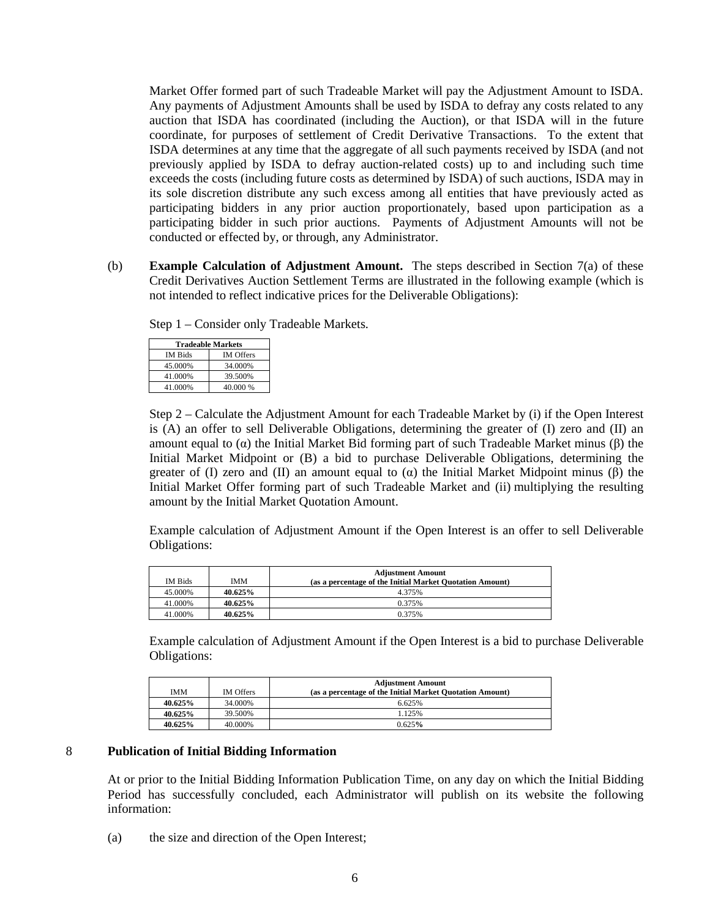Market Offer formed part of such Tradeable Market will pay the Adjustment Amount to ISDA. Any payments of Adjustment Amounts shall be used by ISDA to defray any costs related to any auction that ISDA has coordinated (including the Auction), or that ISDA will in the future coordinate, for purposes of settlement of Credit Derivative Transactions. To the extent that ISDA determines at any time that the aggregate of all such payments received by ISDA (and not previously applied by ISDA to defray auction-related costs) up to and including such time exceeds the costs (including future costs as determined by ISDA) of such auctions, ISDA may in its sole discretion distribute any such excess among all entities that have previously acted as participating bidders in any prior auction proportionately, based upon participation as a participating bidder in such prior auctions. Payments of Adjustment Amounts will not be conducted or effected by, or through, any Administrator.

(b) **Example Calculation of Adjustment Amount.** The steps described in Section 7(a) of these Credit Derivatives Auction Settlement Terms are illustrated in the following example (which is not intended to reflect indicative prices for the Deliverable Obligations):

Step 1 – Consider only Tradeable Markets.

| <b>Tradeable Markets</b> |                  |  |
|--------------------------|------------------|--|
| <b>IM Bids</b>           | <b>IM</b> Offers |  |
| 45.000%                  | 34.000%          |  |
| 41.000%                  | 39.500%          |  |
| 41.000%                  | 40.000 %         |  |

Step 2 – Calculate the Adjustment Amount for each Tradeable Market by (i) if the Open Interest is (A) an offer to sell Deliverable Obligations, determining the greater of (I) zero and (II) an amount equal to (α) the Initial Market Bid forming part of such Tradeable Market minus (β) the Initial Market Midpoint or (B) a bid to purchase Deliverable Obligations, determining the greater of (I) zero and (II) an amount equal to ( $\alpha$ ) the Initial Market Midpoint minus ( $\beta$ ) the Initial Market Offer forming part of such Tradeable Market and (ii) multiplying the resulting amount by the Initial Market Quotation Amount.

Example calculation of Adjustment Amount if the Open Interest is an offer to sell Deliverable Obligations:

|                |            | <b>Adjustment Amount</b>                                 |
|----------------|------------|----------------------------------------------------------|
| <b>IM Bids</b> | <b>IMM</b> | (as a percentage of the Initial Market Quotation Amount) |
| 45.000%        | $40.625\%$ | 4.375%                                                   |
| 41.000%        | $40.625\%$ | 0.375%                                                   |
| 41.000%        | 40.625%    | 0.375%                                                   |

Example calculation of Adjustment Amount if the Open Interest is a bid to purchase Deliverable Obligations:

|            |                  | <b>Adjustment Amount</b>                                 |
|------------|------------------|----------------------------------------------------------|
| <b>IMM</b> | <b>IM Offers</b> | (as a percentage of the Initial Market Quotation Amount) |
| 40.625%    | 34.000%          | 6.625%                                                   |
| 40.625%    | 39.500%          | .125%                                                    |
| 40.625%    | 40.000%          | 0.625%                                                   |

#### 8 **Publication of Initial Bidding Information**

At or prior to the Initial Bidding Information Publication Time, on any day on which the Initial Bidding Period has successfully concluded, each Administrator will publish on its website the following information:

(a) the size and direction of the Open Interest;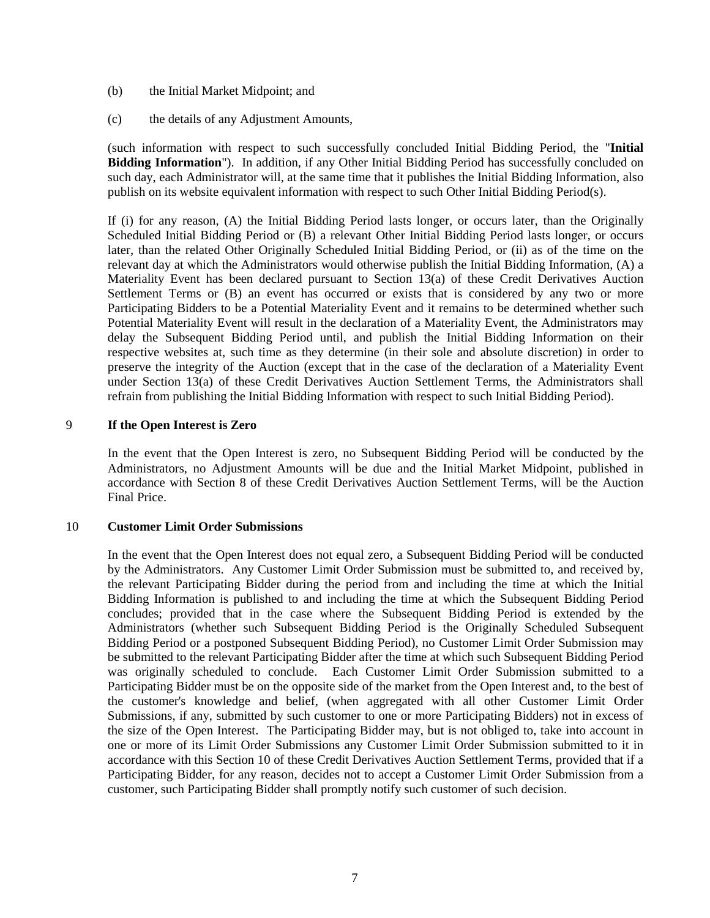- (b) the Initial Market Midpoint; and
- (c) the details of any Adjustment Amounts,

(such information with respect to such successfully concluded Initial Bidding Period, the "**Initial Bidding Information**"). In addition, if any Other Initial Bidding Period has successfully concluded on such day, each Administrator will, at the same time that it publishes the Initial Bidding Information, also publish on its website equivalent information with respect to such Other Initial Bidding Period(s).

If (i) for any reason, (A) the Initial Bidding Period lasts longer, or occurs later, than the Originally Scheduled Initial Bidding Period or (B) a relevant Other Initial Bidding Period lasts longer, or occurs later, than the related Other Originally Scheduled Initial Bidding Period, or (ii) as of the time on the relevant day at which the Administrators would otherwise publish the Initial Bidding Information, (A) a Materiality Event has been declared pursuant to Section 13(a) of these Credit Derivatives Auction Settlement Terms or (B) an event has occurred or exists that is considered by any two or more Participating Bidders to be a Potential Materiality Event and it remains to be determined whether such Potential Materiality Event will result in the declaration of a Materiality Event, the Administrators may delay the Subsequent Bidding Period until, and publish the Initial Bidding Information on their respective websites at, such time as they determine (in their sole and absolute discretion) in order to preserve the integrity of the Auction (except that in the case of the declaration of a Materiality Event under Section 13(a) of these Credit Derivatives Auction Settlement Terms, the Administrators shall refrain from publishing the Initial Bidding Information with respect to such Initial Bidding Period).

#### 9 **If the Open Interest is Zero**

In the event that the Open Interest is zero, no Subsequent Bidding Period will be conducted by the Administrators, no Adjustment Amounts will be due and the Initial Market Midpoint, published in accordance with Section 8 of these Credit Derivatives Auction Settlement Terms, will be the Auction Final Price.

#### 10 **Customer Limit Order Submissions**

In the event that the Open Interest does not equal zero, a Subsequent Bidding Period will be conducted by the Administrators. Any Customer Limit Order Submission must be submitted to, and received by, the relevant Participating Bidder during the period from and including the time at which the Initial Bidding Information is published to and including the time at which the Subsequent Bidding Period concludes; provided that in the case where the Subsequent Bidding Period is extended by the Administrators (whether such Subsequent Bidding Period is the Originally Scheduled Subsequent Bidding Period or a postponed Subsequent Bidding Period), no Customer Limit Order Submission may be submitted to the relevant Participating Bidder after the time at which such Subsequent Bidding Period was originally scheduled to conclude. Each Customer Limit Order Submission submitted to a Participating Bidder must be on the opposite side of the market from the Open Interest and, to the best of the customer's knowledge and belief, (when aggregated with all other Customer Limit Order Submissions, if any, submitted by such customer to one or more Participating Bidders) not in excess of the size of the Open Interest. The Participating Bidder may, but is not obliged to, take into account in one or more of its Limit Order Submissions any Customer Limit Order Submission submitted to it in accordance with this Section 10 of these Credit Derivatives Auction Settlement Terms, provided that if a Participating Bidder, for any reason, decides not to accept a Customer Limit Order Submission from a customer, such Participating Bidder shall promptly notify such customer of such decision.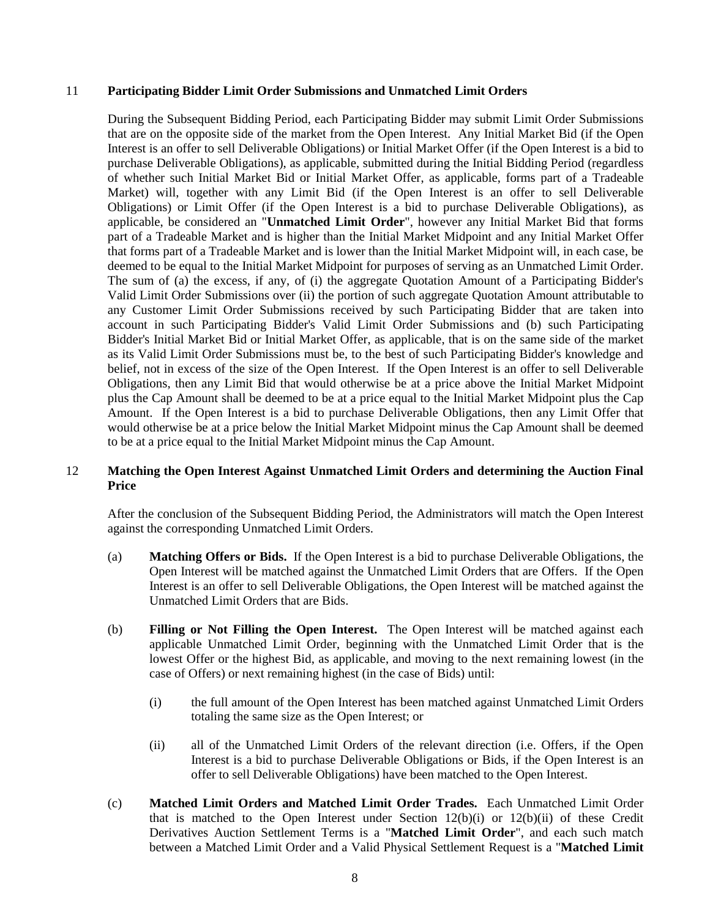#### 11 **Participating Bidder Limit Order Submissions and Unmatched Limit Orders**

During the Subsequent Bidding Period, each Participating Bidder may submit Limit Order Submissions that are on the opposite side of the market from the Open Interest. Any Initial Market Bid (if the Open Interest is an offer to sell Deliverable Obligations) or Initial Market Offer (if the Open Interest is a bid to purchase Deliverable Obligations), as applicable, submitted during the Initial Bidding Period (regardless of whether such Initial Market Bid or Initial Market Offer, as applicable, forms part of a Tradeable Market) will, together with any Limit Bid (if the Open Interest is an offer to sell Deliverable Obligations) or Limit Offer (if the Open Interest is a bid to purchase Deliverable Obligations), as applicable, be considered an "**Unmatched Limit Order**", however any Initial Market Bid that forms part of a Tradeable Market and is higher than the Initial Market Midpoint and any Initial Market Offer that forms part of a Tradeable Market and is lower than the Initial Market Midpoint will, in each case, be deemed to be equal to the Initial Market Midpoint for purposes of serving as an Unmatched Limit Order. The sum of (a) the excess, if any, of (i) the aggregate Quotation Amount of a Participating Bidder's Valid Limit Order Submissions over (ii) the portion of such aggregate Quotation Amount attributable to any Customer Limit Order Submissions received by such Participating Bidder that are taken into account in such Participating Bidder's Valid Limit Order Submissions and (b) such Participating Bidder's Initial Market Bid or Initial Market Offer, as applicable, that is on the same side of the market as its Valid Limit Order Submissions must be, to the best of such Participating Bidder's knowledge and belief, not in excess of the size of the Open Interest. If the Open Interest is an offer to sell Deliverable Obligations, then any Limit Bid that would otherwise be at a price above the Initial Market Midpoint plus the Cap Amount shall be deemed to be at a price equal to the Initial Market Midpoint plus the Cap Amount. If the Open Interest is a bid to purchase Deliverable Obligations, then any Limit Offer that would otherwise be at a price below the Initial Market Midpoint minus the Cap Amount shall be deemed to be at a price equal to the Initial Market Midpoint minus the Cap Amount.

# 12 **Matching the Open Interest Against Unmatched Limit Orders and determining the Auction Final Price**

After the conclusion of the Subsequent Bidding Period, the Administrators will match the Open Interest against the corresponding Unmatched Limit Orders.

- (a) **Matching Offers or Bids.** If the Open Interest is a bid to purchase Deliverable Obligations, the Open Interest will be matched against the Unmatched Limit Orders that are Offers. If the Open Interest is an offer to sell Deliverable Obligations, the Open Interest will be matched against the Unmatched Limit Orders that are Bids.
- (b) **Filling or Not Filling the Open Interest.** The Open Interest will be matched against each applicable Unmatched Limit Order, beginning with the Unmatched Limit Order that is the lowest Offer or the highest Bid, as applicable, and moving to the next remaining lowest (in the case of Offers) or next remaining highest (in the case of Bids) until:
	- (i) the full amount of the Open Interest has been matched against Unmatched Limit Orders totaling the same size as the Open Interest; or
	- (ii) all of the Unmatched Limit Orders of the relevant direction (i.e. Offers, if the Open Interest is a bid to purchase Deliverable Obligations or Bids, if the Open Interest is an offer to sell Deliverable Obligations) have been matched to the Open Interest.
- (c) **Matched Limit Orders and Matched Limit Order Trades.** Each Unmatched Limit Order that is matched to the Open Interest under Section  $12(b)(i)$  or  $12(b)(ii)$  of these Credit Derivatives Auction Settlement Terms is a "**Matched Limit Order**", and each such match between a Matched Limit Order and a Valid Physical Settlement Request is a "**Matched Limit**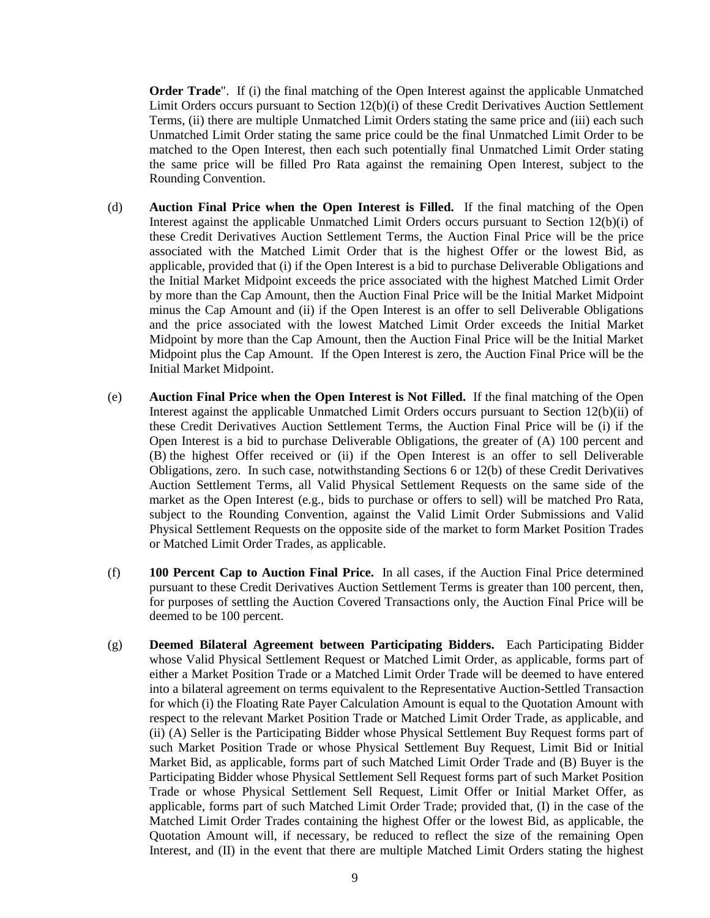**Order Trade**". If (i) the final matching of the Open Interest against the applicable Unmatched Limit Orders occurs pursuant to Section 12(b)(i) of these Credit Derivatives Auction Settlement Terms, (ii) there are multiple Unmatched Limit Orders stating the same price and (iii) each such Unmatched Limit Order stating the same price could be the final Unmatched Limit Order to be matched to the Open Interest, then each such potentially final Unmatched Limit Order stating the same price will be filled Pro Rata against the remaining Open Interest, subject to the Rounding Convention.

- (d) **Auction Final Price when the Open Interest is Filled.** If the final matching of the Open Interest against the applicable Unmatched Limit Orders occurs pursuant to Section 12(b)(i) of these Credit Derivatives Auction Settlement Terms, the Auction Final Price will be the price associated with the Matched Limit Order that is the highest Offer or the lowest Bid, as applicable, provided that (i) if the Open Interest is a bid to purchase Deliverable Obligations and the Initial Market Midpoint exceeds the price associated with the highest Matched Limit Order by more than the Cap Amount, then the Auction Final Price will be the Initial Market Midpoint minus the Cap Amount and (ii) if the Open Interest is an offer to sell Deliverable Obligations and the price associated with the lowest Matched Limit Order exceeds the Initial Market Midpoint by more than the Cap Amount, then the Auction Final Price will be the Initial Market Midpoint plus the Cap Amount. If the Open Interest is zero, the Auction Final Price will be the Initial Market Midpoint.
- (e) **Auction Final Price when the Open Interest is Not Filled.** If the final matching of the Open Interest against the applicable Unmatched Limit Orders occurs pursuant to Section 12(b)(ii) of these Credit Derivatives Auction Settlement Terms, the Auction Final Price will be (i) if the Open Interest is a bid to purchase Deliverable Obligations, the greater of (A) 100 percent and (B) the highest Offer received or (ii) if the Open Interest is an offer to sell Deliverable Obligations, zero. In such case, notwithstanding Sections 6 or 12(b) of these Credit Derivatives Auction Settlement Terms, all Valid Physical Settlement Requests on the same side of the market as the Open Interest (e.g., bids to purchase or offers to sell) will be matched Pro Rata, subject to the Rounding Convention, against the Valid Limit Order Submissions and Valid Physical Settlement Requests on the opposite side of the market to form Market Position Trades or Matched Limit Order Trades, as applicable.
- (f) **100 Percent Cap to Auction Final Price.** In all cases, if the Auction Final Price determined pursuant to these Credit Derivatives Auction Settlement Terms is greater than 100 percent, then, for purposes of settling the Auction Covered Transactions only, the Auction Final Price will be deemed to be 100 percent.
- (g) **Deemed Bilateral Agreement between Participating Bidders.** Each Participating Bidder whose Valid Physical Settlement Request or Matched Limit Order, as applicable, forms part of either a Market Position Trade or a Matched Limit Order Trade will be deemed to have entered into a bilateral agreement on terms equivalent to the Representative Auction-Settled Transaction for which (i) the Floating Rate Payer Calculation Amount is equal to the Quotation Amount with respect to the relevant Market Position Trade or Matched Limit Order Trade, as applicable, and (ii) (A) Seller is the Participating Bidder whose Physical Settlement Buy Request forms part of such Market Position Trade or whose Physical Settlement Buy Request, Limit Bid or Initial Market Bid, as applicable, forms part of such Matched Limit Order Trade and (B) Buyer is the Participating Bidder whose Physical Settlement Sell Request forms part of such Market Position Trade or whose Physical Settlement Sell Request, Limit Offer or Initial Market Offer, as applicable, forms part of such Matched Limit Order Trade; provided that, (I) in the case of the Matched Limit Order Trades containing the highest Offer or the lowest Bid, as applicable, the Quotation Amount will, if necessary, be reduced to reflect the size of the remaining Open Interest, and (II) in the event that there are multiple Matched Limit Orders stating the highest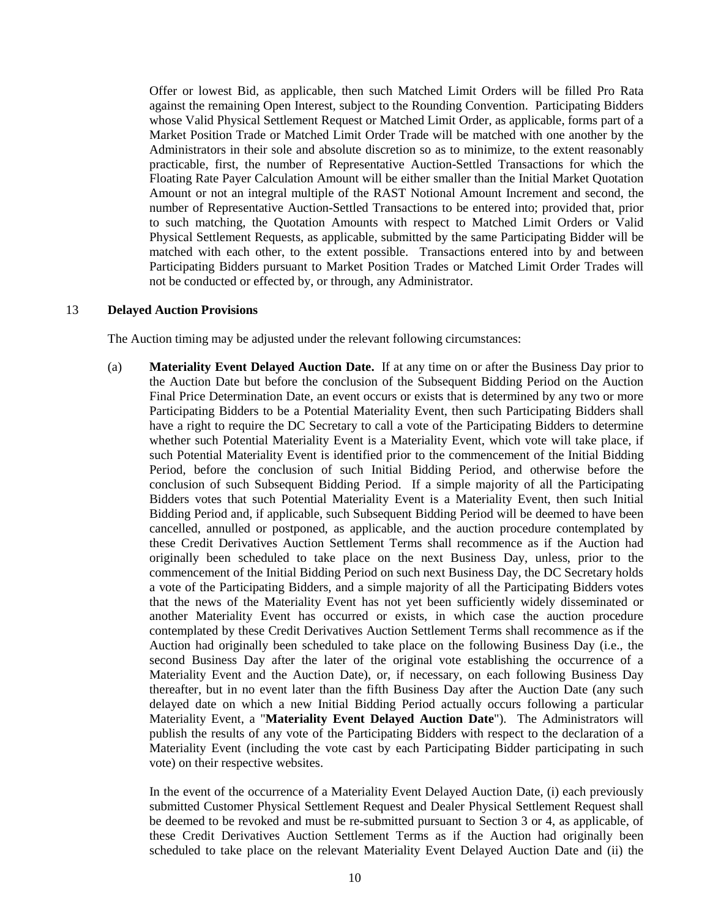Offer or lowest Bid, as applicable, then such Matched Limit Orders will be filled Pro Rata against the remaining Open Interest, subject to the Rounding Convention. Participating Bidders whose Valid Physical Settlement Request or Matched Limit Order, as applicable, forms part of a Market Position Trade or Matched Limit Order Trade will be matched with one another by the Administrators in their sole and absolute discretion so as to minimize, to the extent reasonably practicable, first, the number of Representative Auction-Settled Transactions for which the Floating Rate Payer Calculation Amount will be either smaller than the Initial Market Quotation Amount or not an integral multiple of the RAST Notional Amount Increment and second, the number of Representative Auction-Settled Transactions to be entered into; provided that, prior to such matching, the Quotation Amounts with respect to Matched Limit Orders or Valid Physical Settlement Requests, as applicable, submitted by the same Participating Bidder will be matched with each other, to the extent possible. Transactions entered into by and between Participating Bidders pursuant to Market Position Trades or Matched Limit Order Trades will not be conducted or effected by, or through, any Administrator.

#### 13 **Delayed Auction Provisions**

The Auction timing may be adjusted under the relevant following circumstances:

(a) **Materiality Event Delayed Auction Date.** If at any time on or after the Business Day prior to the Auction Date but before the conclusion of the Subsequent Bidding Period on the Auction Final Price Determination Date, an event occurs or exists that is determined by any two or more Participating Bidders to be a Potential Materiality Event, then such Participating Bidders shall have a right to require the DC Secretary to call a vote of the Participating Bidders to determine whether such Potential Materiality Event is a Materiality Event, which vote will take place, if such Potential Materiality Event is identified prior to the commencement of the Initial Bidding Period, before the conclusion of such Initial Bidding Period, and otherwise before the conclusion of such Subsequent Bidding Period. If a simple majority of all the Participating Bidders votes that such Potential Materiality Event is a Materiality Event, then such Initial Bidding Period and, if applicable, such Subsequent Bidding Period will be deemed to have been cancelled, annulled or postponed, as applicable, and the auction procedure contemplated by these Credit Derivatives Auction Settlement Terms shall recommence as if the Auction had originally been scheduled to take place on the next Business Day, unless, prior to the commencement of the Initial Bidding Period on such next Business Day, the DC Secretary holds a vote of the Participating Bidders, and a simple majority of all the Participating Bidders votes that the news of the Materiality Event has not yet been sufficiently widely disseminated or another Materiality Event has occurred or exists, in which case the auction procedure contemplated by these Credit Derivatives Auction Settlement Terms shall recommence as if the Auction had originally been scheduled to take place on the following Business Day (i.e., the second Business Day after the later of the original vote establishing the occurrence of a Materiality Event and the Auction Date), or, if necessary, on each following Business Day thereafter, but in no event later than the fifth Business Day after the Auction Date (any such delayed date on which a new Initial Bidding Period actually occurs following a particular Materiality Event, a "**Materiality Event Delayed Auction Date**"). The Administrators will publish the results of any vote of the Participating Bidders with respect to the declaration of a Materiality Event (including the vote cast by each Participating Bidder participating in such vote) on their respective websites.

In the event of the occurrence of a Materiality Event Delayed Auction Date, (i) each previously submitted Customer Physical Settlement Request and Dealer Physical Settlement Request shall be deemed to be revoked and must be re-submitted pursuant to Section 3 or 4, as applicable, of these Credit Derivatives Auction Settlement Terms as if the Auction had originally been scheduled to take place on the relevant Materiality Event Delayed Auction Date and (ii) the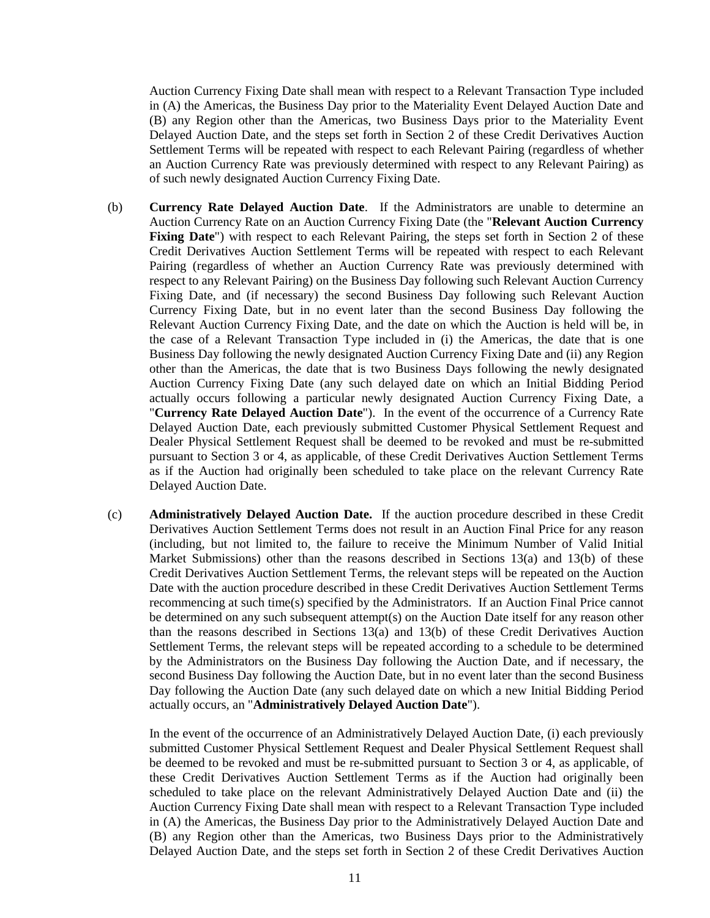Auction Currency Fixing Date shall mean with respect to a Relevant Transaction Type included in (A) the Americas, the Business Day prior to the Materiality Event Delayed Auction Date and (B) any Region other than the Americas, two Business Days prior to the Materiality Event Delayed Auction Date, and the steps set forth in Section 2 of these Credit Derivatives Auction Settlement Terms will be repeated with respect to each Relevant Pairing (regardless of whether an Auction Currency Rate was previously determined with respect to any Relevant Pairing) as of such newly designated Auction Currency Fixing Date.

- (b) **Currency Rate Delayed Auction Date**. If the Administrators are unable to determine an Auction Currency Rate on an Auction Currency Fixing Date (the "**Relevant Auction Currency Fixing Date**") with respect to each Relevant Pairing, the steps set forth in Section 2 of these Credit Derivatives Auction Settlement Terms will be repeated with respect to each Relevant Pairing (regardless of whether an Auction Currency Rate was previously determined with respect to any Relevant Pairing) on the Business Day following such Relevant Auction Currency Fixing Date, and (if necessary) the second Business Day following such Relevant Auction Currency Fixing Date, but in no event later than the second Business Day following the Relevant Auction Currency Fixing Date, and the date on which the Auction is held will be, in the case of a Relevant Transaction Type included in (i) the Americas, the date that is one Business Day following the newly designated Auction Currency Fixing Date and (ii) any Region other than the Americas, the date that is two Business Days following the newly designated Auction Currency Fixing Date (any such delayed date on which an Initial Bidding Period actually occurs following a particular newly designated Auction Currency Fixing Date, a "**Currency Rate Delayed Auction Date**"). In the event of the occurrence of a Currency Rate Delayed Auction Date, each previously submitted Customer Physical Settlement Request and Dealer Physical Settlement Request shall be deemed to be revoked and must be re-submitted pursuant to Section 3 or 4, as applicable, of these Credit Derivatives Auction Settlement Terms as if the Auction had originally been scheduled to take place on the relevant Currency Rate Delayed Auction Date.
- (c) **Administratively Delayed Auction Date.** If the auction procedure described in these Credit Derivatives Auction Settlement Terms does not result in an Auction Final Price for any reason (including, but not limited to, the failure to receive the Minimum Number of Valid Initial Market Submissions) other than the reasons described in Sections 13(a) and 13(b) of these Credit Derivatives Auction Settlement Terms, the relevant steps will be repeated on the Auction Date with the auction procedure described in these Credit Derivatives Auction Settlement Terms recommencing at such time(s) specified by the Administrators. If an Auction Final Price cannot be determined on any such subsequent attempt(s) on the Auction Date itself for any reason other than the reasons described in Sections 13(a) and 13(b) of these Credit Derivatives Auction Settlement Terms, the relevant steps will be repeated according to a schedule to be determined by the Administrators on the Business Day following the Auction Date, and if necessary, the second Business Day following the Auction Date, but in no event later than the second Business Day following the Auction Date (any such delayed date on which a new Initial Bidding Period actually occurs, an "**Administratively Delayed Auction Date**").

In the event of the occurrence of an Administratively Delayed Auction Date, (i) each previously submitted Customer Physical Settlement Request and Dealer Physical Settlement Request shall be deemed to be revoked and must be re-submitted pursuant to Section 3 or 4, as applicable, of these Credit Derivatives Auction Settlement Terms as if the Auction had originally been scheduled to take place on the relevant Administratively Delayed Auction Date and (ii) the Auction Currency Fixing Date shall mean with respect to a Relevant Transaction Type included in (A) the Americas, the Business Day prior to the Administratively Delayed Auction Date and (B) any Region other than the Americas, two Business Days prior to the Administratively Delayed Auction Date, and the steps set forth in Section 2 of these Credit Derivatives Auction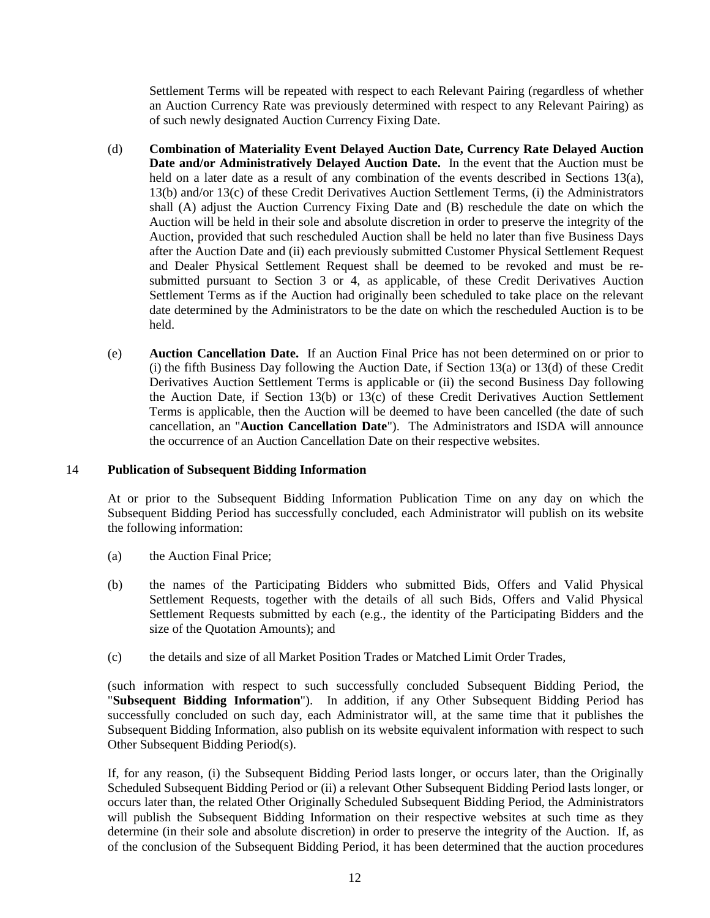Settlement Terms will be repeated with respect to each Relevant Pairing (regardless of whether an Auction Currency Rate was previously determined with respect to any Relevant Pairing) as of such newly designated Auction Currency Fixing Date.

- (d) **Combination of Materiality Event Delayed Auction Date, Currency Rate Delayed Auction Date and/or Administratively Delayed Auction Date.** In the event that the Auction must be held on a later date as a result of any combination of the events described in Sections 13(a), 13(b) and/or 13(c) of these Credit Derivatives Auction Settlement Terms, (i) the Administrators shall (A) adjust the Auction Currency Fixing Date and (B) reschedule the date on which the Auction will be held in their sole and absolute discretion in order to preserve the integrity of the Auction, provided that such rescheduled Auction shall be held no later than five Business Days after the Auction Date and (ii) each previously submitted Customer Physical Settlement Request and Dealer Physical Settlement Request shall be deemed to be revoked and must be resubmitted pursuant to Section 3 or 4, as applicable, of these Credit Derivatives Auction Settlement Terms as if the Auction had originally been scheduled to take place on the relevant date determined by the Administrators to be the date on which the rescheduled Auction is to be held.
- (e) **Auction Cancellation Date.** If an Auction Final Price has not been determined on or prior to (i) the fifth Business Day following the Auction Date, if Section 13(a) or 13(d) of these Credit Derivatives Auction Settlement Terms is applicable or (ii) the second Business Day following the Auction Date, if Section 13(b) or 13(c) of these Credit Derivatives Auction Settlement Terms is applicable, then the Auction will be deemed to have been cancelled (the date of such cancellation, an "**Auction Cancellation Date**"). The Administrators and ISDA will announce the occurrence of an Auction Cancellation Date on their respective websites.

#### 14 **Publication of Subsequent Bidding Information**

At or prior to the Subsequent Bidding Information Publication Time on any day on which the Subsequent Bidding Period has successfully concluded, each Administrator will publish on its website the following information:

- (a) the Auction Final Price;
- (b) the names of the Participating Bidders who submitted Bids, Offers and Valid Physical Settlement Requests, together with the details of all such Bids, Offers and Valid Physical Settlement Requests submitted by each (e.g., the identity of the Participating Bidders and the size of the Quotation Amounts); and
- (c) the details and size of all Market Position Trades or Matched Limit Order Trades,

(such information with respect to such successfully concluded Subsequent Bidding Period, the "**Subsequent Bidding Information**"). In addition, if any Other Subsequent Bidding Period has successfully concluded on such day, each Administrator will, at the same time that it publishes the Subsequent Bidding Information, also publish on its website equivalent information with respect to such Other Subsequent Bidding Period(s).

If, for any reason, (i) the Subsequent Bidding Period lasts longer, or occurs later, than the Originally Scheduled Subsequent Bidding Period or (ii) a relevant Other Subsequent Bidding Period lasts longer, or occurs later than, the related Other Originally Scheduled Subsequent Bidding Period, the Administrators will publish the Subsequent Bidding Information on their respective websites at such time as they determine (in their sole and absolute discretion) in order to preserve the integrity of the Auction. If, as of the conclusion of the Subsequent Bidding Period, it has been determined that the auction procedures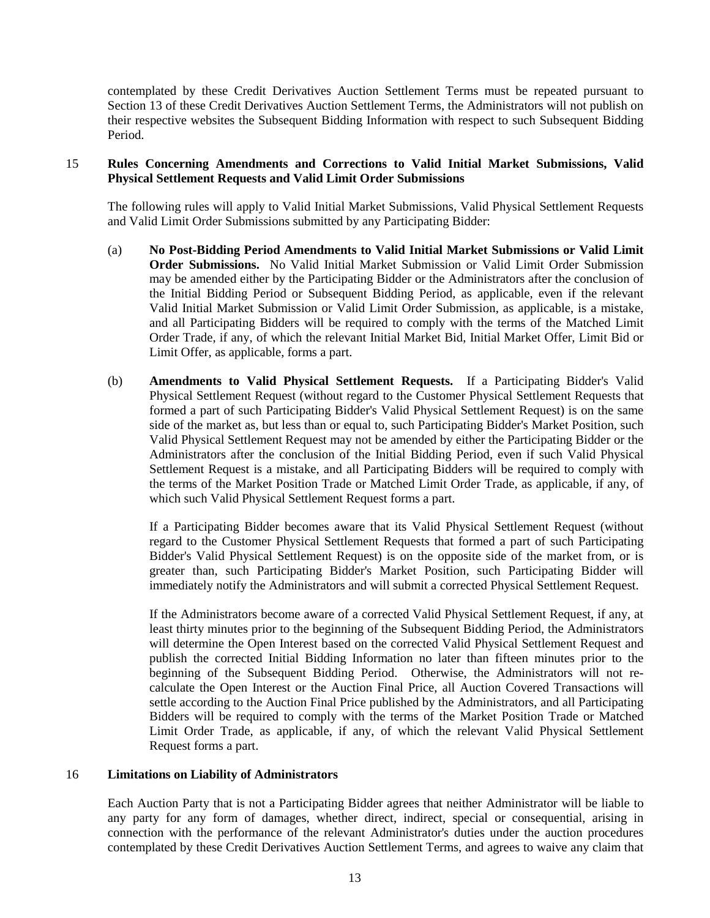contemplated by these Credit Derivatives Auction Settlement Terms must be repeated pursuant to Section 13 of these Credit Derivatives Auction Settlement Terms, the Administrators will not publish on their respective websites the Subsequent Bidding Information with respect to such Subsequent Bidding Period.

# 15 **Rules Concerning Amendments and Corrections to Valid Initial Market Submissions, Valid Physical Settlement Requests and Valid Limit Order Submissions**

The following rules will apply to Valid Initial Market Submissions, Valid Physical Settlement Requests and Valid Limit Order Submissions submitted by any Participating Bidder:

- (a) **No Post-Bidding Period Amendments to Valid Initial Market Submissions or Valid Limit Order Submissions.** No Valid Initial Market Submission or Valid Limit Order Submission may be amended either by the Participating Bidder or the Administrators after the conclusion of the Initial Bidding Period or Subsequent Bidding Period, as applicable, even if the relevant Valid Initial Market Submission or Valid Limit Order Submission, as applicable, is a mistake, and all Participating Bidders will be required to comply with the terms of the Matched Limit Order Trade, if any, of which the relevant Initial Market Bid, Initial Market Offer, Limit Bid or Limit Offer, as applicable, forms a part.
- (b) **Amendments to Valid Physical Settlement Requests.** If a Participating Bidder's Valid Physical Settlement Request (without regard to the Customer Physical Settlement Requests that formed a part of such Participating Bidder's Valid Physical Settlement Request) is on the same side of the market as, but less than or equal to, such Participating Bidder's Market Position, such Valid Physical Settlement Request may not be amended by either the Participating Bidder or the Administrators after the conclusion of the Initial Bidding Period, even if such Valid Physical Settlement Request is a mistake, and all Participating Bidders will be required to comply with the terms of the Market Position Trade or Matched Limit Order Trade, as applicable, if any, of which such Valid Physical Settlement Request forms a part.

If a Participating Bidder becomes aware that its Valid Physical Settlement Request (without regard to the Customer Physical Settlement Requests that formed a part of such Participating Bidder's Valid Physical Settlement Request) is on the opposite side of the market from, or is greater than, such Participating Bidder's Market Position, such Participating Bidder will immediately notify the Administrators and will submit a corrected Physical Settlement Request.

If the Administrators become aware of a corrected Valid Physical Settlement Request, if any, at least thirty minutes prior to the beginning of the Subsequent Bidding Period, the Administrators will determine the Open Interest based on the corrected Valid Physical Settlement Request and publish the corrected Initial Bidding Information no later than fifteen minutes prior to the beginning of the Subsequent Bidding Period. Otherwise, the Administrators will not recalculate the Open Interest or the Auction Final Price, all Auction Covered Transactions will settle according to the Auction Final Price published by the Administrators, and all Participating Bidders will be required to comply with the terms of the Market Position Trade or Matched Limit Order Trade, as applicable, if any, of which the relevant Valid Physical Settlement Request forms a part.

# 16 **Limitations on Liability of Administrators**

Each Auction Party that is not a Participating Bidder agrees that neither Administrator will be liable to any party for any form of damages, whether direct, indirect, special or consequential, arising in connection with the performance of the relevant Administrator's duties under the auction procedures contemplated by these Credit Derivatives Auction Settlement Terms, and agrees to waive any claim that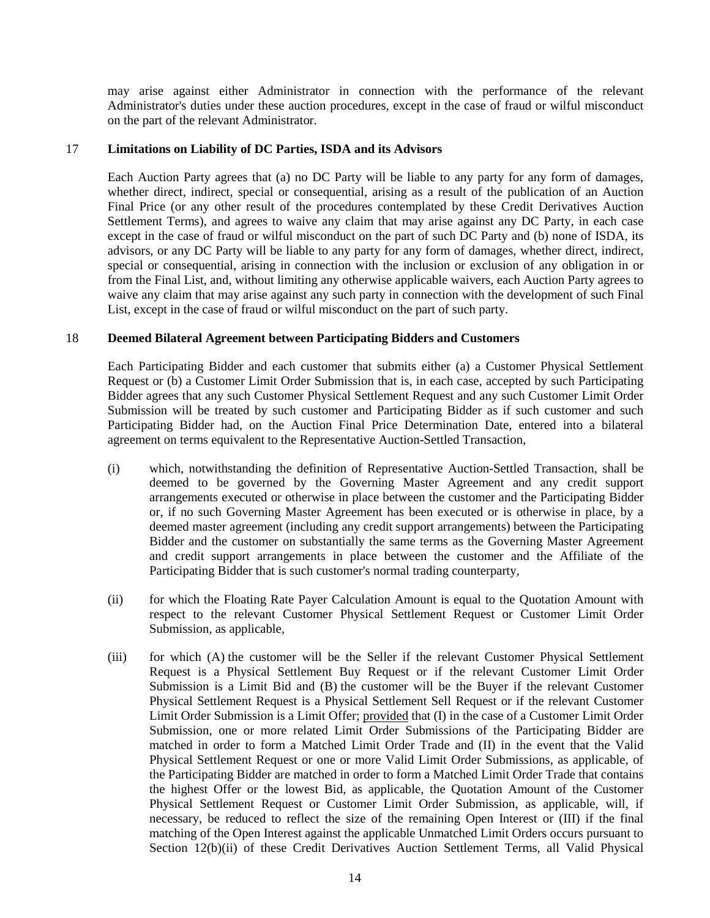may arise against either Administrator in connection with the performance of the relevant Administrator's duties under these auction procedures, except in the case of fraud or wilful misconduct on the part of the relevant Administrator.

#### 17 **Limitations on Liability of DC Parties, ISDA and its Advisors**

Each Auction Party agrees that (a) no DC Party will be liable to any party for any form of damages, whether direct, indirect, special or consequential, arising as a result of the publication of an Auction Final Price (or any other result of the procedures contemplated by these Credit Derivatives Auction Settlement Terms), and agrees to waive any claim that may arise against any DC Party, in each case except in the case of fraud or wilful misconduct on the part of such DC Party and (b) none of ISDA, its advisors, or any DC Party will be liable to any party for any form of damages, whether direct, indirect, special or consequential, arising in connection with the inclusion or exclusion of any obligation in or from the Final List, and, without limiting any otherwise applicable waivers, each Auction Party agrees to waive any claim that may arise against any such party in connection with the development of such Final List, except in the case of fraud or wilful misconduct on the part of such party.

# 18 **Deemed Bilateral Agreement between Participating Bidders and Customers**

Each Participating Bidder and each customer that submits either (a) a Customer Physical Settlement Request or (b) a Customer Limit Order Submission that is, in each case, accepted by such Participating Bidder agrees that any such Customer Physical Settlement Request and any such Customer Limit Order Submission will be treated by such customer and Participating Bidder as if such customer and such Participating Bidder had, on the Auction Final Price Determination Date, entered into a bilateral agreement on terms equivalent to the Representative Auction-Settled Transaction,

- (i) which, notwithstanding the definition of Representative Auction-Settled Transaction, shall be deemed to be governed by the Governing Master Agreement and any credit support arrangements executed or otherwise in place between the customer and the Participating Bidder or, if no such Governing Master Agreement has been executed or is otherwise in place, by a deemed master agreement (including any credit support arrangements) between the Participating Bidder and the customer on substantially the same terms as the Governing Master Agreement and credit support arrangements in place between the customer and the Affiliate of the Participating Bidder that is such customer's normal trading counterparty,
- (ii) for which the Floating Rate Payer Calculation Amount is equal to the Quotation Amount with respect to the relevant Customer Physical Settlement Request or Customer Limit Order Submission, as applicable,
- (iii) for which (A) the customer will be the Seller if the relevant Customer Physical Settlement Request is a Physical Settlement Buy Request or if the relevant Customer Limit Order Submission is a Limit Bid and (B) the customer will be the Buyer if the relevant Customer Physical Settlement Request is a Physical Settlement Sell Request or if the relevant Customer Limit Order Submission is a Limit Offer; provided that (I) in the case of a Customer Limit Order Submission, one or more related Limit Order Submissions of the Participating Bidder are matched in order to form a Matched Limit Order Trade and (II) in the event that the Valid Physical Settlement Request or one or more Valid Limit Order Submissions, as applicable, of the Participating Bidder are matched in order to form a Matched Limit Order Trade that contains the highest Offer or the lowest Bid, as applicable, the Quotation Amount of the Customer Physical Settlement Request or Customer Limit Order Submission, as applicable, will, if necessary, be reduced to reflect the size of the remaining Open Interest or (III) if the final matching of the Open Interest against the applicable Unmatched Limit Orders occurs pursuant to Section 12(b)(ii) of these Credit Derivatives Auction Settlement Terms, all Valid Physical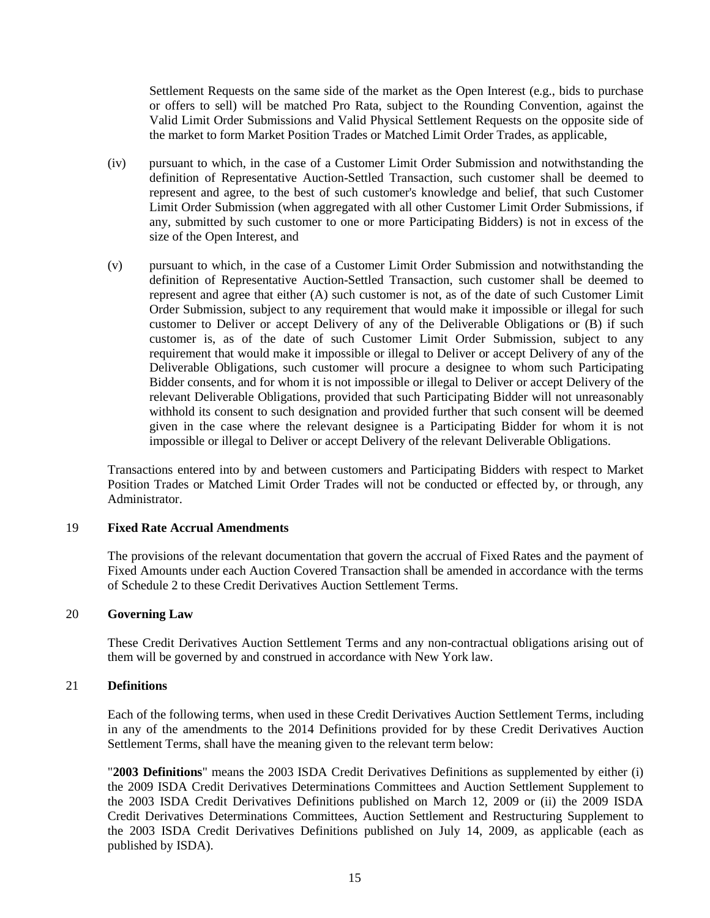Settlement Requests on the same side of the market as the Open Interest (e.g., bids to purchase or offers to sell) will be matched Pro Rata, subject to the Rounding Convention, against the Valid Limit Order Submissions and Valid Physical Settlement Requests on the opposite side of the market to form Market Position Trades or Matched Limit Order Trades, as applicable,

- (iv) pursuant to which, in the case of a Customer Limit Order Submission and notwithstanding the definition of Representative Auction-Settled Transaction, such customer shall be deemed to represent and agree, to the best of such customer's knowledge and belief, that such Customer Limit Order Submission (when aggregated with all other Customer Limit Order Submissions, if any, submitted by such customer to one or more Participating Bidders) is not in excess of the size of the Open Interest, and
- (v) pursuant to which, in the case of a Customer Limit Order Submission and notwithstanding the definition of Representative Auction-Settled Transaction, such customer shall be deemed to represent and agree that either (A) such customer is not, as of the date of such Customer Limit Order Submission, subject to any requirement that would make it impossible or illegal for such customer to Deliver or accept Delivery of any of the Deliverable Obligations or (B) if such customer is, as of the date of such Customer Limit Order Submission, subject to any requirement that would make it impossible or illegal to Deliver or accept Delivery of any of the Deliverable Obligations, such customer will procure a designee to whom such Participating Bidder consents, and for whom it is not impossible or illegal to Deliver or accept Delivery of the relevant Deliverable Obligations, provided that such Participating Bidder will not unreasonably withhold its consent to such designation and provided further that such consent will be deemed given in the case where the relevant designee is a Participating Bidder for whom it is not impossible or illegal to Deliver or accept Delivery of the relevant Deliverable Obligations.

Transactions entered into by and between customers and Participating Bidders with respect to Market Position Trades or Matched Limit Order Trades will not be conducted or effected by, or through, any Administrator.

#### 19 **Fixed Rate Accrual Amendments**

The provisions of the relevant documentation that govern the accrual of Fixed Rates and the payment of Fixed Amounts under each Auction Covered Transaction shall be amended in accordance with the terms of Schedule 2 to these Credit Derivatives Auction Settlement Terms.

#### 20 **Governing Law**

These Credit Derivatives Auction Settlement Terms and any non-contractual obligations arising out of them will be governed by and construed in accordance with New York law.

#### 21 **Definitions**

Each of the following terms, when used in these Credit Derivatives Auction Settlement Terms, including in any of the amendments to the 2014 Definitions provided for by these Credit Derivatives Auction Settlement Terms, shall have the meaning given to the relevant term below:

"**2003 Definitions**" means the 2003 ISDA Credit Derivatives Definitions as supplemented by either (i) the 2009 ISDA Credit Derivatives Determinations Committees and Auction Settlement Supplement to the 2003 ISDA Credit Derivatives Definitions published on March 12, 2009 or (ii) the 2009 ISDA Credit Derivatives Determinations Committees, Auction Settlement and Restructuring Supplement to the 2003 ISDA Credit Derivatives Definitions published on July 14, 2009, as applicable (each as published by ISDA).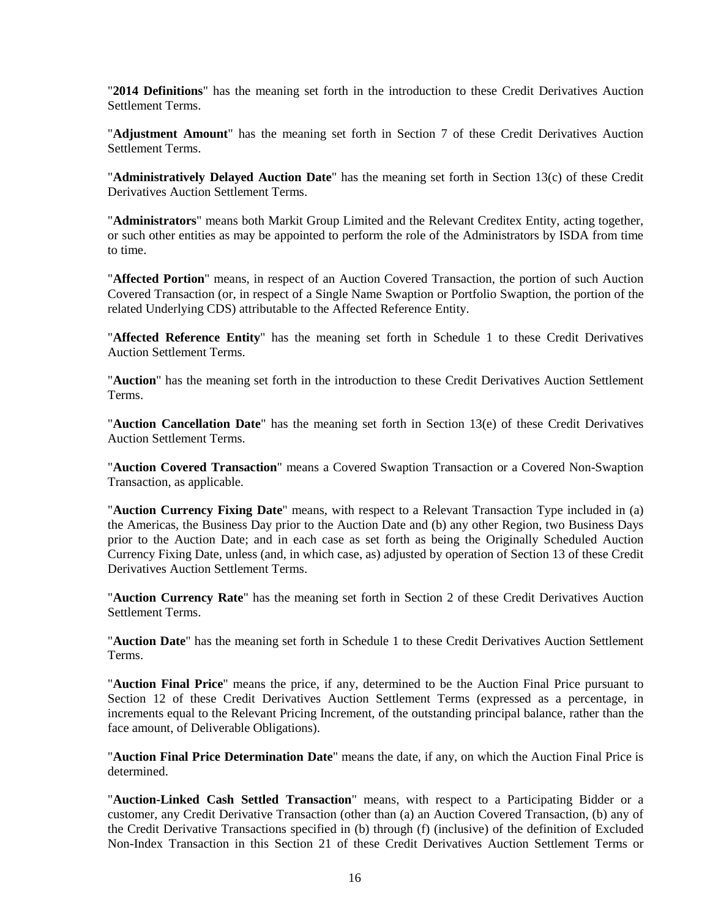"**2014 Definitions**" has the meaning set forth in the introduction to these Credit Derivatives Auction Settlement Terms.

"**Adjustment Amount**" has the meaning set forth in Section 7 of these Credit Derivatives Auction Settlement Terms.

"**Administratively Delayed Auction Date**" has the meaning set forth in Section 13(c) of these Credit Derivatives Auction Settlement Terms.

"**Administrators**" means both Markit Group Limited and the Relevant Creditex Entity, acting together, or such other entities as may be appointed to perform the role of the Administrators by ISDA from time to time.

"**Affected Portion**" means, in respect of an Auction Covered Transaction, the portion of such Auction Covered Transaction (or, in respect of a Single Name Swaption or Portfolio Swaption, the portion of the related Underlying CDS) attributable to the Affected Reference Entity.

"**Affected Reference Entity**" has the meaning set forth in Schedule 1 to these Credit Derivatives Auction Settlement Terms.

"**Auction**" has the meaning set forth in the introduction to these Credit Derivatives Auction Settlement Terms.

"**Auction Cancellation Date**" has the meaning set forth in Section 13(e) of these Credit Derivatives Auction Settlement Terms.

"**Auction Covered Transaction**" means a Covered Swaption Transaction or a Covered Non-Swaption Transaction, as applicable.

"**Auction Currency Fixing Date**" means, with respect to a Relevant Transaction Type included in (a) the Americas, the Business Day prior to the Auction Date and (b) any other Region, two Business Days prior to the Auction Date; and in each case as set forth as being the Originally Scheduled Auction Currency Fixing Date, unless (and, in which case, as) adjusted by operation of Section 13 of these Credit Derivatives Auction Settlement Terms.

"**Auction Currency Rate**" has the meaning set forth in Section 2 of these Credit Derivatives Auction Settlement Terms.

"**Auction Date**" has the meaning set forth in Schedule 1 to these Credit Derivatives Auction Settlement Terms.

"**Auction Final Price**" means the price, if any, determined to be the Auction Final Price pursuant to Section 12 of these Credit Derivatives Auction Settlement Terms (expressed as a percentage, in increments equal to the Relevant Pricing Increment, of the outstanding principal balance, rather than the face amount, of Deliverable Obligations).

"**Auction Final Price Determination Date**" means the date, if any, on which the Auction Final Price is determined.

"**Auction-Linked Cash Settled Transaction**" means, with respect to a Participating Bidder or a customer, any Credit Derivative Transaction (other than (a) an Auction Covered Transaction, (b) any of the Credit Derivative Transactions specified in (b) through (f) (inclusive) of the definition of Excluded Non-Index Transaction in this Section 21 of these Credit Derivatives Auction Settlement Terms or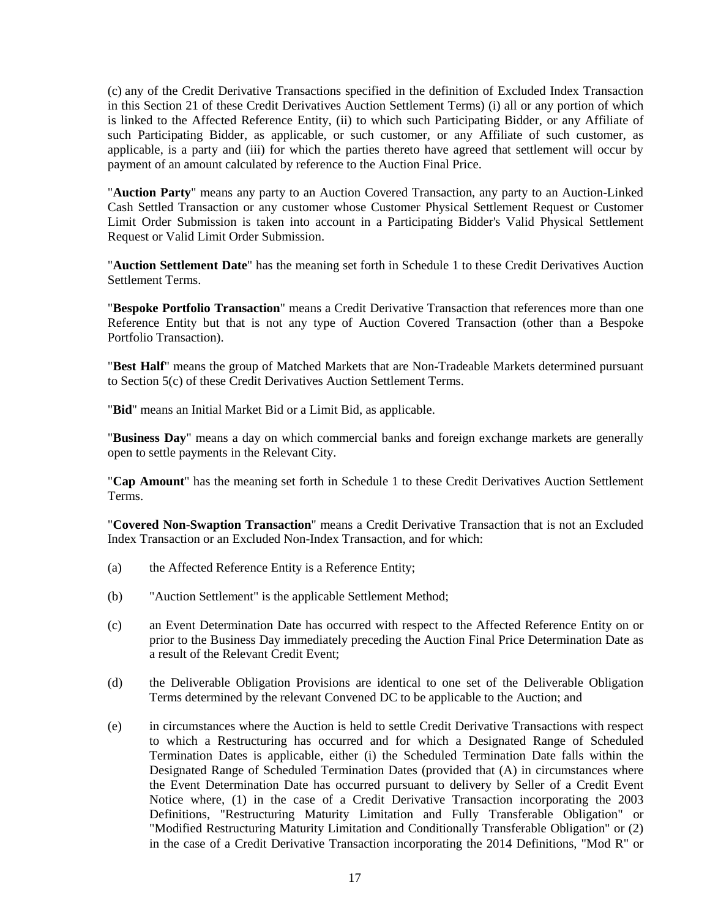(c) any of the Credit Derivative Transactions specified in the definition of Excluded Index Transaction in this Section 21 of these Credit Derivatives Auction Settlement Terms) (i) all or any portion of which is linked to the Affected Reference Entity, (ii) to which such Participating Bidder, or any Affiliate of such Participating Bidder, as applicable, or such customer, or any Affiliate of such customer, as applicable, is a party and (iii) for which the parties thereto have agreed that settlement will occur by payment of an amount calculated by reference to the Auction Final Price.

"**Auction Party**" means any party to an Auction Covered Transaction, any party to an Auction-Linked Cash Settled Transaction or any customer whose Customer Physical Settlement Request or Customer Limit Order Submission is taken into account in a Participating Bidder's Valid Physical Settlement Request or Valid Limit Order Submission.

"**Auction Settlement Date**" has the meaning set forth in Schedule 1 to these Credit Derivatives Auction Settlement Terms.

"**Bespoke Portfolio Transaction**" means a Credit Derivative Transaction that references more than one Reference Entity but that is not any type of Auction Covered Transaction (other than a Bespoke Portfolio Transaction).

"**Best Half**" means the group of Matched Markets that are Non-Tradeable Markets determined pursuant to Section 5(c) of these Credit Derivatives Auction Settlement Terms.

"**Bid**" means an Initial Market Bid or a Limit Bid, as applicable.

"**Business Day**" means a day on which commercial banks and foreign exchange markets are generally open to settle payments in the Relevant City.

"**Cap Amount**" has the meaning set forth in Schedule 1 to these Credit Derivatives Auction Settlement Terms.

"**Covered Non-Swaption Transaction**" means a Credit Derivative Transaction that is not an Excluded Index Transaction or an Excluded Non-Index Transaction, and for which:

- (a) the Affected Reference Entity is a Reference Entity;
- (b) "Auction Settlement" is the applicable Settlement Method;
- (c) an Event Determination Date has occurred with respect to the Affected Reference Entity on or prior to the Business Day immediately preceding the Auction Final Price Determination Date as a result of the Relevant Credit Event;
- (d) the Deliverable Obligation Provisions are identical to one set of the Deliverable Obligation Terms determined by the relevant Convened DC to be applicable to the Auction; and
- (e) in circumstances where the Auction is held to settle Credit Derivative Transactions with respect to which a Restructuring has occurred and for which a Designated Range of Scheduled Termination Dates is applicable, either (i) the Scheduled Termination Date falls within the Designated Range of Scheduled Termination Dates (provided that (A) in circumstances where the Event Determination Date has occurred pursuant to delivery by Seller of a Credit Event Notice where, (1) in the case of a Credit Derivative Transaction incorporating the 2003 Definitions, "Restructuring Maturity Limitation and Fully Transferable Obligation" or "Modified Restructuring Maturity Limitation and Conditionally Transferable Obligation" or (2) in the case of a Credit Derivative Transaction incorporating the 2014 Definitions, "Mod R" or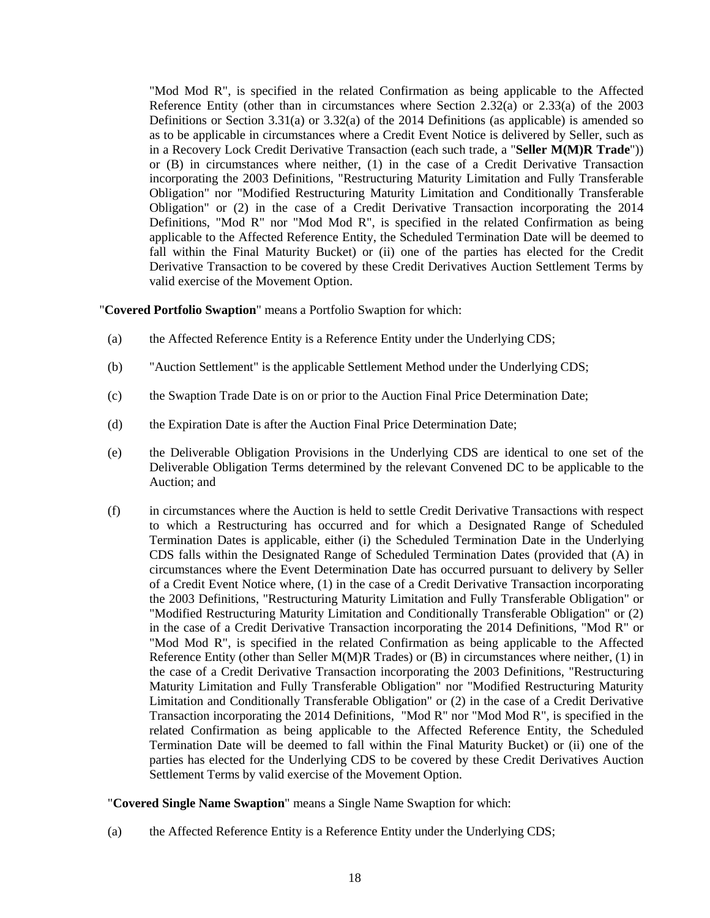"Mod Mod R", is specified in the related Confirmation as being applicable to the Affected Reference Entity (other than in circumstances where Section 2.32(a) or 2.33(a) of the 2003 Definitions or Section 3.31(a) or 3.32(a) of the 2014 Definitions (as applicable) is amended so as to be applicable in circumstances where a Credit Event Notice is delivered by Seller, such as in a Recovery Lock Credit Derivative Transaction (each such trade, a "**Seller M(M)R Trade**")) or (B) in circumstances where neither, (1) in the case of a Credit Derivative Transaction incorporating the 2003 Definitions, "Restructuring Maturity Limitation and Fully Transferable Obligation" nor "Modified Restructuring Maturity Limitation and Conditionally Transferable Obligation" or (2) in the case of a Credit Derivative Transaction incorporating the 2014 Definitions, "Mod R" nor "Mod Mod R", is specified in the related Confirmation as being applicable to the Affected Reference Entity, the Scheduled Termination Date will be deemed to fall within the Final Maturity Bucket) or (ii) one of the parties has elected for the Credit Derivative Transaction to be covered by these Credit Derivatives Auction Settlement Terms by valid exercise of the Movement Option.

"**Covered Portfolio Swaption**" means a Portfolio Swaption for which:

- (a) the Affected Reference Entity is a Reference Entity under the Underlying CDS;
- (b) "Auction Settlement" is the applicable Settlement Method under the Underlying CDS;
- (c) the Swaption Trade Date is on or prior to the Auction Final Price Determination Date;
- (d) the Expiration Date is after the Auction Final Price Determination Date;
- (e) the Deliverable Obligation Provisions in the Underlying CDS are identical to one set of the Deliverable Obligation Terms determined by the relevant Convened DC to be applicable to the Auction; and
- (f) in circumstances where the Auction is held to settle Credit Derivative Transactions with respect to which a Restructuring has occurred and for which a Designated Range of Scheduled Termination Dates is applicable, either (i) the Scheduled Termination Date in the Underlying CDS falls within the Designated Range of Scheduled Termination Dates (provided that (A) in circumstances where the Event Determination Date has occurred pursuant to delivery by Seller of a Credit Event Notice where, (1) in the case of a Credit Derivative Transaction incorporating the 2003 Definitions, "Restructuring Maturity Limitation and Fully Transferable Obligation" or "Modified Restructuring Maturity Limitation and Conditionally Transferable Obligation" or (2) in the case of a Credit Derivative Transaction incorporating the 2014 Definitions, "Mod R" or "Mod Mod R", is specified in the related Confirmation as being applicable to the Affected Reference Entity (other than Seller M(M)R Trades) or (B) in circumstances where neither, (1) in the case of a Credit Derivative Transaction incorporating the 2003 Definitions, "Restructuring Maturity Limitation and Fully Transferable Obligation" nor "Modified Restructuring Maturity Limitation and Conditionally Transferable Obligation" or (2) in the case of a Credit Derivative Transaction incorporating the 2014 Definitions, "Mod R" nor "Mod Mod R", is specified in the related Confirmation as being applicable to the Affected Reference Entity, the Scheduled Termination Date will be deemed to fall within the Final Maturity Bucket) or (ii) one of the parties has elected for the Underlying CDS to be covered by these Credit Derivatives Auction Settlement Terms by valid exercise of the Movement Option.

"**Covered Single Name Swaption**" means a Single Name Swaption for which:

(a) the Affected Reference Entity is a Reference Entity under the Underlying CDS;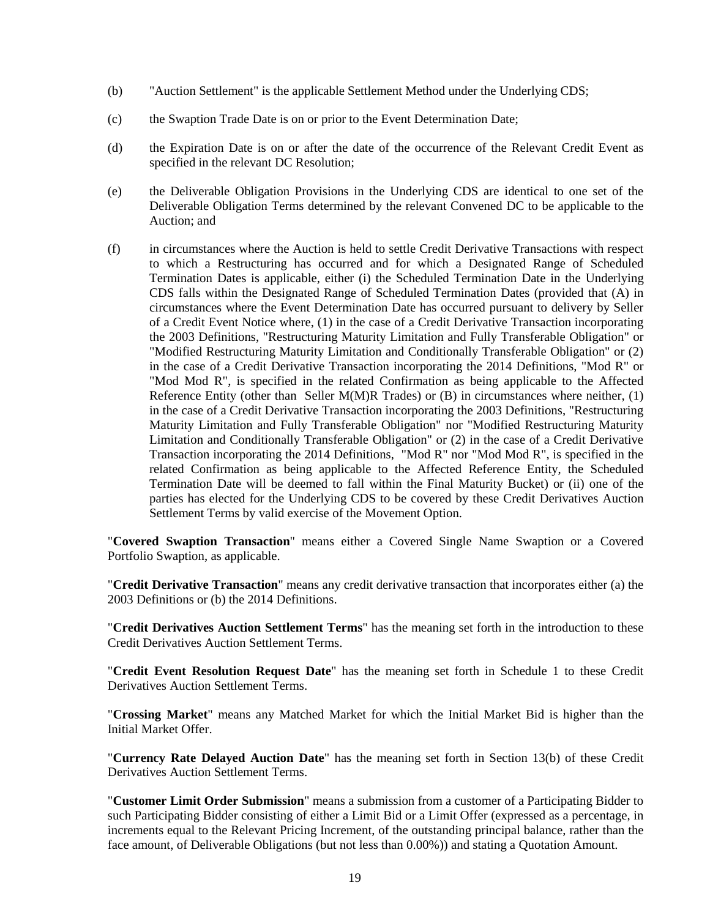- (b) "Auction Settlement" is the applicable Settlement Method under the Underlying CDS;
- (c) the Swaption Trade Date is on or prior to the Event Determination Date;
- (d) the Expiration Date is on or after the date of the occurrence of the Relevant Credit Event as specified in the relevant DC Resolution;
- (e) the Deliverable Obligation Provisions in the Underlying CDS are identical to one set of the Deliverable Obligation Terms determined by the relevant Convened DC to be applicable to the Auction; and
- (f) in circumstances where the Auction is held to settle Credit Derivative Transactions with respect to which a Restructuring has occurred and for which a Designated Range of Scheduled Termination Dates is applicable, either (i) the Scheduled Termination Date in the Underlying CDS falls within the Designated Range of Scheduled Termination Dates (provided that (A) in circumstances where the Event Determination Date has occurred pursuant to delivery by Seller of a Credit Event Notice where, (1) in the case of a Credit Derivative Transaction incorporating the 2003 Definitions, "Restructuring Maturity Limitation and Fully Transferable Obligation" or "Modified Restructuring Maturity Limitation and Conditionally Transferable Obligation" or (2) in the case of a Credit Derivative Transaction incorporating the 2014 Definitions, "Mod R" or "Mod Mod R", is specified in the related Confirmation as being applicable to the Affected Reference Entity (other than Seller M(M)R Trades) or (B) in circumstances where neither, (1) in the case of a Credit Derivative Transaction incorporating the 2003 Definitions, "Restructuring Maturity Limitation and Fully Transferable Obligation" nor "Modified Restructuring Maturity Limitation and Conditionally Transferable Obligation" or (2) in the case of a Credit Derivative Transaction incorporating the 2014 Definitions, "Mod R" nor "Mod Mod R", is specified in the related Confirmation as being applicable to the Affected Reference Entity, the Scheduled Termination Date will be deemed to fall within the Final Maturity Bucket) or (ii) one of the parties has elected for the Underlying CDS to be covered by these Credit Derivatives Auction Settlement Terms by valid exercise of the Movement Option.

"**Covered Swaption Transaction**" means either a Covered Single Name Swaption or a Covered Portfolio Swaption, as applicable.

"**Credit Derivative Transaction**" means any credit derivative transaction that incorporates either (a) the 2003 Definitions or (b) the 2014 Definitions.

"**Credit Derivatives Auction Settlement Terms**" has the meaning set forth in the introduction to these Credit Derivatives Auction Settlement Terms.

"**Credit Event Resolution Request Date**" has the meaning set forth in Schedule 1 to these Credit Derivatives Auction Settlement Terms.

"**Crossing Market**" means any Matched Market for which the Initial Market Bid is higher than the Initial Market Offer.

"**Currency Rate Delayed Auction Date**" has the meaning set forth in Section 13(b) of these Credit Derivatives Auction Settlement Terms.

"**Customer Limit Order Submission**" means a submission from a customer of a Participating Bidder to such Participating Bidder consisting of either a Limit Bid or a Limit Offer (expressed as a percentage, in increments equal to the Relevant Pricing Increment, of the outstanding principal balance, rather than the face amount, of Deliverable Obligations (but not less than 0.00%)) and stating a Quotation Amount.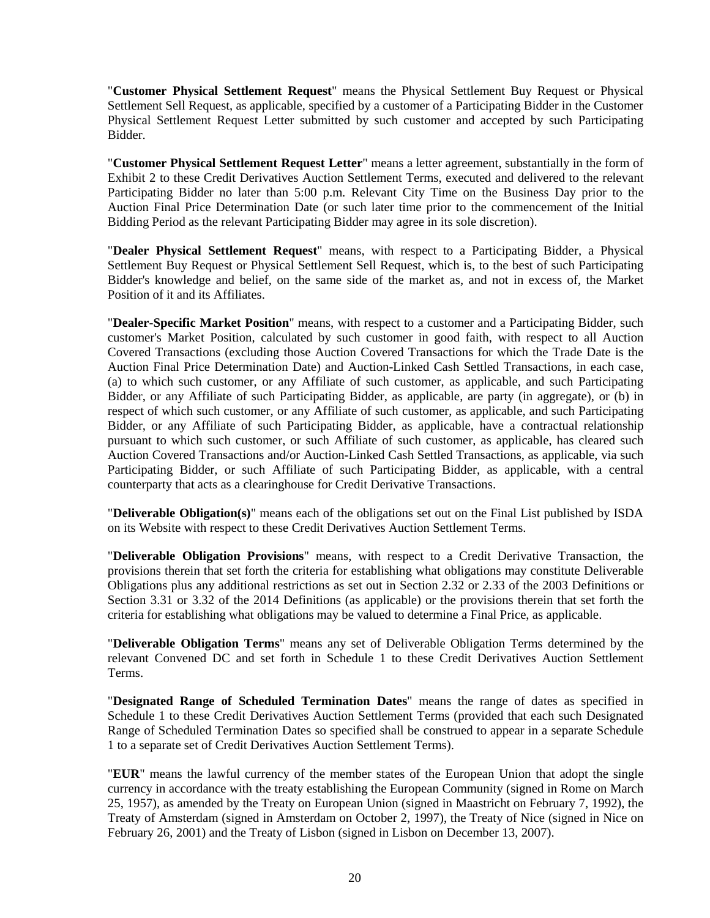"**Customer Physical Settlement Request**" means the Physical Settlement Buy Request or Physical Settlement Sell Request, as applicable, specified by a customer of a Participating Bidder in the Customer Physical Settlement Request Letter submitted by such customer and accepted by such Participating Bidder.

"**Customer Physical Settlement Request Letter**" means a letter agreement, substantially in the form of Exhibit 2 to these Credit Derivatives Auction Settlement Terms, executed and delivered to the relevant Participating Bidder no later than 5:00 p.m. Relevant City Time on the Business Day prior to the Auction Final Price Determination Date (or such later time prior to the commencement of the Initial Bidding Period as the relevant Participating Bidder may agree in its sole discretion).

"**Dealer Physical Settlement Request**" means, with respect to a Participating Bidder, a Physical Settlement Buy Request or Physical Settlement Sell Request, which is, to the best of such Participating Bidder's knowledge and belief, on the same side of the market as, and not in excess of, the Market Position of it and its Affiliates.

"**Dealer-Specific Market Position**" means, with respect to a customer and a Participating Bidder, such customer's Market Position, calculated by such customer in good faith, with respect to all Auction Covered Transactions (excluding those Auction Covered Transactions for which the Trade Date is the Auction Final Price Determination Date) and Auction-Linked Cash Settled Transactions, in each case, (a) to which such customer, or any Affiliate of such customer, as applicable, and such Participating Bidder, or any Affiliate of such Participating Bidder, as applicable, are party (in aggregate), or (b) in respect of which such customer, or any Affiliate of such customer, as applicable, and such Participating Bidder, or any Affiliate of such Participating Bidder, as applicable, have a contractual relationship pursuant to which such customer, or such Affiliate of such customer, as applicable, has cleared such Auction Covered Transactions and/or Auction-Linked Cash Settled Transactions, as applicable, via such Participating Bidder, or such Affiliate of such Participating Bidder, as applicable, with a central counterparty that acts as a clearinghouse for Credit Derivative Transactions.

"**Deliverable Obligation(s)**" means each of the obligations set out on the Final List published by ISDA on its Website with respect to these Credit Derivatives Auction Settlement Terms.

"**Deliverable Obligation Provisions**" means, with respect to a Credit Derivative Transaction, the provisions therein that set forth the criteria for establishing what obligations may constitute Deliverable Obligations plus any additional restrictions as set out in Section 2.32 or 2.33 of the 2003 Definitions or Section 3.31 or 3.32 of the 2014 Definitions (as applicable) or the provisions therein that set forth the criteria for establishing what obligations may be valued to determine a Final Price, as applicable.

"**Deliverable Obligation Terms**" means any set of Deliverable Obligation Terms determined by the relevant Convened DC and set forth in Schedule 1 to these Credit Derivatives Auction Settlement Terms.

"**Designated Range of Scheduled Termination Dates**" means the range of dates as specified in Schedule 1 to these Credit Derivatives Auction Settlement Terms (provided that each such Designated Range of Scheduled Termination Dates so specified shall be construed to appear in a separate Schedule 1 to a separate set of Credit Derivatives Auction Settlement Terms).

"**EUR**" means the lawful currency of the member states of the European Union that adopt the single currency in accordance with the treaty establishing the European Community (signed in Rome on March 25, 1957), as amended by the Treaty on European Union (signed in Maastricht on February 7, 1992), the Treaty of Amsterdam (signed in Amsterdam on October 2, 1997), the Treaty of Nice (signed in Nice on February 26, 2001) and the Treaty of Lisbon (signed in Lisbon on December 13, 2007).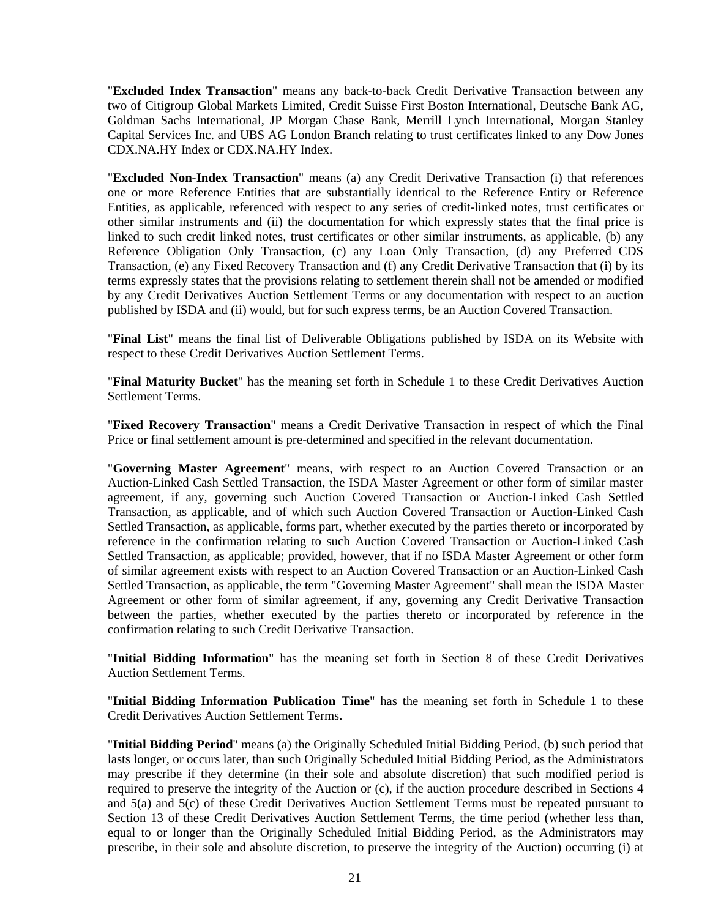"**Excluded Index Transaction**" means any back-to-back Credit Derivative Transaction between any two of Citigroup Global Markets Limited, Credit Suisse First Boston International, Deutsche Bank AG, Goldman Sachs International, JP Morgan Chase Bank, Merrill Lynch International, Morgan Stanley Capital Services Inc. and UBS AG London Branch relating to trust certificates linked to any Dow Jones CDX.NA.HY Index or CDX.NA.HY Index.

"**Excluded Non-Index Transaction**" means (a) any Credit Derivative Transaction (i) that references one or more Reference Entities that are substantially identical to the Reference Entity or Reference Entities, as applicable, referenced with respect to any series of credit-linked notes, trust certificates or other similar instruments and (ii) the documentation for which expressly states that the final price is linked to such credit linked notes, trust certificates or other similar instruments, as applicable, (b) any Reference Obligation Only Transaction, (c) any Loan Only Transaction, (d) any Preferred CDS Transaction, (e) any Fixed Recovery Transaction and (f) any Credit Derivative Transaction that (i) by its terms expressly states that the provisions relating to settlement therein shall not be amended or modified by any Credit Derivatives Auction Settlement Terms or any documentation with respect to an auction published by ISDA and (ii) would, but for such express terms, be an Auction Covered Transaction.

"**Final List**" means the final list of Deliverable Obligations published by ISDA on its Website with respect to these Credit Derivatives Auction Settlement Terms.

"**Final Maturity Bucket**" has the meaning set forth in Schedule 1 to these Credit Derivatives Auction Settlement Terms.

"**Fixed Recovery Transaction**" means a Credit Derivative Transaction in respect of which the Final Price or final settlement amount is pre-determined and specified in the relevant documentation.

"**Governing Master Agreement**" means, with respect to an Auction Covered Transaction or an Auction-Linked Cash Settled Transaction, the ISDA Master Agreement or other form of similar master agreement, if any, governing such Auction Covered Transaction or Auction-Linked Cash Settled Transaction, as applicable, and of which such Auction Covered Transaction or Auction-Linked Cash Settled Transaction, as applicable, forms part, whether executed by the parties thereto or incorporated by reference in the confirmation relating to such Auction Covered Transaction or Auction-Linked Cash Settled Transaction, as applicable; provided, however, that if no ISDA Master Agreement or other form of similar agreement exists with respect to an Auction Covered Transaction or an Auction-Linked Cash Settled Transaction, as applicable, the term "Governing Master Agreement" shall mean the ISDA Master Agreement or other form of similar agreement, if any, governing any Credit Derivative Transaction between the parties, whether executed by the parties thereto or incorporated by reference in the confirmation relating to such Credit Derivative Transaction.

"**Initial Bidding Information**" has the meaning set forth in Section 8 of these Credit Derivatives Auction Settlement Terms.

"**Initial Bidding Information Publication Time**" has the meaning set forth in Schedule 1 to these Credit Derivatives Auction Settlement Terms.

"**Initial Bidding Period**" means (a) the Originally Scheduled Initial Bidding Period, (b) such period that lasts longer, or occurs later, than such Originally Scheduled Initial Bidding Period, as the Administrators may prescribe if they determine (in their sole and absolute discretion) that such modified period is required to preserve the integrity of the Auction or (c), if the auction procedure described in Sections 4 and 5(a) and 5(c) of these Credit Derivatives Auction Settlement Terms must be repeated pursuant to Section 13 of these Credit Derivatives Auction Settlement Terms, the time period (whether less than, equal to or longer than the Originally Scheduled Initial Bidding Period, as the Administrators may prescribe, in their sole and absolute discretion, to preserve the integrity of the Auction) occurring (i) at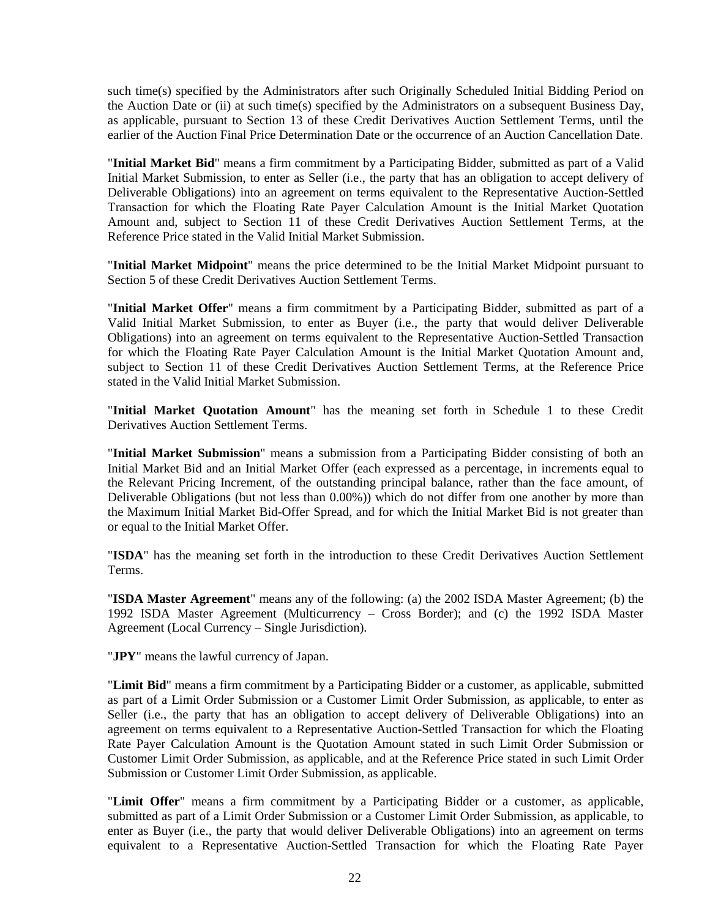such time(s) specified by the Administrators after such Originally Scheduled Initial Bidding Period on the Auction Date or (ii) at such time(s) specified by the Administrators on a subsequent Business Day, as applicable, pursuant to Section 13 of these Credit Derivatives Auction Settlement Terms, until the earlier of the Auction Final Price Determination Date or the occurrence of an Auction Cancellation Date.

"**Initial Market Bid**" means a firm commitment by a Participating Bidder, submitted as part of a Valid Initial Market Submission, to enter as Seller (i.e., the party that has an obligation to accept delivery of Deliverable Obligations) into an agreement on terms equivalent to the Representative Auction-Settled Transaction for which the Floating Rate Payer Calculation Amount is the Initial Market Quotation Amount and, subject to Section 11 of these Credit Derivatives Auction Settlement Terms, at the Reference Price stated in the Valid Initial Market Submission.

"**Initial Market Midpoint**" means the price determined to be the Initial Market Midpoint pursuant to Section 5 of these Credit Derivatives Auction Settlement Terms.

"**Initial Market Offer**" means a firm commitment by a Participating Bidder, submitted as part of a Valid Initial Market Submission, to enter as Buyer (i.e., the party that would deliver Deliverable Obligations) into an agreement on terms equivalent to the Representative Auction-Settled Transaction for which the Floating Rate Payer Calculation Amount is the Initial Market Quotation Amount and, subject to Section 11 of these Credit Derivatives Auction Settlement Terms, at the Reference Price stated in the Valid Initial Market Submission.

"**Initial Market Quotation Amount**" has the meaning set forth in Schedule 1 to these Credit Derivatives Auction Settlement Terms.

"**Initial Market Submission**" means a submission from a Participating Bidder consisting of both an Initial Market Bid and an Initial Market Offer (each expressed as a percentage, in increments equal to the Relevant Pricing Increment, of the outstanding principal balance, rather than the face amount, of Deliverable Obligations (but not less than 0.00%)) which do not differ from one another by more than the Maximum Initial Market Bid-Offer Spread, and for which the Initial Market Bid is not greater than or equal to the Initial Market Offer.

"**ISDA**" has the meaning set forth in the introduction to these Credit Derivatives Auction Settlement Terms.

"**ISDA Master Agreement**" means any of the following: (a) the 2002 ISDA Master Agreement; (b) the 1992 ISDA Master Agreement (Multicurrency – Cross Border); and (c) the 1992 ISDA Master Agreement (Local Currency – Single Jurisdiction).

"**JPY**" means the lawful currency of Japan.

"**Limit Bid**" means a firm commitment by a Participating Bidder or a customer, as applicable, submitted as part of a Limit Order Submission or a Customer Limit Order Submission, as applicable, to enter as Seller (i.e., the party that has an obligation to accept delivery of Deliverable Obligations) into an agreement on terms equivalent to a Representative Auction-Settled Transaction for which the Floating Rate Payer Calculation Amount is the Quotation Amount stated in such Limit Order Submission or Customer Limit Order Submission, as applicable, and at the Reference Price stated in such Limit Order Submission or Customer Limit Order Submission, as applicable.

"**Limit Offer**" means a firm commitment by a Participating Bidder or a customer, as applicable, submitted as part of a Limit Order Submission or a Customer Limit Order Submission, as applicable, to enter as Buyer (i.e., the party that would deliver Deliverable Obligations) into an agreement on terms equivalent to a Representative Auction-Settled Transaction for which the Floating Rate Payer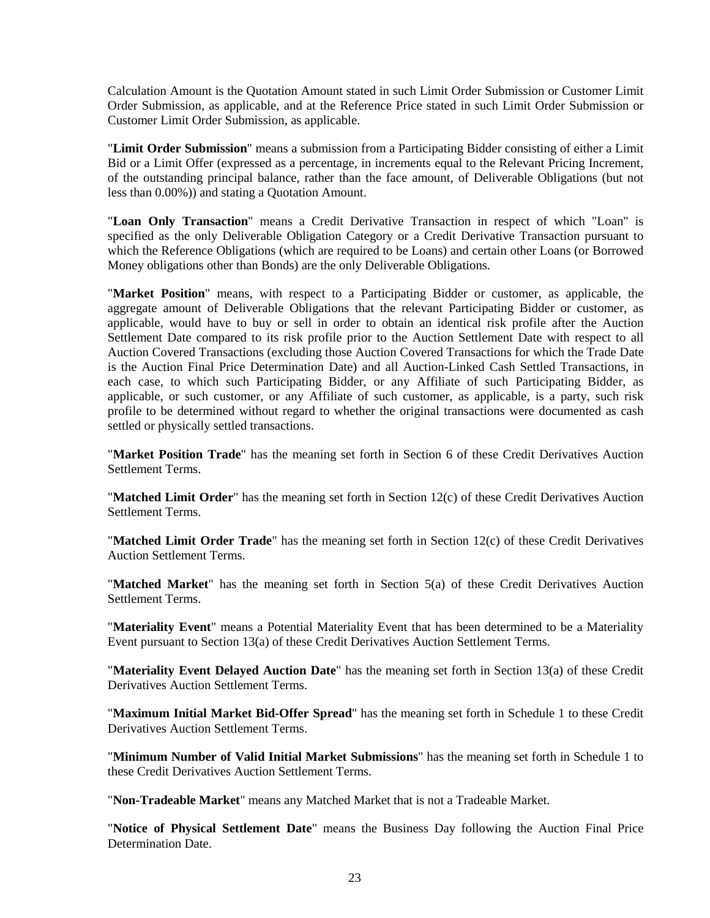Calculation Amount is the Quotation Amount stated in such Limit Order Submission or Customer Limit Order Submission, as applicable, and at the Reference Price stated in such Limit Order Submission or Customer Limit Order Submission, as applicable.

"**Limit Order Submission**" means a submission from a Participating Bidder consisting of either a Limit Bid or a Limit Offer (expressed as a percentage, in increments equal to the Relevant Pricing Increment, of the outstanding principal balance, rather than the face amount, of Deliverable Obligations (but not less than 0.00%)) and stating a Quotation Amount.

"**Loan Only Transaction**" means a Credit Derivative Transaction in respect of which "Loan" is specified as the only Deliverable Obligation Category or a Credit Derivative Transaction pursuant to which the Reference Obligations (which are required to be Loans) and certain other Loans (or Borrowed Money obligations other than Bonds) are the only Deliverable Obligations.

"**Market Position**" means, with respect to a Participating Bidder or customer, as applicable, the aggregate amount of Deliverable Obligations that the relevant Participating Bidder or customer, as applicable, would have to buy or sell in order to obtain an identical risk profile after the Auction Settlement Date compared to its risk profile prior to the Auction Settlement Date with respect to all Auction Covered Transactions (excluding those Auction Covered Transactions for which the Trade Date is the Auction Final Price Determination Date) and all Auction-Linked Cash Settled Transactions, in each case, to which such Participating Bidder, or any Affiliate of such Participating Bidder, as applicable, or such customer, or any Affiliate of such customer, as applicable, is a party, such risk profile to be determined without regard to whether the original transactions were documented as cash settled or physically settled transactions.

"**Market Position Trade**" has the meaning set forth in Section 6 of these Credit Derivatives Auction Settlement Terms.

"**Matched Limit Order**" has the meaning set forth in Section 12(c) of these Credit Derivatives Auction Settlement Terms.

"**Matched Limit Order Trade**" has the meaning set forth in Section 12(c) of these Credit Derivatives Auction Settlement Terms.

"**Matched Market**" has the meaning set forth in Section 5(a) of these Credit Derivatives Auction Settlement Terms.

"**Materiality Event**" means a Potential Materiality Event that has been determined to be a Materiality Event pursuant to Section 13(a) of these Credit Derivatives Auction Settlement Terms.

"**Materiality Event Delayed Auction Date**" has the meaning set forth in Section 13(a) of these Credit Derivatives Auction Settlement Terms.

"**Maximum Initial Market Bid-Offer Spread**" has the meaning set forth in Schedule 1 to these Credit Derivatives Auction Settlement Terms.

"**Minimum Number of Valid Initial Market Submissions**" has the meaning set forth in Schedule 1 to these Credit Derivatives Auction Settlement Terms.

"**Non-Tradeable Market**" means any Matched Market that is not a Tradeable Market.

"**Notice of Physical Settlement Date**" means the Business Day following the Auction Final Price Determination Date.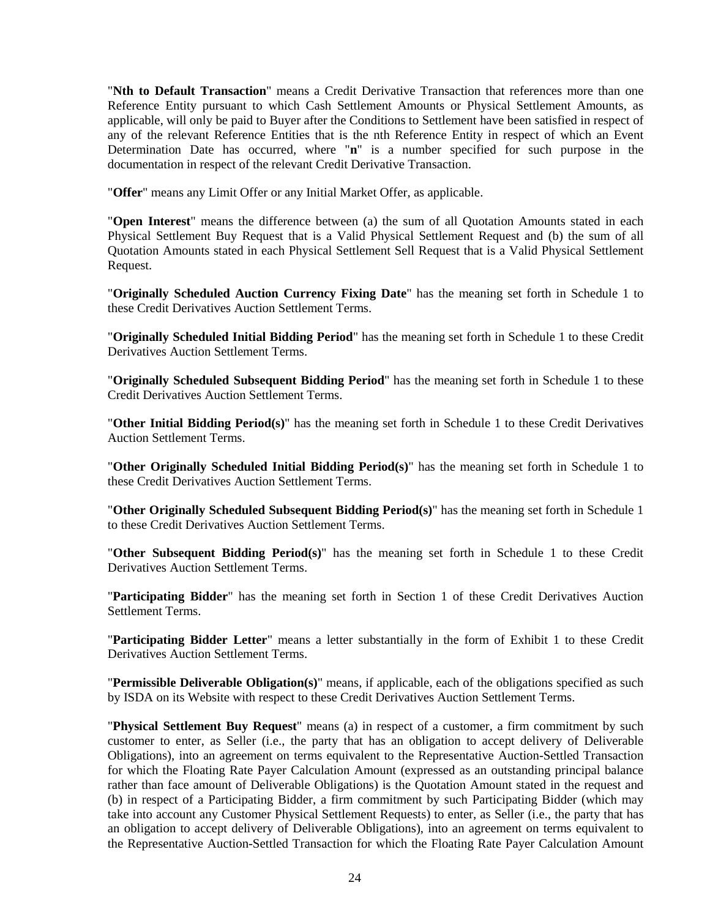"**Nth to Default Transaction**" means a Credit Derivative Transaction that references more than one Reference Entity pursuant to which Cash Settlement Amounts or Physical Settlement Amounts, as applicable, will only be paid to Buyer after the Conditions to Settlement have been satisfied in respect of any of the relevant Reference Entities that is the nth Reference Entity in respect of which an Event Determination Date has occurred, where "**n**" is a number specified for such purpose in the documentation in respect of the relevant Credit Derivative Transaction.

"**Offer**" means any Limit Offer or any Initial Market Offer, as applicable.

"**Open Interest**" means the difference between (a) the sum of all Quotation Amounts stated in each Physical Settlement Buy Request that is a Valid Physical Settlement Request and (b) the sum of all Quotation Amounts stated in each Physical Settlement Sell Request that is a Valid Physical Settlement Request.

"**Originally Scheduled Auction Currency Fixing Date**" has the meaning set forth in Schedule 1 to these Credit Derivatives Auction Settlement Terms.

"**Originally Scheduled Initial Bidding Period**" has the meaning set forth in Schedule 1 to these Credit Derivatives Auction Settlement Terms.

"**Originally Scheduled Subsequent Bidding Period**" has the meaning set forth in Schedule 1 to these Credit Derivatives Auction Settlement Terms.

"**Other Initial Bidding Period(s)**" has the meaning set forth in Schedule 1 to these Credit Derivatives Auction Settlement Terms.

"**Other Originally Scheduled Initial Bidding Period(s)**" has the meaning set forth in Schedule 1 to these Credit Derivatives Auction Settlement Terms.

"**Other Originally Scheduled Subsequent Bidding Period(s)**" has the meaning set forth in Schedule 1 to these Credit Derivatives Auction Settlement Terms.

"**Other Subsequent Bidding Period(s)**" has the meaning set forth in Schedule 1 to these Credit Derivatives Auction Settlement Terms.

"**Participating Bidder**" has the meaning set forth in Section 1 of these Credit Derivatives Auction Settlement Terms.

"**Participating Bidder Letter**" means a letter substantially in the form of Exhibit 1 to these Credit Derivatives Auction Settlement Terms.

"**Permissible Deliverable Obligation(s)**" means, if applicable, each of the obligations specified as such by ISDA on its Website with respect to these Credit Derivatives Auction Settlement Terms.

"**Physical Settlement Buy Request**" means (a) in respect of a customer, a firm commitment by such customer to enter, as Seller (i.e., the party that has an obligation to accept delivery of Deliverable Obligations), into an agreement on terms equivalent to the Representative Auction-Settled Transaction for which the Floating Rate Payer Calculation Amount (expressed as an outstanding principal balance rather than face amount of Deliverable Obligations) is the Quotation Amount stated in the request and (b) in respect of a Participating Bidder, a firm commitment by such Participating Bidder (which may take into account any Customer Physical Settlement Requests) to enter, as Seller (i.e., the party that has an obligation to accept delivery of Deliverable Obligations), into an agreement on terms equivalent to the Representative Auction-Settled Transaction for which the Floating Rate Payer Calculation Amount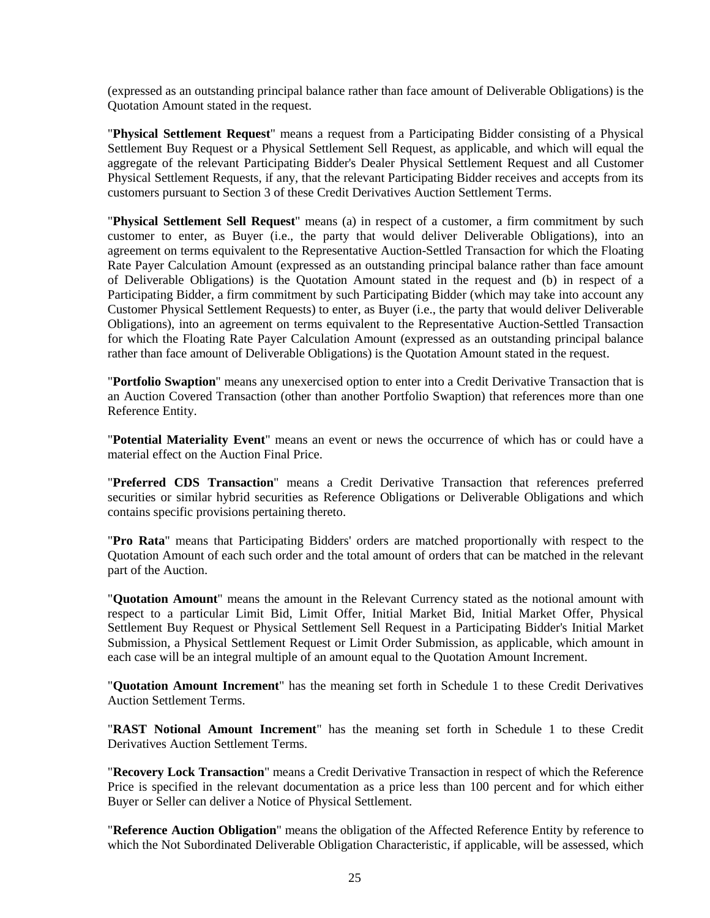(expressed as an outstanding principal balance rather than face amount of Deliverable Obligations) is the Quotation Amount stated in the request.

"**Physical Settlement Request**" means a request from a Participating Bidder consisting of a Physical Settlement Buy Request or a Physical Settlement Sell Request, as applicable, and which will equal the aggregate of the relevant Participating Bidder's Dealer Physical Settlement Request and all Customer Physical Settlement Requests, if any, that the relevant Participating Bidder receives and accepts from its customers pursuant to Section 3 of these Credit Derivatives Auction Settlement Terms.

"**Physical Settlement Sell Request**" means (a) in respect of a customer, a firm commitment by such customer to enter, as Buyer (i.e., the party that would deliver Deliverable Obligations), into an agreement on terms equivalent to the Representative Auction-Settled Transaction for which the Floating Rate Payer Calculation Amount (expressed as an outstanding principal balance rather than face amount of Deliverable Obligations) is the Quotation Amount stated in the request and (b) in respect of a Participating Bidder, a firm commitment by such Participating Bidder (which may take into account any Customer Physical Settlement Requests) to enter, as Buyer (i.e., the party that would deliver Deliverable Obligations), into an agreement on terms equivalent to the Representative Auction-Settled Transaction for which the Floating Rate Payer Calculation Amount (expressed as an outstanding principal balance rather than face amount of Deliverable Obligations) is the Quotation Amount stated in the request.

"**Portfolio Swaption**" means any unexercised option to enter into a Credit Derivative Transaction that is an Auction Covered Transaction (other than another Portfolio Swaption) that references more than one Reference Entity.

"**Potential Materiality Event**" means an event or news the occurrence of which has or could have a material effect on the Auction Final Price.

"**Preferred CDS Transaction**" means a Credit Derivative Transaction that references preferred securities or similar hybrid securities as Reference Obligations or Deliverable Obligations and which contains specific provisions pertaining thereto.

"**Pro Rata**" means that Participating Bidders' orders are matched proportionally with respect to the Quotation Amount of each such order and the total amount of orders that can be matched in the relevant part of the Auction.

"**Quotation Amount**" means the amount in the Relevant Currency stated as the notional amount with respect to a particular Limit Bid, Limit Offer, Initial Market Bid, Initial Market Offer, Physical Settlement Buy Request or Physical Settlement Sell Request in a Participating Bidder's Initial Market Submission, a Physical Settlement Request or Limit Order Submission, as applicable, which amount in each case will be an integral multiple of an amount equal to the Quotation Amount Increment.

"**Quotation Amount Increment**" has the meaning set forth in Schedule 1 to these Credit Derivatives Auction Settlement Terms.

"**RAST Notional Amount Increment**" has the meaning set forth in Schedule 1 to these Credit Derivatives Auction Settlement Terms.

"**Recovery Lock Transaction**" means a Credit Derivative Transaction in respect of which the Reference Price is specified in the relevant documentation as a price less than 100 percent and for which either Buyer or Seller can deliver a Notice of Physical Settlement.

"**Reference Auction Obligation**" means the obligation of the Affected Reference Entity by reference to which the Not Subordinated Deliverable Obligation Characteristic, if applicable, will be assessed, which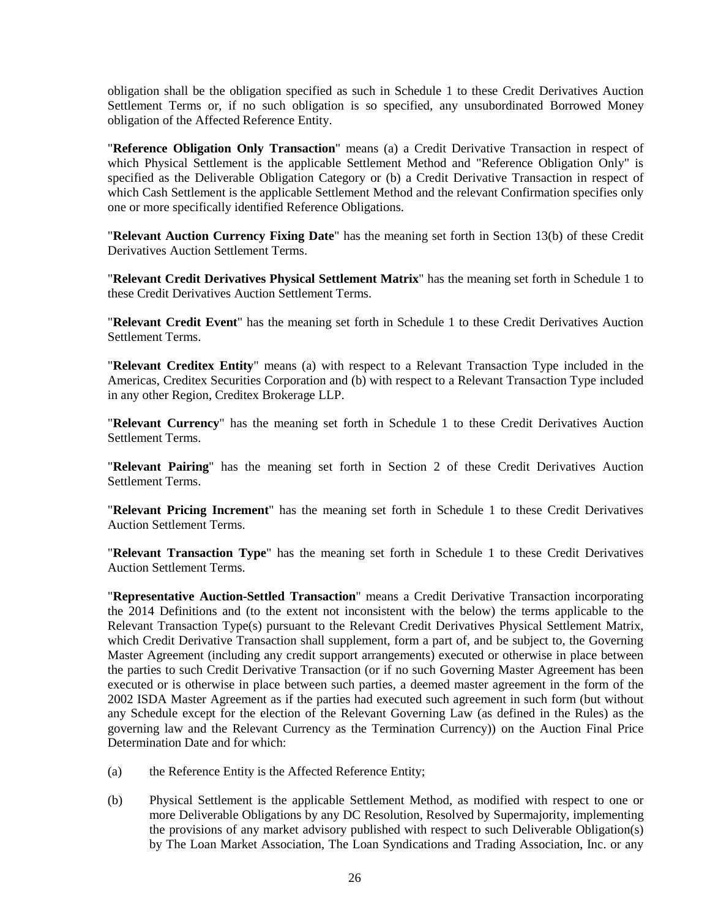obligation shall be the obligation specified as such in Schedule 1 to these Credit Derivatives Auction Settlement Terms or, if no such obligation is so specified, any unsubordinated Borrowed Money obligation of the Affected Reference Entity.

"**Reference Obligation Only Transaction**" means (a) a Credit Derivative Transaction in respect of which Physical Settlement is the applicable Settlement Method and "Reference Obligation Only" is specified as the Deliverable Obligation Category or (b) a Credit Derivative Transaction in respect of which Cash Settlement is the applicable Settlement Method and the relevant Confirmation specifies only one or more specifically identified Reference Obligations.

"**Relevant Auction Currency Fixing Date**" has the meaning set forth in Section 13(b) of these Credit Derivatives Auction Settlement Terms.

"**Relevant Credit Derivatives Physical Settlement Matrix**" has the meaning set forth in Schedule 1 to these Credit Derivatives Auction Settlement Terms.

"**Relevant Credit Event**" has the meaning set forth in Schedule 1 to these Credit Derivatives Auction Settlement Terms.

"**Relevant Creditex Entity**" means (a) with respect to a Relevant Transaction Type included in the Americas, Creditex Securities Corporation and (b) with respect to a Relevant Transaction Type included in any other Region, Creditex Brokerage LLP.

"**Relevant Currency**" has the meaning set forth in Schedule 1 to these Credit Derivatives Auction Settlement Terms.

"**Relevant Pairing**" has the meaning set forth in Section 2 of these Credit Derivatives Auction Settlement Terms.

"**Relevant Pricing Increment**" has the meaning set forth in Schedule 1 to these Credit Derivatives Auction Settlement Terms.

"**Relevant Transaction Type**" has the meaning set forth in Schedule 1 to these Credit Derivatives Auction Settlement Terms.

"**Representative Auction-Settled Transaction**" means a Credit Derivative Transaction incorporating the 2014 Definitions and (to the extent not inconsistent with the below) the terms applicable to the Relevant Transaction Type(s) pursuant to the Relevant Credit Derivatives Physical Settlement Matrix, which Credit Derivative Transaction shall supplement, form a part of, and be subject to, the Governing Master Agreement (including any credit support arrangements) executed or otherwise in place between the parties to such Credit Derivative Transaction (or if no such Governing Master Agreement has been executed or is otherwise in place between such parties, a deemed master agreement in the form of the 2002 ISDA Master Agreement as if the parties had executed such agreement in such form (but without any Schedule except for the election of the Relevant Governing Law (as defined in the Rules) as the governing law and the Relevant Currency as the Termination Currency)) on the Auction Final Price Determination Date and for which:

- (a) the Reference Entity is the Affected Reference Entity;
- (b) Physical Settlement is the applicable Settlement Method, as modified with respect to one or more Deliverable Obligations by any DC Resolution, Resolved by Supermajority, implementing the provisions of any market advisory published with respect to such Deliverable Obligation(s) by The Loan Market Association, The Loan Syndications and Trading Association, Inc. or any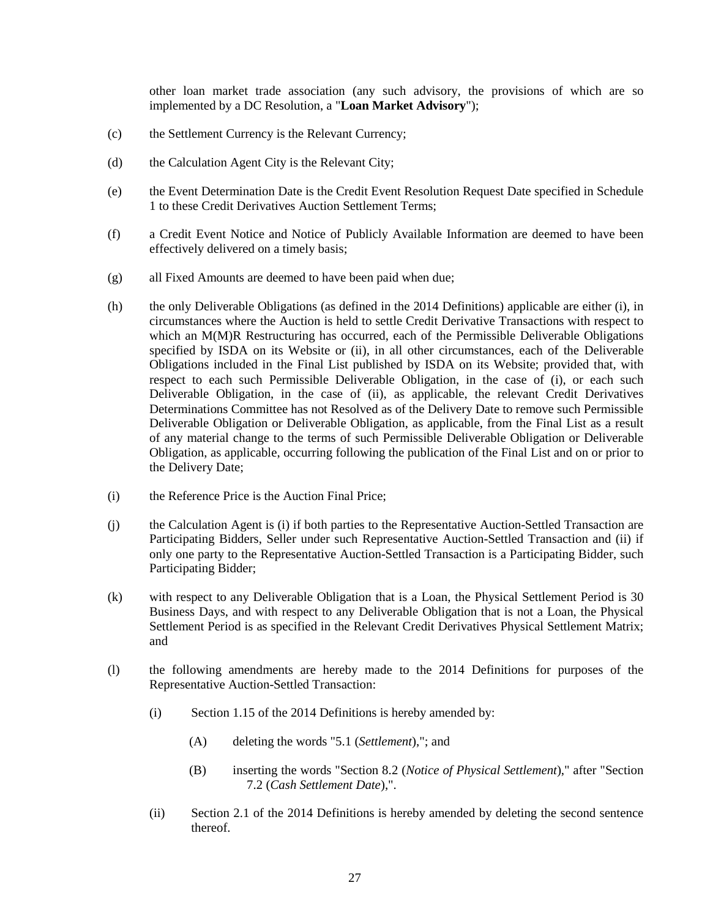other loan market trade association (any such advisory, the provisions of which are so implemented by a DC Resolution, a "**Loan Market Advisory**");

- (c) the Settlement Currency is the Relevant Currency;
- (d) the Calculation Agent City is the Relevant City;
- (e) the Event Determination Date is the Credit Event Resolution Request Date specified in Schedule 1 to these Credit Derivatives Auction Settlement Terms;
- (f) a Credit Event Notice and Notice of Publicly Available Information are deemed to have been effectively delivered on a timely basis;
- (g) all Fixed Amounts are deemed to have been paid when due;
- (h) the only Deliverable Obligations (as defined in the 2014 Definitions) applicable are either (i), in circumstances where the Auction is held to settle Credit Derivative Transactions with respect to which an M(M)R Restructuring has occurred, each of the Permissible Deliverable Obligations specified by ISDA on its Website or (ii), in all other circumstances, each of the Deliverable Obligations included in the Final List published by ISDA on its Website; provided that, with respect to each such Permissible Deliverable Obligation, in the case of (i), or each such Deliverable Obligation, in the case of (ii), as applicable, the relevant Credit Derivatives Determinations Committee has not Resolved as of the Delivery Date to remove such Permissible Deliverable Obligation or Deliverable Obligation, as applicable, from the Final List as a result of any material change to the terms of such Permissible Deliverable Obligation or Deliverable Obligation, as applicable, occurring following the publication of the Final List and on or prior to the Delivery Date;
- (i) the Reference Price is the Auction Final Price;
- (j) the Calculation Agent is (i) if both parties to the Representative Auction-Settled Transaction are Participating Bidders, Seller under such Representative Auction-Settled Transaction and (ii) if only one party to the Representative Auction-Settled Transaction is a Participating Bidder, such Participating Bidder;
- (k) with respect to any Deliverable Obligation that is a Loan, the Physical Settlement Period is 30 Business Days, and with respect to any Deliverable Obligation that is not a Loan, the Physical Settlement Period is as specified in the Relevant Credit Derivatives Physical Settlement Matrix; and
- (l) the following amendments are hereby made to the 2014 Definitions for purposes of the Representative Auction-Settled Transaction:
	- (i) Section 1.15 of the 2014 Definitions is hereby amended by:
		- (A) deleting the words "5.1 (*Settlement*),"; and
		- (B) inserting the words "Section 8.2 (*Notice of Physical Settlement*)," after "Section 7.2 (*Cash Settlement Date*),".
	- (ii) Section 2.1 of the 2014 Definitions is hereby amended by deleting the second sentence thereof.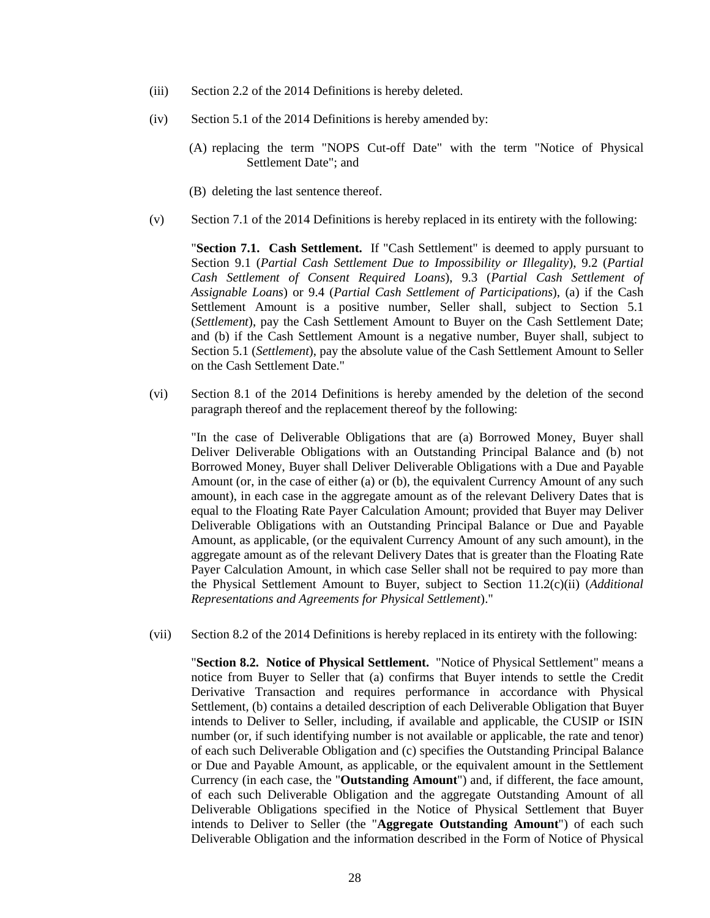- (iii) Section 2.2 of the 2014 Definitions is hereby deleted.
- (iv) Section 5.1 of the 2014 Definitions is hereby amended by:
	- (A) replacing the term "NOPS Cut-off Date" with the term "Notice of Physical Settlement Date"; and
	- (B) deleting the last sentence thereof.
- (v) Section 7.1 of the 2014 Definitions is hereby replaced in its entirety with the following:

"**Section 7.1. Cash Settlement.** If "Cash Settlement" is deemed to apply pursuant to Section 9.1 (*Partial Cash Settlement Due to Impossibility or Illegality*), 9.2 (*Partial Cash Settlement of Consent Required Loans*), 9.3 (*Partial Cash Settlement of Assignable Loans*) or 9.4 (*Partial Cash Settlement of Participations*), (a) if the Cash Settlement Amount is a positive number, Seller shall, subject to Section 5.1 (*Settlement*), pay the Cash Settlement Amount to Buyer on the Cash Settlement Date; and (b) if the Cash Settlement Amount is a negative number, Buyer shall, subject to Section 5.1 (*Settlement*), pay the absolute value of the Cash Settlement Amount to Seller on the Cash Settlement Date."

(vi) Section 8.1 of the 2014 Definitions is hereby amended by the deletion of the second paragraph thereof and the replacement thereof by the following:

"In the case of Deliverable Obligations that are (a) Borrowed Money, Buyer shall Deliver Deliverable Obligations with an Outstanding Principal Balance and (b) not Borrowed Money, Buyer shall Deliver Deliverable Obligations with a Due and Payable Amount (or, in the case of either (a) or (b), the equivalent Currency Amount of any such amount), in each case in the aggregate amount as of the relevant Delivery Dates that is equal to the Floating Rate Payer Calculation Amount; provided that Buyer may Deliver Deliverable Obligations with an Outstanding Principal Balance or Due and Payable Amount, as applicable, (or the equivalent Currency Amount of any such amount), in the aggregate amount as of the relevant Delivery Dates that is greater than the Floating Rate Payer Calculation Amount, in which case Seller shall not be required to pay more than the Physical Settlement Amount to Buyer, subject to Section 11.2(c)(ii) (*Additional Representations and Agreements for Physical Settlement*)."

(vii) Section 8.2 of the 2014 Definitions is hereby replaced in its entirety with the following:

"**Section 8.2. Notice of Physical Settlement.** "Notice of Physical Settlement" means a notice from Buyer to Seller that (a) confirms that Buyer intends to settle the Credit Derivative Transaction and requires performance in accordance with Physical Settlement, (b) contains a detailed description of each Deliverable Obligation that Buyer intends to Deliver to Seller, including, if available and applicable, the CUSIP or ISIN number (or, if such identifying number is not available or applicable, the rate and tenor) of each such Deliverable Obligation and (c) specifies the Outstanding Principal Balance or Due and Payable Amount, as applicable, or the equivalent amount in the Settlement Currency (in each case, the "**Outstanding Amount**") and, if different, the face amount, of each such Deliverable Obligation and the aggregate Outstanding Amount of all Deliverable Obligations specified in the Notice of Physical Settlement that Buyer intends to Deliver to Seller (the "**Aggregate Outstanding Amount**") of each such Deliverable Obligation and the information described in the Form of Notice of Physical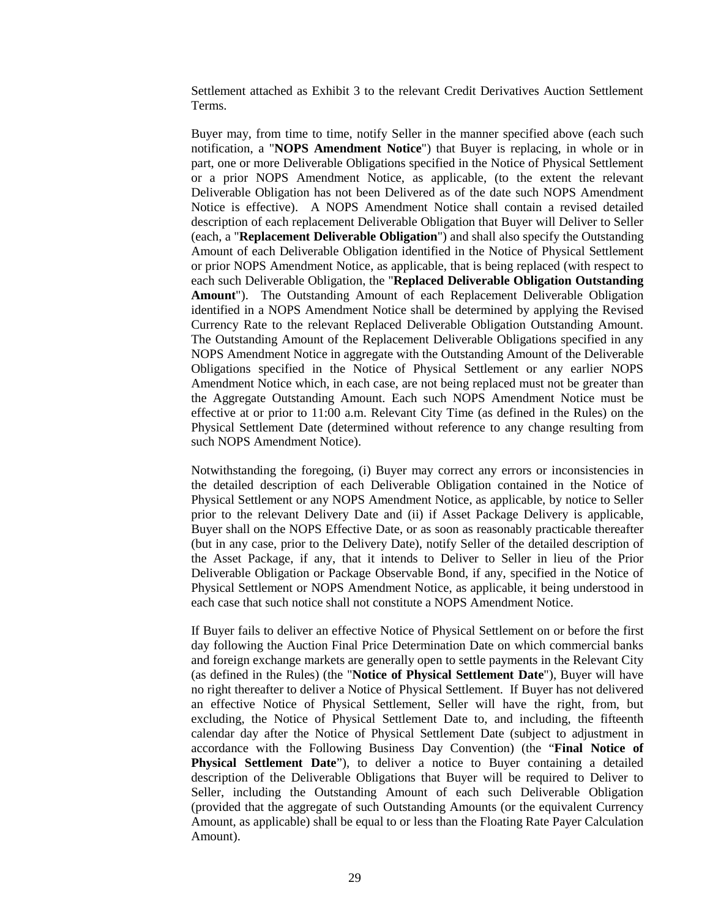Settlement attached as Exhibit 3 to the relevant Credit Derivatives Auction Settlement Terms.

Buyer may, from time to time, notify Seller in the manner specified above (each such notification, a "**NOPS Amendment Notice**") that Buyer is replacing, in whole or in part, one or more Deliverable Obligations specified in the Notice of Physical Settlement or a prior NOPS Amendment Notice, as applicable, (to the extent the relevant Deliverable Obligation has not been Delivered as of the date such NOPS Amendment Notice is effective). A NOPS Amendment Notice shall contain a revised detailed description of each replacement Deliverable Obligation that Buyer will Deliver to Seller (each, a "**Replacement Deliverable Obligation**") and shall also specify the Outstanding Amount of each Deliverable Obligation identified in the Notice of Physical Settlement or prior NOPS Amendment Notice, as applicable, that is being replaced (with respect to each such Deliverable Obligation, the "**Replaced Deliverable Obligation Outstanding Amount**"). The Outstanding Amount of each Replacement Deliverable Obligation identified in a NOPS Amendment Notice shall be determined by applying the Revised Currency Rate to the relevant Replaced Deliverable Obligation Outstanding Amount. The Outstanding Amount of the Replacement Deliverable Obligations specified in any NOPS Amendment Notice in aggregate with the Outstanding Amount of the Deliverable Obligations specified in the Notice of Physical Settlement or any earlier NOPS Amendment Notice which, in each case, are not being replaced must not be greater than the Aggregate Outstanding Amount. Each such NOPS Amendment Notice must be effective at or prior to 11:00 a.m. Relevant City Time (as defined in the Rules) on the Physical Settlement Date (determined without reference to any change resulting from such NOPS Amendment Notice).

Notwithstanding the foregoing, (i) Buyer may correct any errors or inconsistencies in the detailed description of each Deliverable Obligation contained in the Notice of Physical Settlement or any NOPS Amendment Notice, as applicable, by notice to Seller prior to the relevant Delivery Date and (ii) if Asset Package Delivery is applicable, Buyer shall on the NOPS Effective Date, or as soon as reasonably practicable thereafter (but in any case, prior to the Delivery Date), notify Seller of the detailed description of the Asset Package, if any, that it intends to Deliver to Seller in lieu of the Prior Deliverable Obligation or Package Observable Bond, if any, specified in the Notice of Physical Settlement or NOPS Amendment Notice, as applicable, it being understood in each case that such notice shall not constitute a NOPS Amendment Notice.

If Buyer fails to deliver an effective Notice of Physical Settlement on or before the first day following the Auction Final Price Determination Date on which commercial banks and foreign exchange markets are generally open to settle payments in the Relevant City (as defined in the Rules) (the "**Notice of Physical Settlement Date**"), Buyer will have no right thereafter to deliver a Notice of Physical Settlement. If Buyer has not delivered an effective Notice of Physical Settlement, Seller will have the right, from, but excluding, the Notice of Physical Settlement Date to, and including, the fifteenth calendar day after the Notice of Physical Settlement Date (subject to adjustment in accordance with the Following Business Day Convention) (the "**Final Notice of Physical Settlement Date**"), to deliver a notice to Buyer containing a detailed description of the Deliverable Obligations that Buyer will be required to Deliver to Seller, including the Outstanding Amount of each such Deliverable Obligation (provided that the aggregate of such Outstanding Amounts (or the equivalent Currency Amount, as applicable) shall be equal to or less than the Floating Rate Payer Calculation Amount).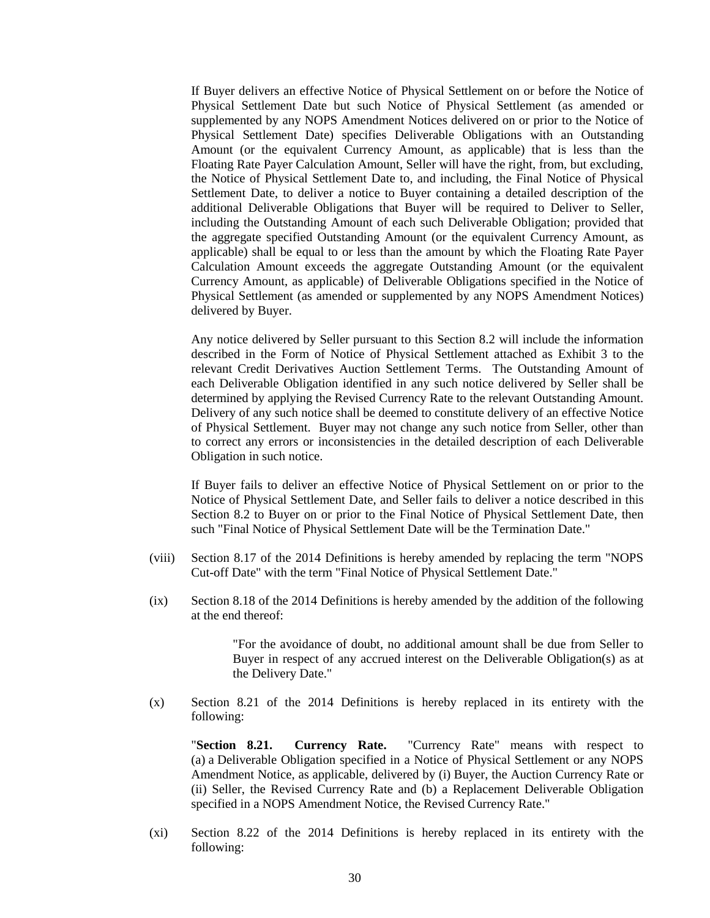If Buyer delivers an effective Notice of Physical Settlement on or before the Notice of Physical Settlement Date but such Notice of Physical Settlement (as amended or supplemented by any NOPS Amendment Notices delivered on or prior to the Notice of Physical Settlement Date) specifies Deliverable Obligations with an Outstanding Amount (or the equivalent Currency Amount, as applicable) that is less than the Floating Rate Payer Calculation Amount, Seller will have the right, from, but excluding, the Notice of Physical Settlement Date to, and including, the Final Notice of Physical Settlement Date, to deliver a notice to Buyer containing a detailed description of the additional Deliverable Obligations that Buyer will be required to Deliver to Seller, including the Outstanding Amount of each such Deliverable Obligation; provided that the aggregate specified Outstanding Amount (or the equivalent Currency Amount, as applicable) shall be equal to or less than the amount by which the Floating Rate Payer Calculation Amount exceeds the aggregate Outstanding Amount (or the equivalent Currency Amount, as applicable) of Deliverable Obligations specified in the Notice of Physical Settlement (as amended or supplemented by any NOPS Amendment Notices) delivered by Buyer.

Any notice delivered by Seller pursuant to this Section 8.2 will include the information described in the Form of Notice of Physical Settlement attached as Exhibit 3 to the relevant Credit Derivatives Auction Settlement Terms. The Outstanding Amount of each Deliverable Obligation identified in any such notice delivered by Seller shall be determined by applying the Revised Currency Rate to the relevant Outstanding Amount. Delivery of any such notice shall be deemed to constitute delivery of an effective Notice of Physical Settlement. Buyer may not change any such notice from Seller, other than to correct any errors or inconsistencies in the detailed description of each Deliverable Obligation in such notice.

If Buyer fails to deliver an effective Notice of Physical Settlement on or prior to the Notice of Physical Settlement Date, and Seller fails to deliver a notice described in this Section 8.2 to Buyer on or prior to the Final Notice of Physical Settlement Date, then such "Final Notice of Physical Settlement Date will be the Termination Date."

- (viii) Section 8.17 of the 2014 Definitions is hereby amended by replacing the term "NOPS Cut-off Date" with the term "Final Notice of Physical Settlement Date."
- (ix) Section 8.18 of the 2014 Definitions is hereby amended by the addition of the following at the end thereof:

"For the avoidance of doubt, no additional amount shall be due from Seller to Buyer in respect of any accrued interest on the Deliverable Obligation(s) as at the Delivery Date."

(x) Section 8.21 of the 2014 Definitions is hereby replaced in its entirety with the following:

"**Section 8.21. Currency Rate.** "Currency Rate" means with respect to (a) a Deliverable Obligation specified in a Notice of Physical Settlement or any NOPS Amendment Notice, as applicable, delivered by (i) Buyer, the Auction Currency Rate or (ii) Seller, the Revised Currency Rate and (b) a Replacement Deliverable Obligation specified in a NOPS Amendment Notice, the Revised Currency Rate."

(xi) Section 8.22 of the 2014 Definitions is hereby replaced in its entirety with the following: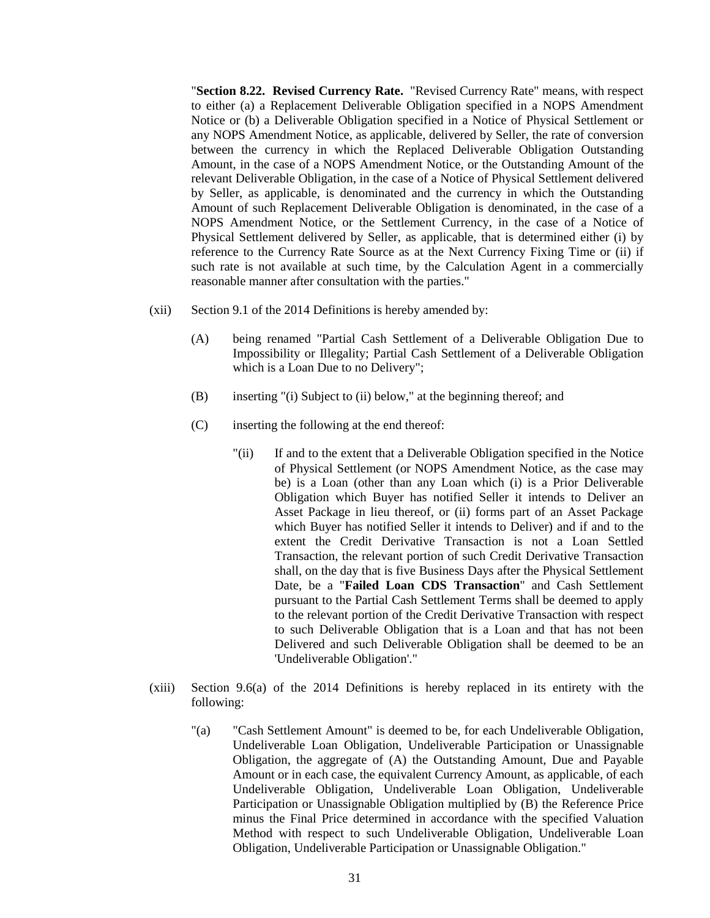"**Section 8.22. Revised Currency Rate.** "Revised Currency Rate" means, with respect to either (a) a Replacement Deliverable Obligation specified in a NOPS Amendment Notice or (b) a Deliverable Obligation specified in a Notice of Physical Settlement or any NOPS Amendment Notice, as applicable, delivered by Seller, the rate of conversion between the currency in which the Replaced Deliverable Obligation Outstanding Amount, in the case of a NOPS Amendment Notice, or the Outstanding Amount of the relevant Deliverable Obligation, in the case of a Notice of Physical Settlement delivered by Seller, as applicable, is denominated and the currency in which the Outstanding Amount of such Replacement Deliverable Obligation is denominated, in the case of a NOPS Amendment Notice, or the Settlement Currency, in the case of a Notice of Physical Settlement delivered by Seller, as applicable, that is determined either (i) by reference to the Currency Rate Source as at the Next Currency Fixing Time or (ii) if such rate is not available at such time, by the Calculation Agent in a commercially reasonable manner after consultation with the parties."

- (xii) Section 9.1 of the 2014 Definitions is hereby amended by:
	- (A) being renamed "Partial Cash Settlement of a Deliverable Obligation Due to Impossibility or Illegality; Partial Cash Settlement of a Deliverable Obligation which is a Loan Due to no Delivery";
	- (B) inserting "(i) Subject to (ii) below," at the beginning thereof; and
	- (C) inserting the following at the end thereof:
		- "(ii) If and to the extent that a Deliverable Obligation specified in the Notice of Physical Settlement (or NOPS Amendment Notice, as the case may be) is a Loan (other than any Loan which (i) is a Prior Deliverable Obligation which Buyer has notified Seller it intends to Deliver an Asset Package in lieu thereof, or (ii) forms part of an Asset Package which Buyer has notified Seller it intends to Deliver) and if and to the extent the Credit Derivative Transaction is not a Loan Settled Transaction, the relevant portion of such Credit Derivative Transaction shall, on the day that is five Business Days after the Physical Settlement Date, be a "**Failed Loan CDS Transaction**" and Cash Settlement pursuant to the Partial Cash Settlement Terms shall be deemed to apply to the relevant portion of the Credit Derivative Transaction with respect to such Deliverable Obligation that is a Loan and that has not been Delivered and such Deliverable Obligation shall be deemed to be an 'Undeliverable Obligation'."
- (xiii) Section 9.6(a) of the 2014 Definitions is hereby replaced in its entirety with the following:
	- "(a) "Cash Settlement Amount" is deemed to be, for each Undeliverable Obligation, Undeliverable Loan Obligation, Undeliverable Participation or Unassignable Obligation, the aggregate of (A) the Outstanding Amount, Due and Payable Amount or in each case, the equivalent Currency Amount, as applicable, of each Undeliverable Obligation, Undeliverable Loan Obligation, Undeliverable Participation or Unassignable Obligation multiplied by (B) the Reference Price minus the Final Price determined in accordance with the specified Valuation Method with respect to such Undeliverable Obligation, Undeliverable Loan Obligation, Undeliverable Participation or Unassignable Obligation."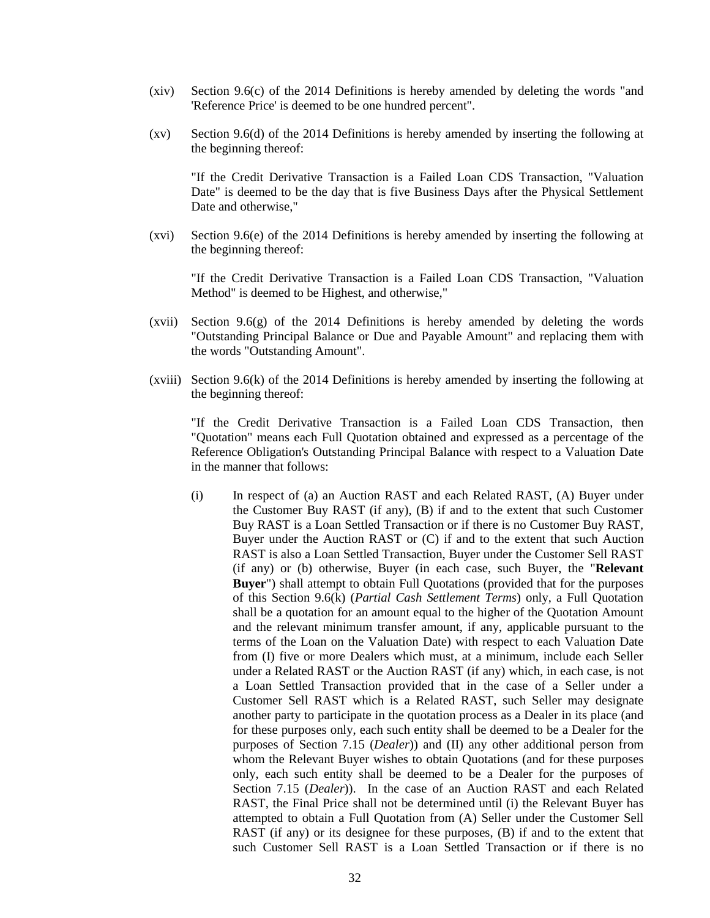- (xiv) Section 9.6(c) of the 2014 Definitions is hereby amended by deleting the words "and 'Reference Price' is deemed to be one hundred percent".
- (xv) Section 9.6(d) of the 2014 Definitions is hereby amended by inserting the following at the beginning thereof:

"If the Credit Derivative Transaction is a Failed Loan CDS Transaction, "Valuation Date" is deemed to be the day that is five Business Days after the Physical Settlement Date and otherwise,"

(xvi) Section 9.6(e) of the 2014 Definitions is hereby amended by inserting the following at the beginning thereof:

"If the Credit Derivative Transaction is a Failed Loan CDS Transaction, "Valuation Method" is deemed to be Highest, and otherwise,"

- (xvii) Section 9.6(g) of the 2014 Definitions is hereby amended by deleting the words "Outstanding Principal Balance or Due and Payable Amount" and replacing them with the words "Outstanding Amount".
- (xviii) Section 9.6(k) of the 2014 Definitions is hereby amended by inserting the following at the beginning thereof:

"If the Credit Derivative Transaction is a Failed Loan CDS Transaction, then "Quotation" means each Full Quotation obtained and expressed as a percentage of the Reference Obligation's Outstanding Principal Balance with respect to a Valuation Date in the manner that follows:

(i) In respect of (a) an Auction RAST and each Related RAST, (A) Buyer under the Customer Buy RAST (if any), (B) if and to the extent that such Customer Buy RAST is a Loan Settled Transaction or if there is no Customer Buy RAST, Buyer under the Auction RAST or (C) if and to the extent that such Auction RAST is also a Loan Settled Transaction, Buyer under the Customer Sell RAST (if any) or (b) otherwise, Buyer (in each case, such Buyer, the "**Relevant Buyer**") shall attempt to obtain Full Quotations (provided that for the purposes of this Section 9.6(k) (*Partial Cash Settlement Terms*) only, a Full Quotation shall be a quotation for an amount equal to the higher of the Quotation Amount and the relevant minimum transfer amount, if any, applicable pursuant to the terms of the Loan on the Valuation Date) with respect to each Valuation Date from (I) five or more Dealers which must, at a minimum, include each Seller under a Related RAST or the Auction RAST (if any) which, in each case, is not a Loan Settled Transaction provided that in the case of a Seller under a Customer Sell RAST which is a Related RAST, such Seller may designate another party to participate in the quotation process as a Dealer in its place (and for these purposes only, each such entity shall be deemed to be a Dealer for the purposes of Section 7.15 (*Dealer*)) and (II) any other additional person from whom the Relevant Buyer wishes to obtain Quotations (and for these purposes only, each such entity shall be deemed to be a Dealer for the purposes of Section 7.15 (*Dealer*)). In the case of an Auction RAST and each Related RAST, the Final Price shall not be determined until (i) the Relevant Buyer has attempted to obtain a Full Quotation from (A) Seller under the Customer Sell RAST (if any) or its designee for these purposes, (B) if and to the extent that such Customer Sell RAST is a Loan Settled Transaction or if there is no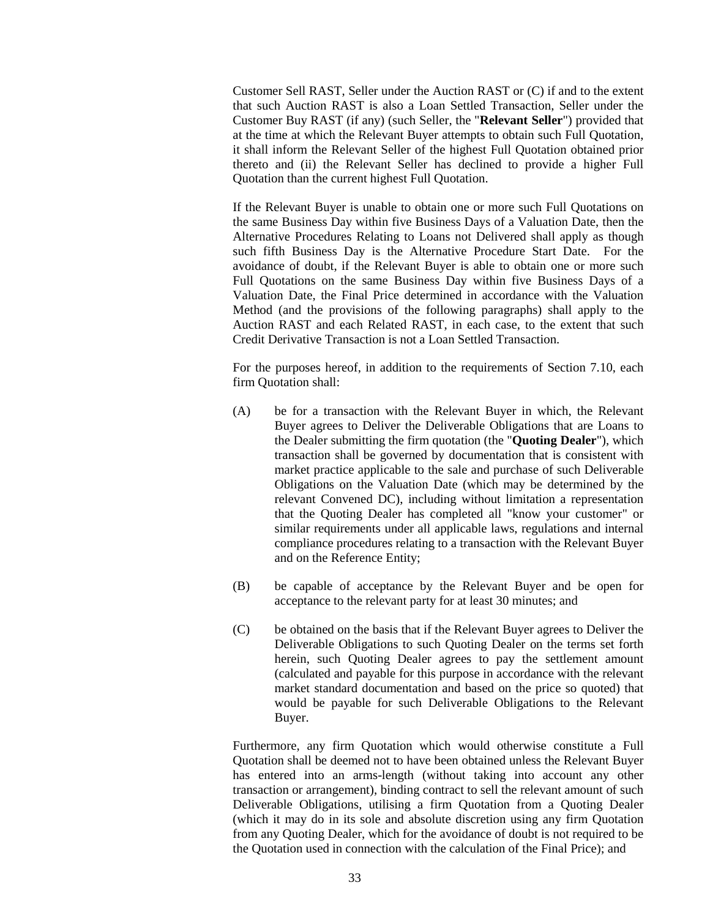Customer Sell RAST, Seller under the Auction RAST or (C) if and to the extent that such Auction RAST is also a Loan Settled Transaction, Seller under the Customer Buy RAST (if any) (such Seller, the "**Relevant Seller**") provided that at the time at which the Relevant Buyer attempts to obtain such Full Quotation, it shall inform the Relevant Seller of the highest Full Quotation obtained prior thereto and (ii) the Relevant Seller has declined to provide a higher Full Quotation than the current highest Full Quotation.

If the Relevant Buyer is unable to obtain one or more such Full Quotations on the same Business Day within five Business Days of a Valuation Date, then the Alternative Procedures Relating to Loans not Delivered shall apply as though such fifth Business Day is the Alternative Procedure Start Date. For the avoidance of doubt, if the Relevant Buyer is able to obtain one or more such Full Quotations on the same Business Day within five Business Days of a Valuation Date, the Final Price determined in accordance with the Valuation Method (and the provisions of the following paragraphs) shall apply to the Auction RAST and each Related RAST, in each case, to the extent that such Credit Derivative Transaction is not a Loan Settled Transaction.

For the purposes hereof, in addition to the requirements of Section 7.10, each firm Quotation shall:

- (A) be for a transaction with the Relevant Buyer in which, the Relevant Buyer agrees to Deliver the Deliverable Obligations that are Loans to the Dealer submitting the firm quotation (the "**Quoting Dealer**"), which transaction shall be governed by documentation that is consistent with market practice applicable to the sale and purchase of such Deliverable Obligations on the Valuation Date (which may be determined by the relevant Convened DC), including without limitation a representation that the Quoting Dealer has completed all "know your customer" or similar requirements under all applicable laws, regulations and internal compliance procedures relating to a transaction with the Relevant Buyer and on the Reference Entity;
- (B) be capable of acceptance by the Relevant Buyer and be open for acceptance to the relevant party for at least 30 minutes; and
- (C) be obtained on the basis that if the Relevant Buyer agrees to Deliver the Deliverable Obligations to such Quoting Dealer on the terms set forth herein, such Quoting Dealer agrees to pay the settlement amount (calculated and payable for this purpose in accordance with the relevant market standard documentation and based on the price so quoted) that would be payable for such Deliverable Obligations to the Relevant Buyer.

Furthermore, any firm Quotation which would otherwise constitute a Full Quotation shall be deemed not to have been obtained unless the Relevant Buyer has entered into an arms-length (without taking into account any other transaction or arrangement), binding contract to sell the relevant amount of such Deliverable Obligations, utilising a firm Quotation from a Quoting Dealer (which it may do in its sole and absolute discretion using any firm Quotation from any Quoting Dealer, which for the avoidance of doubt is not required to be the Quotation used in connection with the calculation of the Final Price); and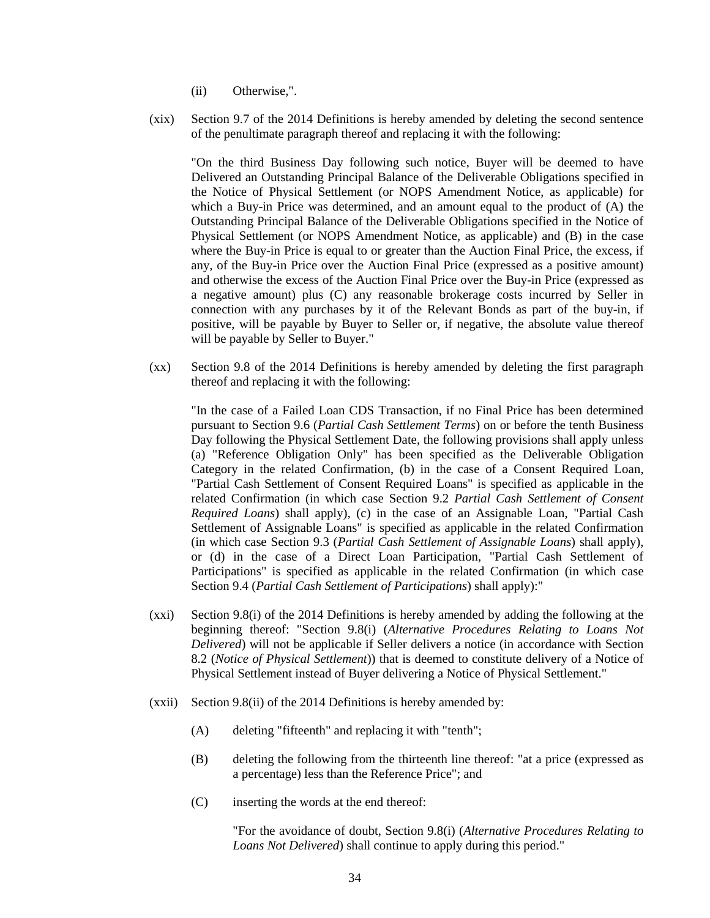- (ii) Otherwise,".
- (xix) Section 9.7 of the 2014 Definitions is hereby amended by deleting the second sentence of the penultimate paragraph thereof and replacing it with the following:

"On the third Business Day following such notice, Buyer will be deemed to have Delivered an Outstanding Principal Balance of the Deliverable Obligations specified in the Notice of Physical Settlement (or NOPS Amendment Notice, as applicable) for which a Buy-in Price was determined, and an amount equal to the product of (A) the Outstanding Principal Balance of the Deliverable Obligations specified in the Notice of Physical Settlement (or NOPS Amendment Notice, as applicable) and (B) in the case where the Buy-in Price is equal to or greater than the Auction Final Price, the excess, if any, of the Buy-in Price over the Auction Final Price (expressed as a positive amount) and otherwise the excess of the Auction Final Price over the Buy-in Price (expressed as a negative amount) plus (C) any reasonable brokerage costs incurred by Seller in connection with any purchases by it of the Relevant Bonds as part of the buy-in, if positive, will be payable by Buyer to Seller or, if negative, the absolute value thereof will be payable by Seller to Buyer."

(xx) Section 9.8 of the 2014 Definitions is hereby amended by deleting the first paragraph thereof and replacing it with the following:

"In the case of a Failed Loan CDS Transaction, if no Final Price has been determined pursuant to Section 9.6 (*Partial Cash Settlement Terms*) on or before the tenth Business Day following the Physical Settlement Date, the following provisions shall apply unless (a) "Reference Obligation Only" has been specified as the Deliverable Obligation Category in the related Confirmation, (b) in the case of a Consent Required Loan, "Partial Cash Settlement of Consent Required Loans" is specified as applicable in the related Confirmation (in which case Section 9.2 *Partial Cash Settlement of Consent Required Loans*) shall apply), (c) in the case of an Assignable Loan, "Partial Cash Settlement of Assignable Loans" is specified as applicable in the related Confirmation (in which case Section 9.3 (*Partial Cash Settlement of Assignable Loans*) shall apply), or (d) in the case of a Direct Loan Participation, "Partial Cash Settlement of Participations" is specified as applicable in the related Confirmation (in which case Section 9.4 (*Partial Cash Settlement of Participations*) shall apply):"

- (xxi) Section 9.8(i) of the 2014 Definitions is hereby amended by adding the following at the beginning thereof: "Section 9.8(i) (*Alternative Procedures Relating to Loans Not Delivered*) will not be applicable if Seller delivers a notice (in accordance with Section 8.2 (*Notice of Physical Settlement*)) that is deemed to constitute delivery of a Notice of Physical Settlement instead of Buyer delivering a Notice of Physical Settlement."
- (xxii) Section 9.8(ii) of the 2014 Definitions is hereby amended by:
	- (A) deleting "fifteenth" and replacing it with "tenth";
	- (B) deleting the following from the thirteenth line thereof: "at a price (expressed as a percentage) less than the Reference Price"; and
	- (C) inserting the words at the end thereof:

"For the avoidance of doubt, Section 9.8(i) (*Alternative Procedures Relating to Loans Not Delivered*) shall continue to apply during this period."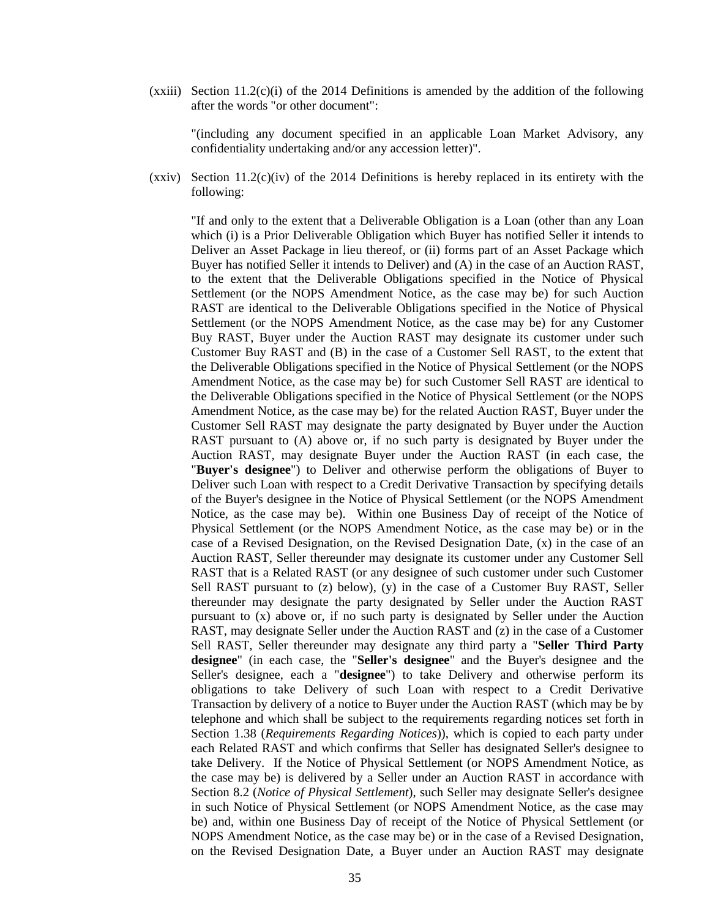$(xxiii)$  Section 11.2(c)(i) of the 2014 Definitions is amended by the addition of the following after the words "or other document":

"(including any document specified in an applicable Loan Market Advisory, any confidentiality undertaking and/or any accession letter)".

 $(xxiv)$  Section 11.2(c)(iv) of the 2014 Definitions is hereby replaced in its entirety with the following:

"If and only to the extent that a Deliverable Obligation is a Loan (other than any Loan which (i) is a Prior Deliverable Obligation which Buyer has notified Seller it intends to Deliver an Asset Package in lieu thereof, or (ii) forms part of an Asset Package which Buyer has notified Seller it intends to Deliver) and (A) in the case of an Auction RAST, to the extent that the Deliverable Obligations specified in the Notice of Physical Settlement (or the NOPS Amendment Notice, as the case may be) for such Auction RAST are identical to the Deliverable Obligations specified in the Notice of Physical Settlement (or the NOPS Amendment Notice, as the case may be) for any Customer Buy RAST, Buyer under the Auction RAST may designate its customer under such Customer Buy RAST and (B) in the case of a Customer Sell RAST, to the extent that the Deliverable Obligations specified in the Notice of Physical Settlement (or the NOPS Amendment Notice, as the case may be) for such Customer Sell RAST are identical to the Deliverable Obligations specified in the Notice of Physical Settlement (or the NOPS Amendment Notice, as the case may be) for the related Auction RAST, Buyer under the Customer Sell RAST may designate the party designated by Buyer under the Auction RAST pursuant to (A) above or, if no such party is designated by Buyer under the Auction RAST, may designate Buyer under the Auction RAST (in each case, the "**Buyer's designee**") to Deliver and otherwise perform the obligations of Buyer to Deliver such Loan with respect to a Credit Derivative Transaction by specifying details of the Buyer's designee in the Notice of Physical Settlement (or the NOPS Amendment Notice, as the case may be). Within one Business Day of receipt of the Notice of Physical Settlement (or the NOPS Amendment Notice, as the case may be) or in the case of a Revised Designation, on the Revised Designation Date, (x) in the case of an Auction RAST, Seller thereunder may designate its customer under any Customer Sell RAST that is a Related RAST (or any designee of such customer under such Customer Sell RAST pursuant to  $(z)$  below),  $(y)$  in the case of a Customer Buy RAST, Seller thereunder may designate the party designated by Seller under the Auction RAST pursuant to (x) above or, if no such party is designated by Seller under the Auction RAST, may designate Seller under the Auction RAST and (z) in the case of a Customer Sell RAST, Seller thereunder may designate any third party a "**Seller Third Party designee**" (in each case, the "**Seller's designee**" and the Buyer's designee and the Seller's designee, each a "**designee**") to take Delivery and otherwise perform its obligations to take Delivery of such Loan with respect to a Credit Derivative Transaction by delivery of a notice to Buyer under the Auction RAST (which may be by telephone and which shall be subject to the requirements regarding notices set forth in Section 1.38 (*Requirements Regarding Notices*)), which is copied to each party under each Related RAST and which confirms that Seller has designated Seller's designee to take Delivery. If the Notice of Physical Settlement (or NOPS Amendment Notice, as the case may be) is delivered by a Seller under an Auction RAST in accordance with Section 8.2 (*Notice of Physical Settlement*), such Seller may designate Seller's designee in such Notice of Physical Settlement (or NOPS Amendment Notice, as the case may be) and, within one Business Day of receipt of the Notice of Physical Settlement (or NOPS Amendment Notice, as the case may be) or in the case of a Revised Designation, on the Revised Designation Date, a Buyer under an Auction RAST may designate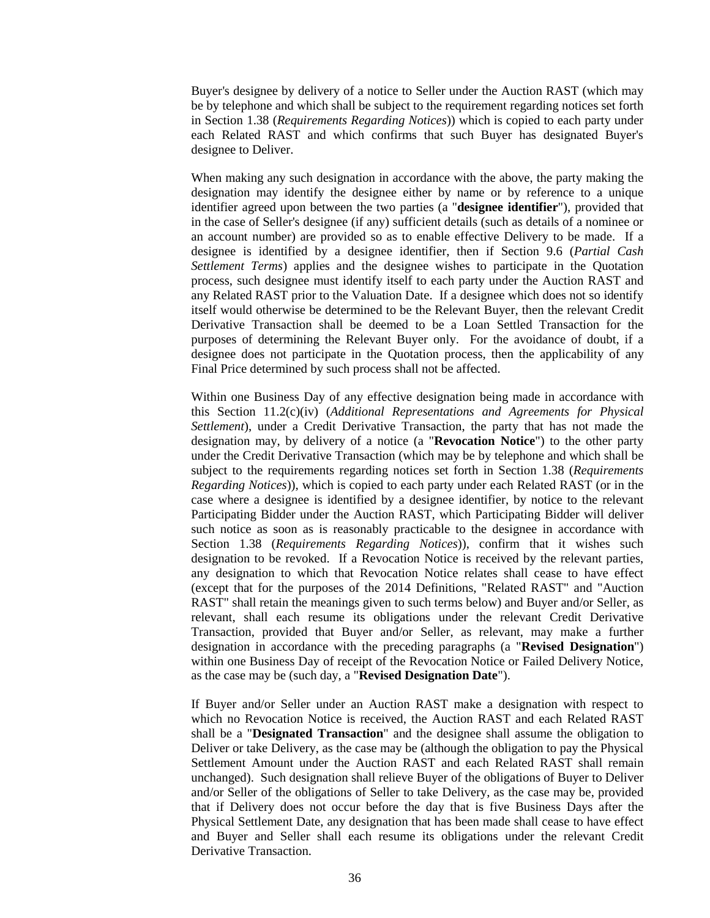Buyer's designee by delivery of a notice to Seller under the Auction RAST (which may be by telephone and which shall be subject to the requirement regarding notices set forth in Section 1.38 (*Requirements Regarding Notices*)) which is copied to each party under each Related RAST and which confirms that such Buyer has designated Buyer's designee to Deliver.

When making any such designation in accordance with the above, the party making the designation may identify the designee either by name or by reference to a unique identifier agreed upon between the two parties (a "**designee identifier**"), provided that in the case of Seller's designee (if any) sufficient details (such as details of a nominee or an account number) are provided so as to enable effective Delivery to be made. If a designee is identified by a designee identifier, then if Section 9.6 (*Partial Cash Settlement Terms*) applies and the designee wishes to participate in the Quotation process, such designee must identify itself to each party under the Auction RAST and any Related RAST prior to the Valuation Date. If a designee which does not so identify itself would otherwise be determined to be the Relevant Buyer, then the relevant Credit Derivative Transaction shall be deemed to be a Loan Settled Transaction for the purposes of determining the Relevant Buyer only. For the avoidance of doubt, if a designee does not participate in the Quotation process, then the applicability of any Final Price determined by such process shall not be affected.

Within one Business Day of any effective designation being made in accordance with this Section 11.2(c)(iv) (*Additional Representations and Agreements for Physical Settlement*), under a Credit Derivative Transaction, the party that has not made the designation may, by delivery of a notice (a "**Revocation Notice**") to the other party under the Credit Derivative Transaction (which may be by telephone and which shall be subject to the requirements regarding notices set forth in Section 1.38 (*Requirements Regarding Notices*)), which is copied to each party under each Related RAST (or in the case where a designee is identified by a designee identifier, by notice to the relevant Participating Bidder under the Auction RAST, which Participating Bidder will deliver such notice as soon as is reasonably practicable to the designee in accordance with Section 1.38 (*Requirements Regarding Notices*)), confirm that it wishes such designation to be revoked. If a Revocation Notice is received by the relevant parties, any designation to which that Revocation Notice relates shall cease to have effect (except that for the purposes of the 2014 Definitions, "Related RAST" and "Auction RAST" shall retain the meanings given to such terms below) and Buyer and/or Seller, as relevant, shall each resume its obligations under the relevant Credit Derivative Transaction, provided that Buyer and/or Seller, as relevant, may make a further designation in accordance with the preceding paragraphs (a "**Revised Designation**") within one Business Day of receipt of the Revocation Notice or Failed Delivery Notice, as the case may be (such day, a "**Revised Designation Date**").

If Buyer and/or Seller under an Auction RAST make a designation with respect to which no Revocation Notice is received, the Auction RAST and each Related RAST shall be a "**Designated Transaction**" and the designee shall assume the obligation to Deliver or take Delivery, as the case may be (although the obligation to pay the Physical Settlement Amount under the Auction RAST and each Related RAST shall remain unchanged). Such designation shall relieve Buyer of the obligations of Buyer to Deliver and/or Seller of the obligations of Seller to take Delivery, as the case may be, provided that if Delivery does not occur before the day that is five Business Days after the Physical Settlement Date, any designation that has been made shall cease to have effect and Buyer and Seller shall each resume its obligations under the relevant Credit Derivative Transaction.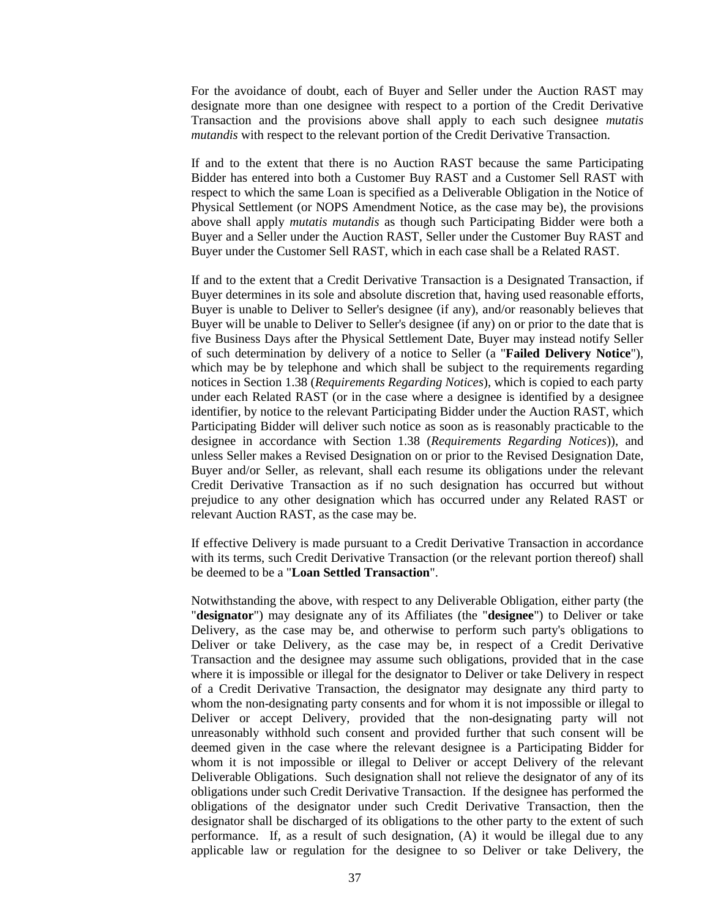For the avoidance of doubt, each of Buyer and Seller under the Auction RAST may designate more than one designee with respect to a portion of the Credit Derivative Transaction and the provisions above shall apply to each such designee *mutatis mutandis* with respect to the relevant portion of the Credit Derivative Transaction.

If and to the extent that there is no Auction RAST because the same Participating Bidder has entered into both a Customer Buy RAST and a Customer Sell RAST with respect to which the same Loan is specified as a Deliverable Obligation in the Notice of Physical Settlement (or NOPS Amendment Notice, as the case may be), the provisions above shall apply *mutatis mutandis* as though such Participating Bidder were both a Buyer and a Seller under the Auction RAST, Seller under the Customer Buy RAST and Buyer under the Customer Sell RAST, which in each case shall be a Related RAST.

If and to the extent that a Credit Derivative Transaction is a Designated Transaction, if Buyer determines in its sole and absolute discretion that, having used reasonable efforts, Buyer is unable to Deliver to Seller's designee (if any), and/or reasonably believes that Buyer will be unable to Deliver to Seller's designee (if any) on or prior to the date that is five Business Days after the Physical Settlement Date, Buyer may instead notify Seller of such determination by delivery of a notice to Seller (a "**Failed Delivery Notice**"), which may be by telephone and which shall be subject to the requirements regarding notices in Section 1.38 (*Requirements Regarding Notices*), which is copied to each party under each Related RAST (or in the case where a designee is identified by a designee identifier, by notice to the relevant Participating Bidder under the Auction RAST, which Participating Bidder will deliver such notice as soon as is reasonably practicable to the designee in accordance with Section 1.38 (*Requirements Regarding Notices*)), and unless Seller makes a Revised Designation on or prior to the Revised Designation Date, Buyer and/or Seller, as relevant, shall each resume its obligations under the relevant Credit Derivative Transaction as if no such designation has occurred but without prejudice to any other designation which has occurred under any Related RAST or relevant Auction RAST, as the case may be.

If effective Delivery is made pursuant to a Credit Derivative Transaction in accordance with its terms, such Credit Derivative Transaction (or the relevant portion thereof) shall be deemed to be a "**Loan Settled Transaction**".

Notwithstanding the above, with respect to any Deliverable Obligation, either party (the "**designator**") may designate any of its Affiliates (the "**designee**") to Deliver or take Delivery, as the case may be, and otherwise to perform such party's obligations to Deliver or take Delivery, as the case may be, in respect of a Credit Derivative Transaction and the designee may assume such obligations, provided that in the case where it is impossible or illegal for the designator to Deliver or take Delivery in respect of a Credit Derivative Transaction, the designator may designate any third party to whom the non-designating party consents and for whom it is not impossible or illegal to Deliver or accept Delivery, provided that the non-designating party will not unreasonably withhold such consent and provided further that such consent will be deemed given in the case where the relevant designee is a Participating Bidder for whom it is not impossible or illegal to Deliver or accept Delivery of the relevant Deliverable Obligations. Such designation shall not relieve the designator of any of its obligations under such Credit Derivative Transaction. If the designee has performed the obligations of the designator under such Credit Derivative Transaction, then the designator shall be discharged of its obligations to the other party to the extent of such performance. If, as a result of such designation, (A) it would be illegal due to any applicable law or regulation for the designee to so Deliver or take Delivery, the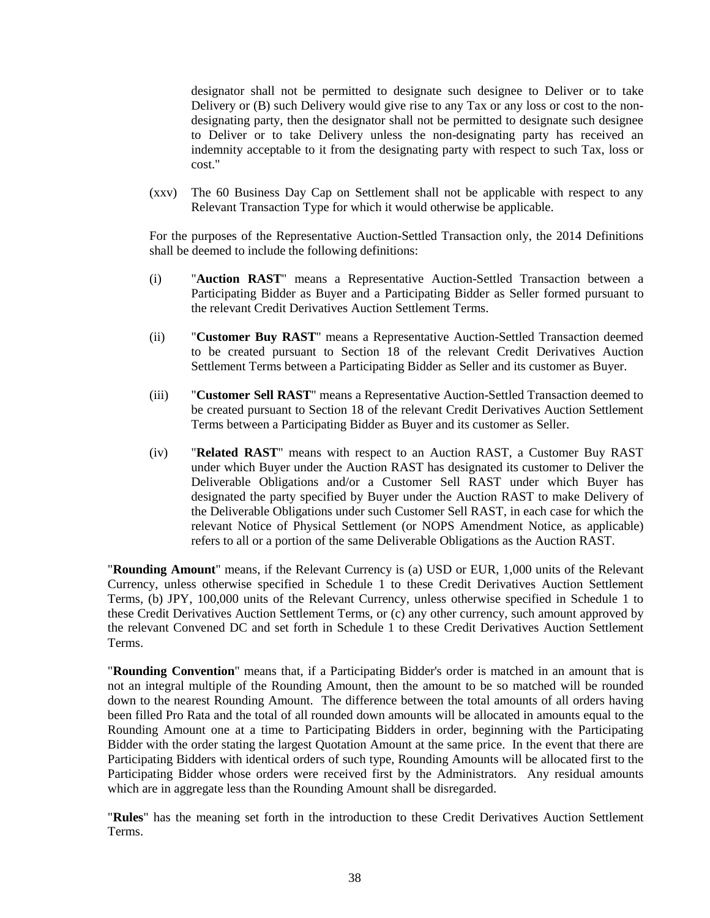designator shall not be permitted to designate such designee to Deliver or to take Delivery or (B) such Delivery would give rise to any Tax or any loss or cost to the nondesignating party, then the designator shall not be permitted to designate such designee to Deliver or to take Delivery unless the non-designating party has received an indemnity acceptable to it from the designating party with respect to such Tax, loss or cost."

(xxv) The 60 Business Day Cap on Settlement shall not be applicable with respect to any Relevant Transaction Type for which it would otherwise be applicable.

For the purposes of the Representative Auction-Settled Transaction only, the 2014 Definitions shall be deemed to include the following definitions:

- (i) "**Auction RAST**" means a Representative Auction-Settled Transaction between a Participating Bidder as Buyer and a Participating Bidder as Seller formed pursuant to the relevant Credit Derivatives Auction Settlement Terms.
- (ii) "**Customer Buy RAST**" means a Representative Auction-Settled Transaction deemed to be created pursuant to Section 18 of the relevant Credit Derivatives Auction Settlement Terms between a Participating Bidder as Seller and its customer as Buyer.
- (iii) "**Customer Sell RAST**" means a Representative Auction-Settled Transaction deemed to be created pursuant to Section 18 of the relevant Credit Derivatives Auction Settlement Terms between a Participating Bidder as Buyer and its customer as Seller.
- (iv) "**Related RAST**" means with respect to an Auction RAST, a Customer Buy RAST under which Buyer under the Auction RAST has designated its customer to Deliver the Deliverable Obligations and/or a Customer Sell RAST under which Buyer has designated the party specified by Buyer under the Auction RAST to make Delivery of the Deliverable Obligations under such Customer Sell RAST, in each case for which the relevant Notice of Physical Settlement (or NOPS Amendment Notice, as applicable) refers to all or a portion of the same Deliverable Obligations as the Auction RAST.

"**Rounding Amount**" means, if the Relevant Currency is (a) USD or EUR, 1,000 units of the Relevant Currency, unless otherwise specified in Schedule 1 to these Credit Derivatives Auction Settlement Terms, (b) JPY, 100,000 units of the Relevant Currency, unless otherwise specified in Schedule 1 to these Credit Derivatives Auction Settlement Terms, or (c) any other currency, such amount approved by the relevant Convened DC and set forth in Schedule 1 to these Credit Derivatives Auction Settlement Terms.

"**Rounding Convention**" means that, if a Participating Bidder's order is matched in an amount that is not an integral multiple of the Rounding Amount, then the amount to be so matched will be rounded down to the nearest Rounding Amount. The difference between the total amounts of all orders having been filled Pro Rata and the total of all rounded down amounts will be allocated in amounts equal to the Rounding Amount one at a time to Participating Bidders in order, beginning with the Participating Bidder with the order stating the largest Quotation Amount at the same price. In the event that there are Participating Bidders with identical orders of such type, Rounding Amounts will be allocated first to the Participating Bidder whose orders were received first by the Administrators. Any residual amounts which are in aggregate less than the Rounding Amount shall be disregarded.

"**Rules**" has the meaning set forth in the introduction to these Credit Derivatives Auction Settlement Terms.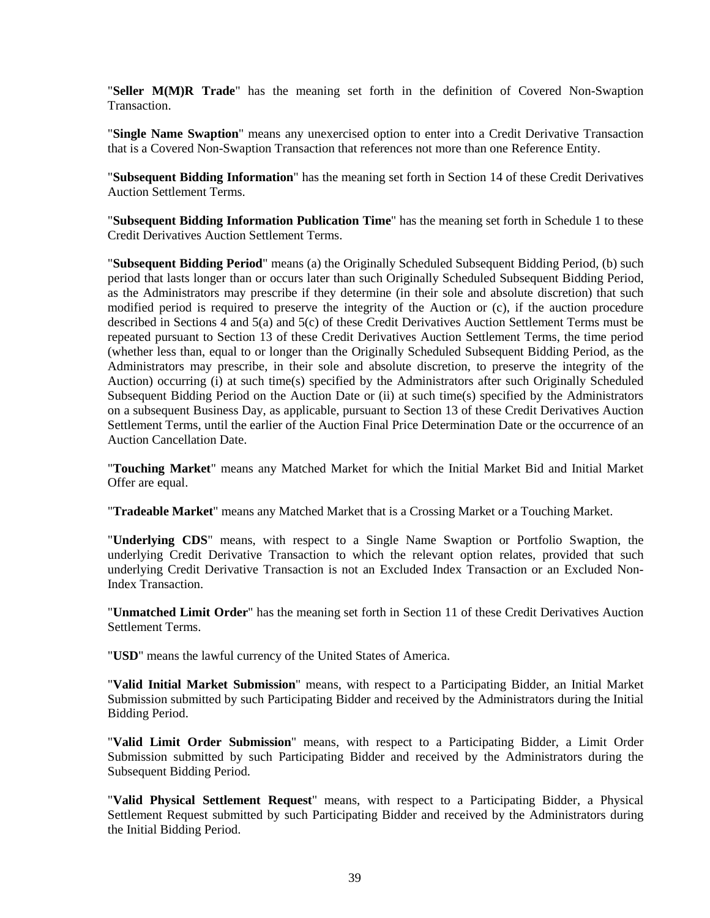"**Seller M(M)R Trade**" has the meaning set forth in the definition of Covered Non-Swaption **Transaction** 

"**Single Name Swaption**" means any unexercised option to enter into a Credit Derivative Transaction that is a Covered Non-Swaption Transaction that references not more than one Reference Entity.

"**Subsequent Bidding Information**" has the meaning set forth in Section 14 of these Credit Derivatives Auction Settlement Terms.

"**Subsequent Bidding Information Publication Time**" has the meaning set forth in Schedule 1 to these Credit Derivatives Auction Settlement Terms.

"**Subsequent Bidding Period**" means (a) the Originally Scheduled Subsequent Bidding Period, (b) such period that lasts longer than or occurs later than such Originally Scheduled Subsequent Bidding Period, as the Administrators may prescribe if they determine (in their sole and absolute discretion) that such modified period is required to preserve the integrity of the Auction or (c), if the auction procedure described in Sections 4 and 5(a) and 5(c) of these Credit Derivatives Auction Settlement Terms must be repeated pursuant to Section 13 of these Credit Derivatives Auction Settlement Terms, the time period (whether less than, equal to or longer than the Originally Scheduled Subsequent Bidding Period, as the Administrators may prescribe, in their sole and absolute discretion, to preserve the integrity of the Auction) occurring (i) at such time(s) specified by the Administrators after such Originally Scheduled Subsequent Bidding Period on the Auction Date or (ii) at such time(s) specified by the Administrators on a subsequent Business Day, as applicable, pursuant to Section 13 of these Credit Derivatives Auction Settlement Terms, until the earlier of the Auction Final Price Determination Date or the occurrence of an Auction Cancellation Date.

"**Touching Market**" means any Matched Market for which the Initial Market Bid and Initial Market Offer are equal.

"**Tradeable Market**" means any Matched Market that is a Crossing Market or a Touching Market.

"**Underlying CDS**" means, with respect to a Single Name Swaption or Portfolio Swaption, the underlying Credit Derivative Transaction to which the relevant option relates, provided that such underlying Credit Derivative Transaction is not an Excluded Index Transaction or an Excluded Non-Index Transaction.

"**Unmatched Limit Order**" has the meaning set forth in Section 11 of these Credit Derivatives Auction Settlement Terms.

"**USD**" means the lawful currency of the United States of America.

"**Valid Initial Market Submission**" means, with respect to a Participating Bidder, an Initial Market Submission submitted by such Participating Bidder and received by the Administrators during the Initial Bidding Period.

"**Valid Limit Order Submission**" means, with respect to a Participating Bidder, a Limit Order Submission submitted by such Participating Bidder and received by the Administrators during the Subsequent Bidding Period.

"**Valid Physical Settlement Request**" means, with respect to a Participating Bidder, a Physical Settlement Request submitted by such Participating Bidder and received by the Administrators during the Initial Bidding Period.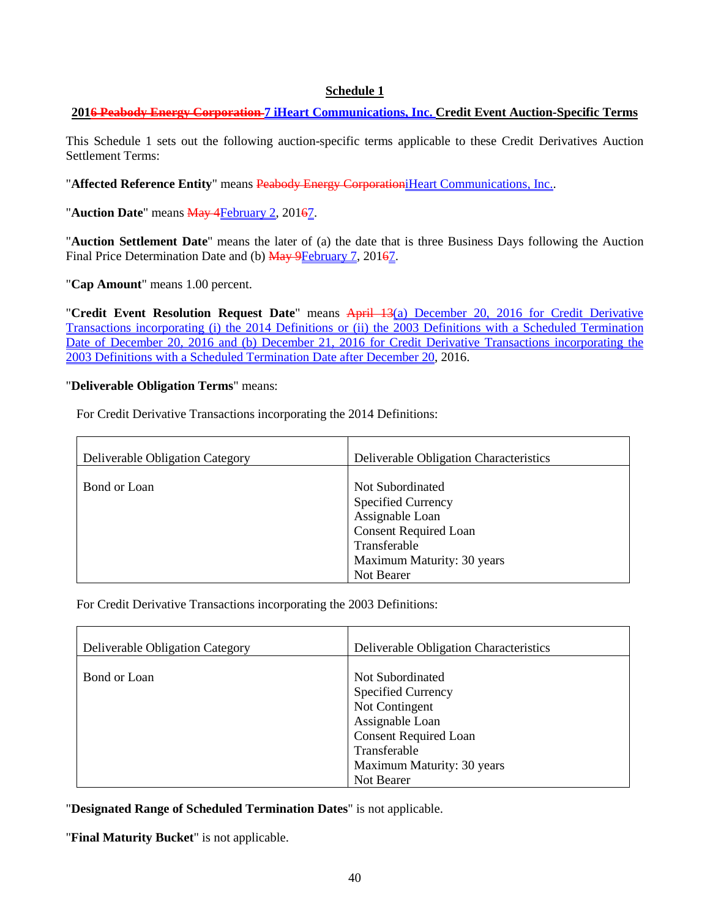# **Schedule 1**

# **2016 Peabody Energy Corporation 7 iHeart Communications, Inc. Credit Event Auction-Specific Terms**

This Schedule 1 sets out the following auction-specific terms applicable to these Credit Derivatives Auction Settlement Terms:

"Affected Reference Entity" means Peabody Energy CorporationiHeart Communications, Inc..

"**Auction Date**" means **May 4February 2, 20167.** 

"**Auction Settlement Date**" means the later of (a) the date that is three Business Days following the Auction Final Price Determination Date and (b) May 9February 7, 20167.

"**Cap Amount**" means 1.00 percent.

"**Credit Event Resolution Request Date**" means April 13(a) December 20, 2016 for Credit Derivative Transactions incorporating (i) the 2014 Definitions or (ii) the 2003 Definitions with a Scheduled Termination Date of December 20, 2016 and (b) December 21, 2016 for Credit Derivative Transactions incorporating the 2003 Definitions with a Scheduled Termination Date after December 20, 2016.

#### "**Deliverable Obligation Terms**" means:

For Credit Derivative Transactions incorporating the 2014 Definitions:

| Deliverable Obligation Category | Deliverable Obligation Characteristics                                                                                                                       |
|---------------------------------|--------------------------------------------------------------------------------------------------------------------------------------------------------------|
| Bond or Loan                    | Not Subordinated<br><b>Specified Currency</b><br>Assignable Loan<br><b>Consent Required Loan</b><br>Transferable<br>Maximum Maturity: 30 years<br>Not Bearer |

For Credit Derivative Transactions incorporating the 2003 Definitions:

| Deliverable Obligation Category | Deliverable Obligation Characteristics                                                                                                                                         |
|---------------------------------|--------------------------------------------------------------------------------------------------------------------------------------------------------------------------------|
| Bond or Loan                    | Not Subordinated<br><b>Specified Currency</b><br>Not Contingent<br>Assignable Loan<br><b>Consent Required Loan</b><br>Transferable<br>Maximum Maturity: 30 years<br>Not Bearer |

"**Designated Range of Scheduled Termination Dates**" is not applicable.

"**Final Maturity Bucket**" is not applicable.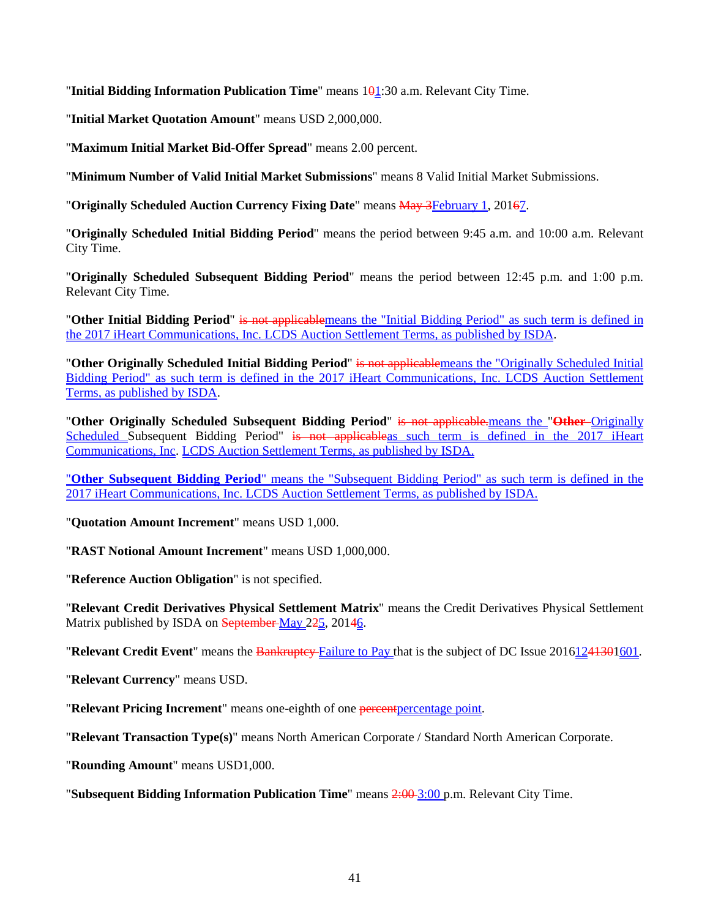"**Initial Bidding Information Publication Time**" means 101:30 a.m. Relevant City Time.

"**Initial Market Quotation Amount**" means USD 2,000,000.

"**Maximum Initial Market Bid-Offer Spread**" means 2.00 percent.

"**Minimum Number of Valid Initial Market Submissions**" means 8 Valid Initial Market Submissions.

"**Originally Scheduled Auction Currency Fixing Date**" means May 3February 1, 20167.

"**Originally Scheduled Initial Bidding Period**" means the period between 9:45 a.m. and 10:00 a.m. Relevant City Time.

"**Originally Scheduled Subsequent Bidding Period**" means the period between 12:45 p.m. and 1:00 p.m. Relevant City Time.

"**Other Initial Bidding Period**" is not applicablemeans the "Initial Bidding Period" as such term is defined in the 2017 iHeart Communications, Inc. LCDS Auction Settlement Terms, as published by ISDA.

"**Other Originally Scheduled Initial Bidding Period**" is not applicablemeans the "Originally Scheduled Initial Bidding Period" as such term is defined in the 2017 iHeart Communications, Inc. LCDS Auction Settlement Terms, as published by ISDA.

"**Other Originally Scheduled Subsequent Bidding Period**" is not applicable.means the "**Other** Originally Scheduled Subsequent Bidding Period" is not applicable as such term is defined in the 2017 iHeart Communications, Inc. LCDS Auction Settlement Terms, as published by ISDA.

"**Other Subsequent Bidding Period**" means the "Subsequent Bidding Period" as such term is defined in the 2017 iHeart Communications, Inc. LCDS Auction Settlement Terms, as published by ISDA.

"**Quotation Amount Increment**" means USD 1,000.

"**RAST Notional Amount Increment**" means USD 1,000,000.

"**Reference Auction Obligation**" is not specified.

"**Relevant Credit Derivatives Physical Settlement Matrix**" means the Credit Derivatives Physical Settlement Matrix published by ISDA on September May 225, 20146.

**"Relevant Credit Event**" means the Bankruptey-Failure to Pay that is the subject of DC Issue 20161241301601.

"**Relevant Currency**" means USD.

"**Relevant Pricing Increment**" means one-eighth of one percentpercentage point.

"**Relevant Transaction Type(s)**" means North American Corporate / Standard North American Corporate.

"**Rounding Amount**" means USD1,000.

"**Subsequent Bidding Information Publication Time**" means 2:00 3:00 p.m. Relevant City Time.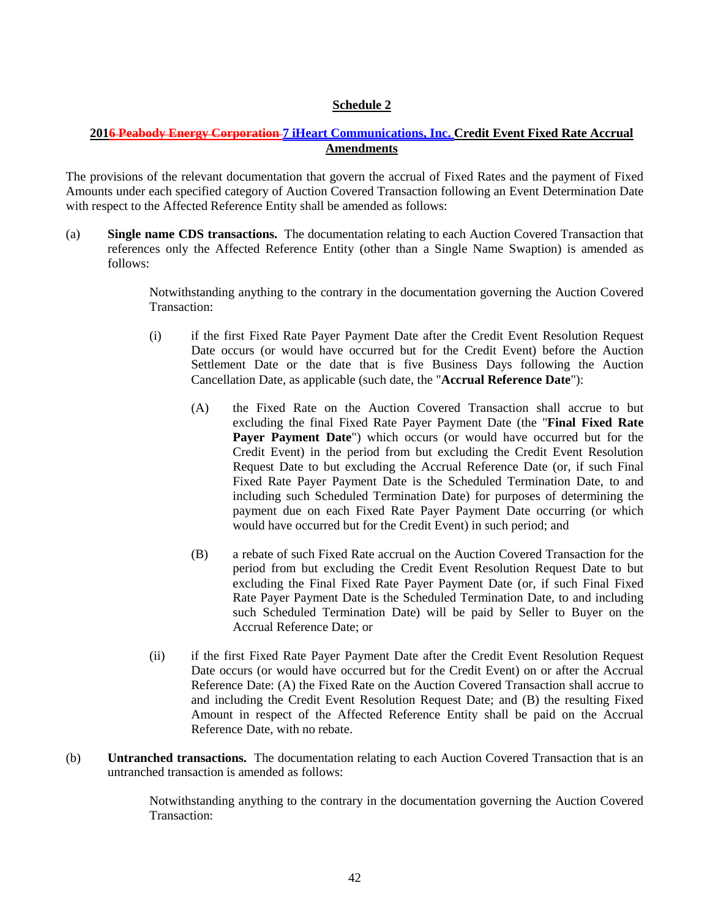# **Schedule 2**

# **2016 Peabody Energy Corporation 7 iHeart Communications, Inc. Credit Event Fixed Rate Accrual Amendments**

The provisions of the relevant documentation that govern the accrual of Fixed Rates and the payment of Fixed Amounts under each specified category of Auction Covered Transaction following an Event Determination Date with respect to the Affected Reference Entity shall be amended as follows:

(a) **Single name CDS transactions.** The documentation relating to each Auction Covered Transaction that references only the Affected Reference Entity (other than a Single Name Swaption) is amended as follows:

> Notwithstanding anything to the contrary in the documentation governing the Auction Covered Transaction:

- (i) if the first Fixed Rate Payer Payment Date after the Credit Event Resolution Request Date occurs (or would have occurred but for the Credit Event) before the Auction Settlement Date or the date that is five Business Days following the Auction Cancellation Date, as applicable (such date, the "**Accrual Reference Date**"):
	- (A) the Fixed Rate on the Auction Covered Transaction shall accrue to but excluding the final Fixed Rate Payer Payment Date (the "**Final Fixed Rate Payer Payment Date**") which occurs (or would have occurred but for the Credit Event) in the period from but excluding the Credit Event Resolution Request Date to but excluding the Accrual Reference Date (or, if such Final Fixed Rate Payer Payment Date is the Scheduled Termination Date, to and including such Scheduled Termination Date) for purposes of determining the payment due on each Fixed Rate Payer Payment Date occurring (or which would have occurred but for the Credit Event) in such period; and
	- (B) a rebate of such Fixed Rate accrual on the Auction Covered Transaction for the period from but excluding the Credit Event Resolution Request Date to but excluding the Final Fixed Rate Payer Payment Date (or, if such Final Fixed Rate Payer Payment Date is the Scheduled Termination Date, to and including such Scheduled Termination Date) will be paid by Seller to Buyer on the Accrual Reference Date; or
- (ii) if the first Fixed Rate Payer Payment Date after the Credit Event Resolution Request Date occurs (or would have occurred but for the Credit Event) on or after the Accrual Reference Date: (A) the Fixed Rate on the Auction Covered Transaction shall accrue to and including the Credit Event Resolution Request Date; and (B) the resulting Fixed Amount in respect of the Affected Reference Entity shall be paid on the Accrual Reference Date, with no rebate.
- (b) **Untranched transactions.** The documentation relating to each Auction Covered Transaction that is an untranched transaction is amended as follows:

Notwithstanding anything to the contrary in the documentation governing the Auction Covered Transaction: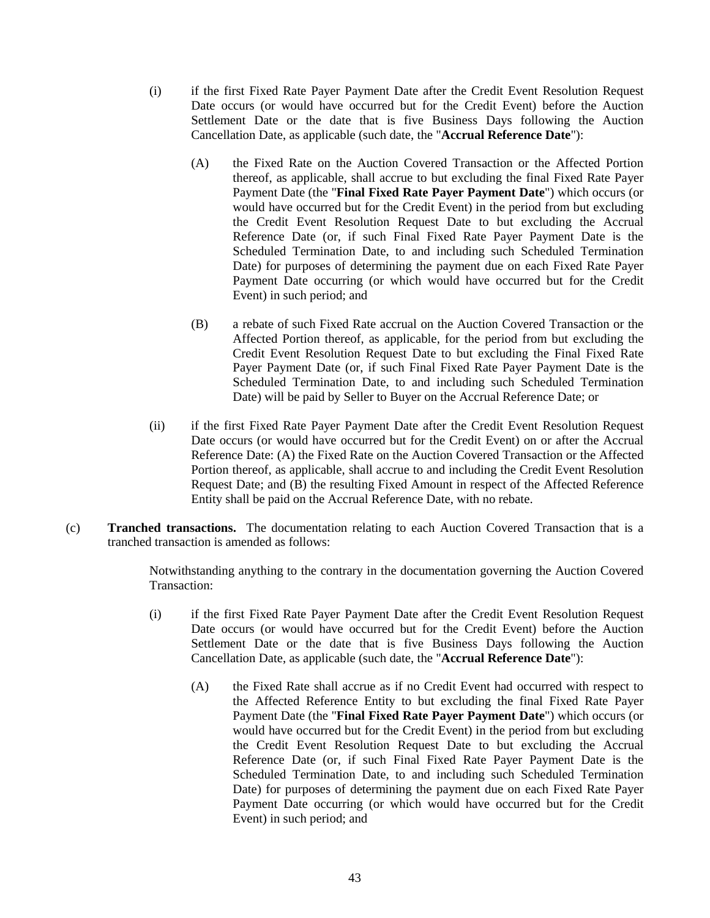- (i) if the first Fixed Rate Payer Payment Date after the Credit Event Resolution Request Date occurs (or would have occurred but for the Credit Event) before the Auction Settlement Date or the date that is five Business Days following the Auction Cancellation Date, as applicable (such date, the "**Accrual Reference Date**"):
	- (A) the Fixed Rate on the Auction Covered Transaction or the Affected Portion thereof, as applicable, shall accrue to but excluding the final Fixed Rate Payer Payment Date (the "**Final Fixed Rate Payer Payment Date**") which occurs (or would have occurred but for the Credit Event) in the period from but excluding the Credit Event Resolution Request Date to but excluding the Accrual Reference Date (or, if such Final Fixed Rate Payer Payment Date is the Scheduled Termination Date, to and including such Scheduled Termination Date) for purposes of determining the payment due on each Fixed Rate Payer Payment Date occurring (or which would have occurred but for the Credit Event) in such period; and
	- (B) a rebate of such Fixed Rate accrual on the Auction Covered Transaction or the Affected Portion thereof, as applicable, for the period from but excluding the Credit Event Resolution Request Date to but excluding the Final Fixed Rate Payer Payment Date (or, if such Final Fixed Rate Payer Payment Date is the Scheduled Termination Date, to and including such Scheduled Termination Date) will be paid by Seller to Buyer on the Accrual Reference Date; or
- (ii) if the first Fixed Rate Payer Payment Date after the Credit Event Resolution Request Date occurs (or would have occurred but for the Credit Event) on or after the Accrual Reference Date: (A) the Fixed Rate on the Auction Covered Transaction or the Affected Portion thereof, as applicable, shall accrue to and including the Credit Event Resolution Request Date; and (B) the resulting Fixed Amount in respect of the Affected Reference Entity shall be paid on the Accrual Reference Date, with no rebate.
- (c) **Tranched transactions.** The documentation relating to each Auction Covered Transaction that is a tranched transaction is amended as follows:

Notwithstanding anything to the contrary in the documentation governing the Auction Covered Transaction:

- (i) if the first Fixed Rate Payer Payment Date after the Credit Event Resolution Request Date occurs (or would have occurred but for the Credit Event) before the Auction Settlement Date or the date that is five Business Days following the Auction Cancellation Date, as applicable (such date, the "**Accrual Reference Date**"):
	- (A) the Fixed Rate shall accrue as if no Credit Event had occurred with respect to the Affected Reference Entity to but excluding the final Fixed Rate Payer Payment Date (the "**Final Fixed Rate Payer Payment Date**") which occurs (or would have occurred but for the Credit Event) in the period from but excluding the Credit Event Resolution Request Date to but excluding the Accrual Reference Date (or, if such Final Fixed Rate Payer Payment Date is the Scheduled Termination Date, to and including such Scheduled Termination Date) for purposes of determining the payment due on each Fixed Rate Payer Payment Date occurring (or which would have occurred but for the Credit Event) in such period; and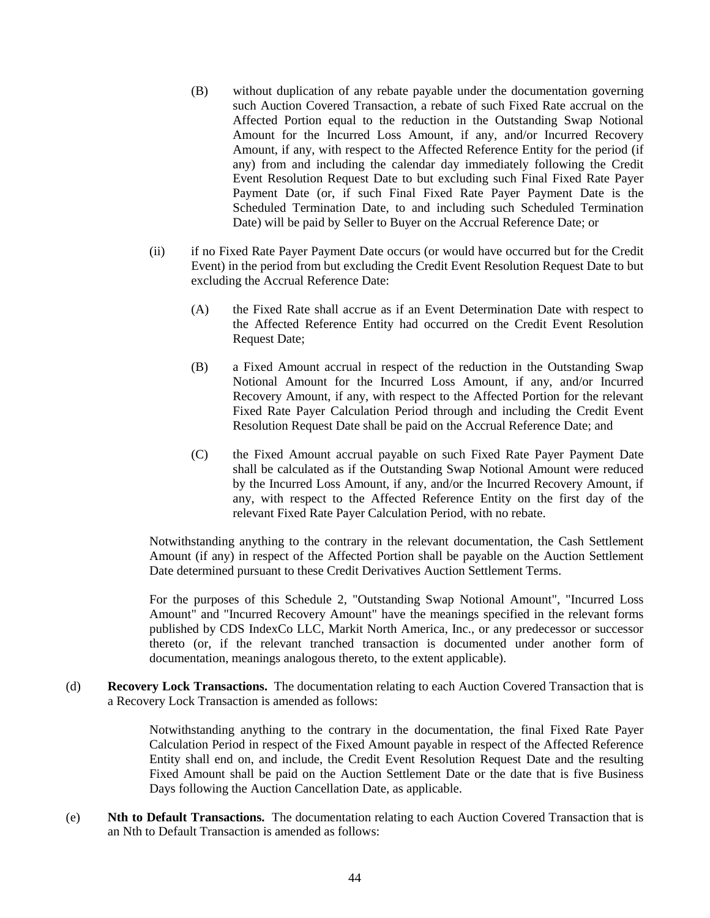- (B) without duplication of any rebate payable under the documentation governing such Auction Covered Transaction, a rebate of such Fixed Rate accrual on the Affected Portion equal to the reduction in the Outstanding Swap Notional Amount for the Incurred Loss Amount, if any, and/or Incurred Recovery Amount, if any, with respect to the Affected Reference Entity for the period (if any) from and including the calendar day immediately following the Credit Event Resolution Request Date to but excluding such Final Fixed Rate Payer Payment Date (or, if such Final Fixed Rate Payer Payment Date is the Scheduled Termination Date, to and including such Scheduled Termination Date) will be paid by Seller to Buyer on the Accrual Reference Date; or
- (ii) if no Fixed Rate Payer Payment Date occurs (or would have occurred but for the Credit Event) in the period from but excluding the Credit Event Resolution Request Date to but excluding the Accrual Reference Date:
	- (A) the Fixed Rate shall accrue as if an Event Determination Date with respect to the Affected Reference Entity had occurred on the Credit Event Resolution Request Date;
	- (B) a Fixed Amount accrual in respect of the reduction in the Outstanding Swap Notional Amount for the Incurred Loss Amount, if any, and/or Incurred Recovery Amount, if any, with respect to the Affected Portion for the relevant Fixed Rate Payer Calculation Period through and including the Credit Event Resolution Request Date shall be paid on the Accrual Reference Date; and
	- (C) the Fixed Amount accrual payable on such Fixed Rate Payer Payment Date shall be calculated as if the Outstanding Swap Notional Amount were reduced by the Incurred Loss Amount, if any, and/or the Incurred Recovery Amount, if any, with respect to the Affected Reference Entity on the first day of the relevant Fixed Rate Payer Calculation Period, with no rebate.

Notwithstanding anything to the contrary in the relevant documentation, the Cash Settlement Amount (if any) in respect of the Affected Portion shall be payable on the Auction Settlement Date determined pursuant to these Credit Derivatives Auction Settlement Terms.

For the purposes of this Schedule 2, "Outstanding Swap Notional Amount", "Incurred Loss Amount" and "Incurred Recovery Amount" have the meanings specified in the relevant forms published by CDS IndexCo LLC, Markit North America, Inc., or any predecessor or successor thereto (or, if the relevant tranched transaction is documented under another form of documentation, meanings analogous thereto, to the extent applicable).

(d) **Recovery Lock Transactions.** The documentation relating to each Auction Covered Transaction that is a Recovery Lock Transaction is amended as follows:

> Notwithstanding anything to the contrary in the documentation, the final Fixed Rate Payer Calculation Period in respect of the Fixed Amount payable in respect of the Affected Reference Entity shall end on, and include, the Credit Event Resolution Request Date and the resulting Fixed Amount shall be paid on the Auction Settlement Date or the date that is five Business Days following the Auction Cancellation Date, as applicable.

(e) **Nth to Default Transactions.** The documentation relating to each Auction Covered Transaction that is an Nth to Default Transaction is amended as follows: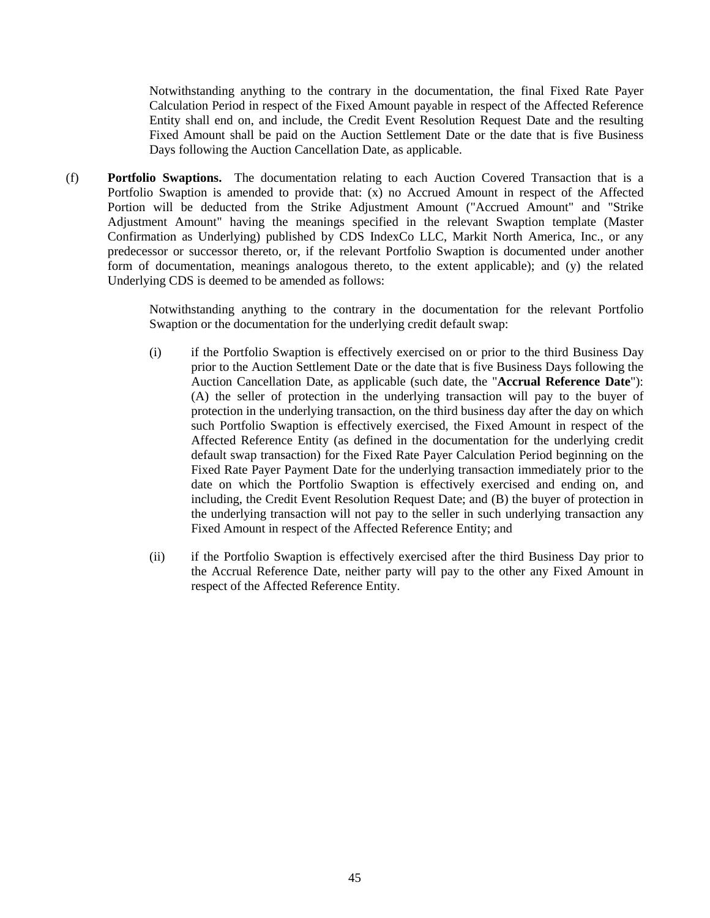Notwithstanding anything to the contrary in the documentation, the final Fixed Rate Payer Calculation Period in respect of the Fixed Amount payable in respect of the Affected Reference Entity shall end on, and include, the Credit Event Resolution Request Date and the resulting Fixed Amount shall be paid on the Auction Settlement Date or the date that is five Business Days following the Auction Cancellation Date, as applicable.

(f) **Portfolio Swaptions.** The documentation relating to each Auction Covered Transaction that is a Portfolio Swaption is amended to provide that: (x) no Accrued Amount in respect of the Affected Portion will be deducted from the Strike Adjustment Amount ("Accrued Amount" and "Strike Adjustment Amount" having the meanings specified in the relevant Swaption template (Master Confirmation as Underlying) published by CDS IndexCo LLC, Markit North America, Inc., or any predecessor or successor thereto, or, if the relevant Portfolio Swaption is documented under another form of documentation, meanings analogous thereto, to the extent applicable); and (y) the related Underlying CDS is deemed to be amended as follows:

> Notwithstanding anything to the contrary in the documentation for the relevant Portfolio Swaption or the documentation for the underlying credit default swap:

- (i) if the Portfolio Swaption is effectively exercised on or prior to the third Business Day prior to the Auction Settlement Date or the date that is five Business Days following the Auction Cancellation Date, as applicable (such date, the "**Accrual Reference Date**"): (A) the seller of protection in the underlying transaction will pay to the buyer of protection in the underlying transaction, on the third business day after the day on which such Portfolio Swaption is effectively exercised, the Fixed Amount in respect of the Affected Reference Entity (as defined in the documentation for the underlying credit default swap transaction) for the Fixed Rate Payer Calculation Period beginning on the Fixed Rate Payer Payment Date for the underlying transaction immediately prior to the date on which the Portfolio Swaption is effectively exercised and ending on, and including, the Credit Event Resolution Request Date; and (B) the buyer of protection in the underlying transaction will not pay to the seller in such underlying transaction any Fixed Amount in respect of the Affected Reference Entity; and
- (ii) if the Portfolio Swaption is effectively exercised after the third Business Day prior to the Accrual Reference Date, neither party will pay to the other any Fixed Amount in respect of the Affected Reference Entity.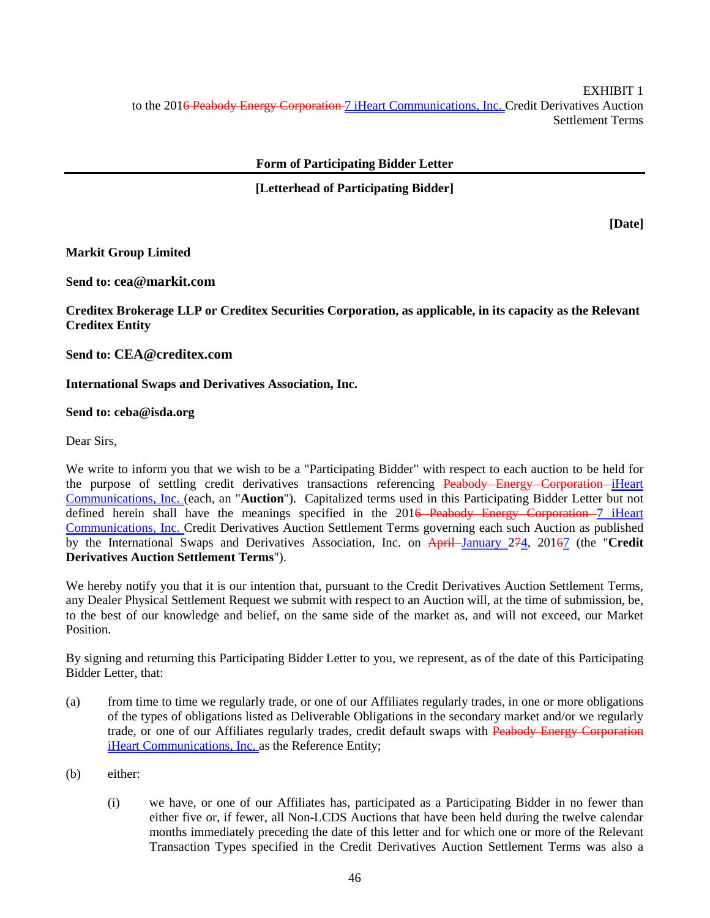EXHIBIT 1 to the 201<del>6 Peabody Energy Corporation 7 iHeart Communications, Inc. Credit Derivatives Auction</del> Settlement Terms

# **Form of Participating Bidder Letter**

# **[Letterhead of Participating Bidder]**

**[Date]** 

# **Markit Group Limited**

**Send to: cea@markit.com**

**Creditex Brokerage LLP or Creditex Securities Corporation, as applicable, in its capacity as the Relevant Creditex Entity** 

**Send to: CEA@creditex.com**

# **International Swaps and Derivatives Association, Inc.**

# **Send to: ceba@isda.org**

Dear Sirs,

We write to inform you that we wish to be a "Participating Bidder" with respect to each auction to be held for the purpose of settling credit derivatives transactions referencing Peabody Energy Corporation-iHeart Communications, Inc. (each, an "**Auction**"). Capitalized terms used in this Participating Bidder Letter but not defined herein shall have the meanings specified in the 201<del>6 Peabody Energy Corporation</del>–7 iHeart Communications, Inc. Credit Derivatives Auction Settlement Terms governing each such Auction as published by the International Swaps and Derivatives Association, Inc. on April January 274, 20167 (the "**Credit Derivatives Auction Settlement Terms**").

We hereby notify you that it is our intention that, pursuant to the Credit Derivatives Auction Settlement Terms, any Dealer Physical Settlement Request we submit with respect to an Auction will, at the time of submission, be, to the best of our knowledge and belief, on the same side of the market as, and will not exceed, our Market Position.

By signing and returning this Participating Bidder Letter to you, we represent, as of the date of this Participating Bidder Letter, that:

- (a) from time to time we regularly trade, or one of our Affiliates regularly trades, in one or more obligations of the types of obligations listed as Deliverable Obligations in the secondary market and/or we regularly trade, or one of our Affiliates regularly trades, credit default swaps with Peabody Energy Corporation iHeart Communications, Inc. as the Reference Entity;
- (b) either:
	- (i) we have, or one of our Affiliates has, participated as a Participating Bidder in no fewer than either five or, if fewer, all Non-LCDS Auctions that have been held during the twelve calendar months immediately preceding the date of this letter and for which one or more of the Relevant Transaction Types specified in the Credit Derivatives Auction Settlement Terms was also a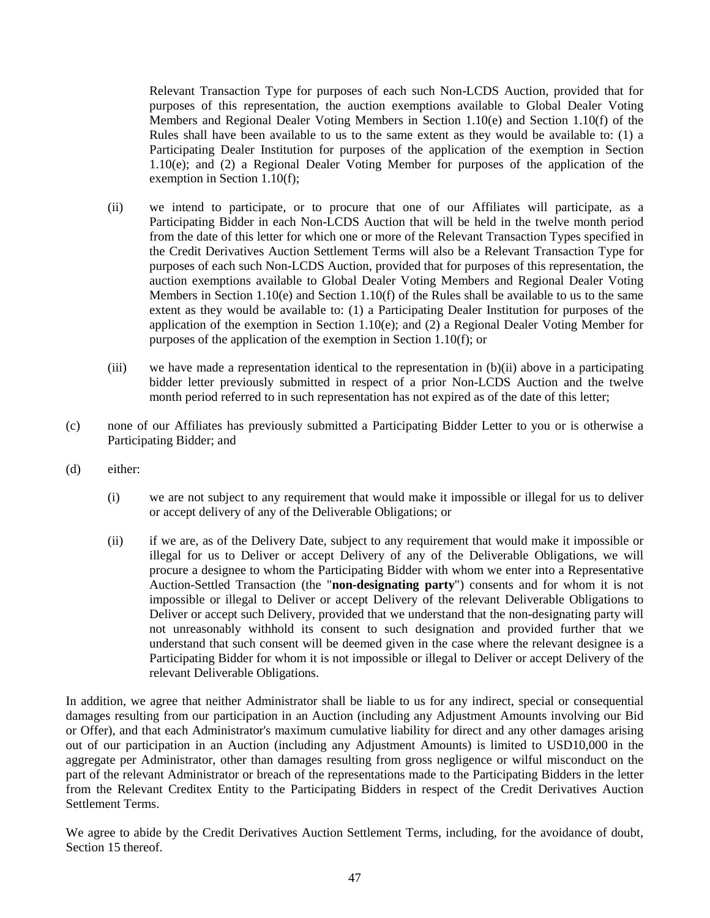Relevant Transaction Type for purposes of each such Non-LCDS Auction, provided that for purposes of this representation, the auction exemptions available to Global Dealer Voting Members and Regional Dealer Voting Members in Section 1.10(e) and Section 1.10(f) of the Rules shall have been available to us to the same extent as they would be available to: (1) a Participating Dealer Institution for purposes of the application of the exemption in Section 1.10(e); and (2) a Regional Dealer Voting Member for purposes of the application of the exemption in Section 1.10(f);

- (ii) we intend to participate, or to procure that one of our Affiliates will participate, as a Participating Bidder in each Non-LCDS Auction that will be held in the twelve month period from the date of this letter for which one or more of the Relevant Transaction Types specified in the Credit Derivatives Auction Settlement Terms will also be a Relevant Transaction Type for purposes of each such Non-LCDS Auction, provided that for purposes of this representation, the auction exemptions available to Global Dealer Voting Members and Regional Dealer Voting Members in Section 1.10(e) and Section 1.10(f) of the Rules shall be available to us to the same extent as they would be available to: (1) a Participating Dealer Institution for purposes of the application of the exemption in Section 1.10(e); and (2) a Regional Dealer Voting Member for purposes of the application of the exemption in Section 1.10(f); or
- (iii) we have made a representation identical to the representation in (b)(ii) above in a participating bidder letter previously submitted in respect of a prior Non-LCDS Auction and the twelve month period referred to in such representation has not expired as of the date of this letter;
- (c) none of our Affiliates has previously submitted a Participating Bidder Letter to you or is otherwise a Participating Bidder; and
- (d) either:
	- (i) we are not subject to any requirement that would make it impossible or illegal for us to deliver or accept delivery of any of the Deliverable Obligations; or
	- (ii) if we are, as of the Delivery Date, subject to any requirement that would make it impossible or illegal for us to Deliver or accept Delivery of any of the Deliverable Obligations, we will procure a designee to whom the Participating Bidder with whom we enter into a Representative Auction-Settled Transaction (the "**non-designating party**") consents and for whom it is not impossible or illegal to Deliver or accept Delivery of the relevant Deliverable Obligations to Deliver or accept such Delivery, provided that we understand that the non-designating party will not unreasonably withhold its consent to such designation and provided further that we understand that such consent will be deemed given in the case where the relevant designee is a Participating Bidder for whom it is not impossible or illegal to Deliver or accept Delivery of the relevant Deliverable Obligations.

In addition, we agree that neither Administrator shall be liable to us for any indirect, special or consequential damages resulting from our participation in an Auction (including any Adjustment Amounts involving our Bid or Offer), and that each Administrator's maximum cumulative liability for direct and any other damages arising out of our participation in an Auction (including any Adjustment Amounts) is limited to USD10,000 in the aggregate per Administrator, other than damages resulting from gross negligence or wilful misconduct on the part of the relevant Administrator or breach of the representations made to the Participating Bidders in the letter from the Relevant Creditex Entity to the Participating Bidders in respect of the Credit Derivatives Auction Settlement Terms.

We agree to abide by the Credit Derivatives Auction Settlement Terms, including, for the avoidance of doubt, Section 15 thereof.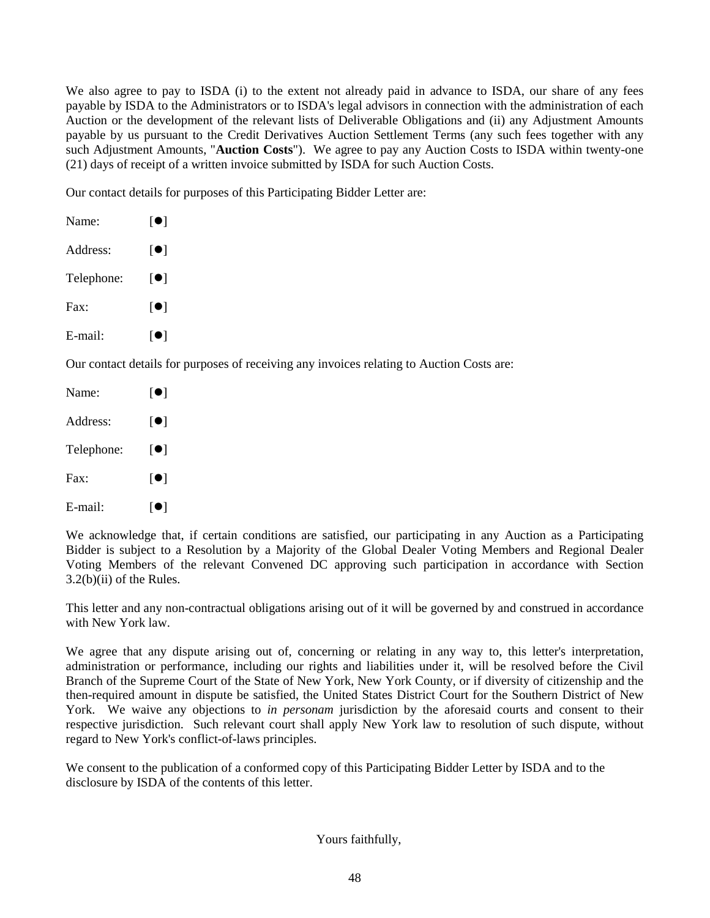We also agree to pay to ISDA (i) to the extent not already paid in advance to ISDA, our share of any fees payable by ISDA to the Administrators or to ISDA's legal advisors in connection with the administration of each Auction or the development of the relevant lists of Deliverable Obligations and (ii) any Adjustment Amounts payable by us pursuant to the Credit Derivatives Auction Settlement Terms (any such fees together with any such Adjustment Amounts, "**Auction Costs**"). We agree to pay any Auction Costs to ISDA within twenty-one (21) days of receipt of a written invoice submitted by ISDA for such Auction Costs.

Our contact details for purposes of this Participating Bidder Letter are:

| Name:      | $\lceil \bullet \rceil$         |
|------------|---------------------------------|
| Address:   | $\lceil \bullet \rceil$         |
| Telephone: | $\lceil\bullet\rceil$           |
| Fax:       | $\lceil \bullet \rceil$         |
| E-mail:    | $\lceil \bullet \rceil$         |
|            | Our contact details for purpose |

es of receiving any invoices relating to Auction Costs are:

| Name:      | $\lceil \bullet \rceil$ |
|------------|-------------------------|
| Address:   | [O]                     |
| Telephone: | [●]                     |
| Fax:       | $\lceil \bullet \rceil$ |
| E-mail:    | [0]                     |

We acknowledge that, if certain conditions are satisfied, our participating in any Auction as a Participating Bidder is subject to a Resolution by a Majority of the Global Dealer Voting Members and Regional Dealer Voting Members of the relevant Convened DC approving such participation in accordance with Section 3.2(b)(ii) of the Rules.

This letter and any non-contractual obligations arising out of it will be governed by and construed in accordance with New York law.

We agree that any dispute arising out of, concerning or relating in any way to, this letter's interpretation, administration or performance, including our rights and liabilities under it, will be resolved before the Civil Branch of the Supreme Court of the State of New York, New York County, or if diversity of citizenship and the then-required amount in dispute be satisfied, the United States District Court for the Southern District of New York. We waive any objections to *in personam* jurisdiction by the aforesaid courts and consent to their respective jurisdiction. Such relevant court shall apply New York law to resolution of such dispute, without regard to New York's conflict-of-laws principles.

We consent to the publication of a conformed copy of this Participating Bidder Letter by ISDA and to the disclosure by ISDA of the contents of this letter.

# Yours faithfully,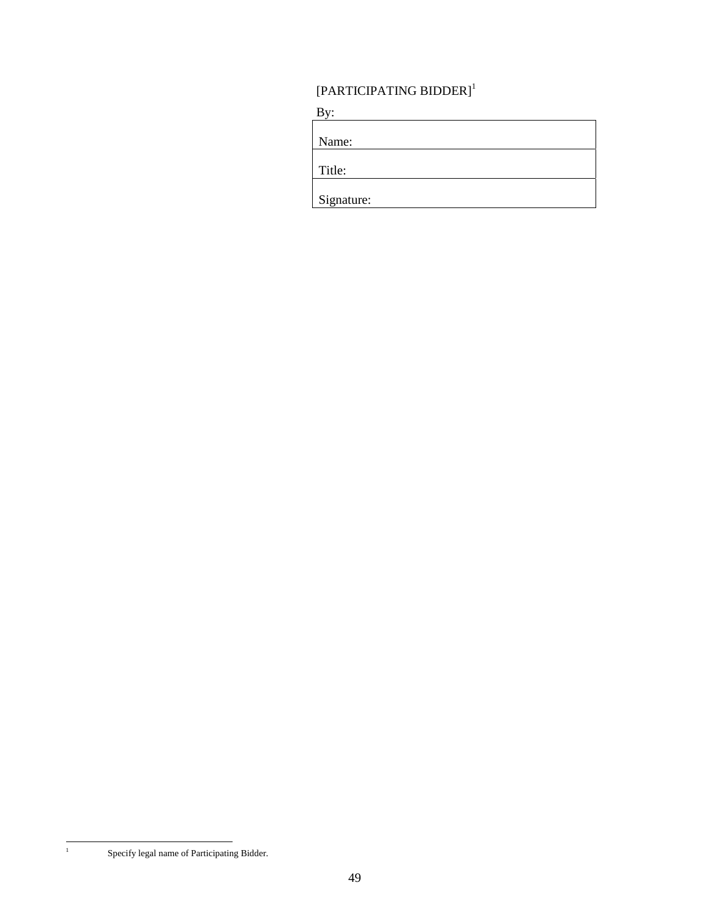# $\left[\text{PARTICIPATING BIDDER}\right]^{1}$

 $By:$ 

| Name:      |  |  |
|------------|--|--|
| Title:     |  |  |
| Signature: |  |  |

<u> 1980 - Johann Barbara, martxa amerikan personal (h. 1980).</u>

Specify legal name of Participating Bidder.

|<br>|<br>|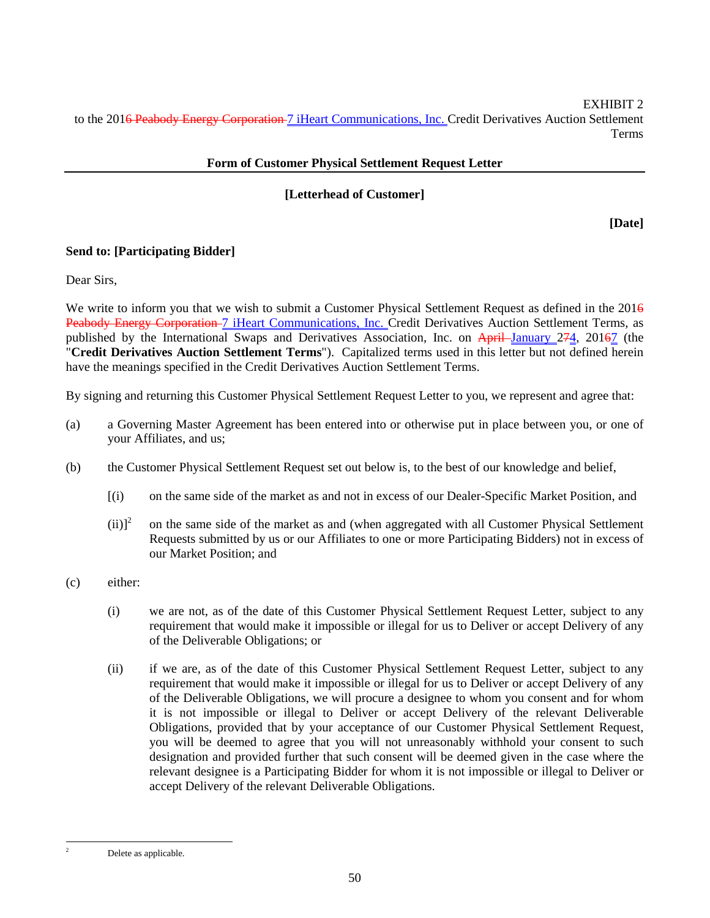EXHIBIT 2 to the 201<del>6 Peabody Energy Corporation 7 iHeart Communications, Inc. Credit Derivatives Auction Settlement</del> Terms

# **Form of Customer Physical Settlement Request Letter**

# **[Letterhead of Customer]**

**[Date]** 

# **Send to: [Participating Bidder]**

Dear Sirs,

We write to inform you that we wish to submit a Customer Physical Settlement Request as defined in the 2016 Peabody Energy Corporation 7 iHeart Communications, Inc. Credit Derivatives Auction Settlement Terms, as published by the International Swaps and Derivatives Association, Inc. on April January 274, 20167 (the "**Credit Derivatives Auction Settlement Terms**"). Capitalized terms used in this letter but not defined herein have the meanings specified in the Credit Derivatives Auction Settlement Terms.

By signing and returning this Customer Physical Settlement Request Letter to you, we represent and agree that:

- (a) a Governing Master Agreement has been entered into or otherwise put in place between you, or one of your Affiliates, and us;
- (b) the Customer Physical Settlement Request set out below is, to the best of our knowledge and belief,
	- [(i) on the same side of the market as and not in excess of our Dealer-Specific Market Position, and
	- $(ii)$ <sup>2</sup> on the same side of the market as and (when aggregated with all Customer Physical Settlement Requests submitted by us or our Affiliates to one or more Participating Bidders) not in excess of our Market Position; and
- (c) either:
	- (i) we are not, as of the date of this Customer Physical Settlement Request Letter, subject to any requirement that would make it impossible or illegal for us to Deliver or accept Delivery of any of the Deliverable Obligations; or
	- (ii) if we are, as of the date of this Customer Physical Settlement Request Letter, subject to any requirement that would make it impossible or illegal for us to Deliver or accept Delivery of any of the Deliverable Obligations, we will procure a designee to whom you consent and for whom it is not impossible or illegal to Deliver or accept Delivery of the relevant Deliverable Obligations, provided that by your acceptance of our Customer Physical Settlement Request, you will be deemed to agree that you will not unreasonably withhold your consent to such designation and provided further that such consent will be deemed given in the case where the relevant designee is a Participating Bidder for whom it is not impossible or illegal to Deliver or accept Delivery of the relevant Deliverable Obligations.

 $\overline{a}$ 

Delete as applicable.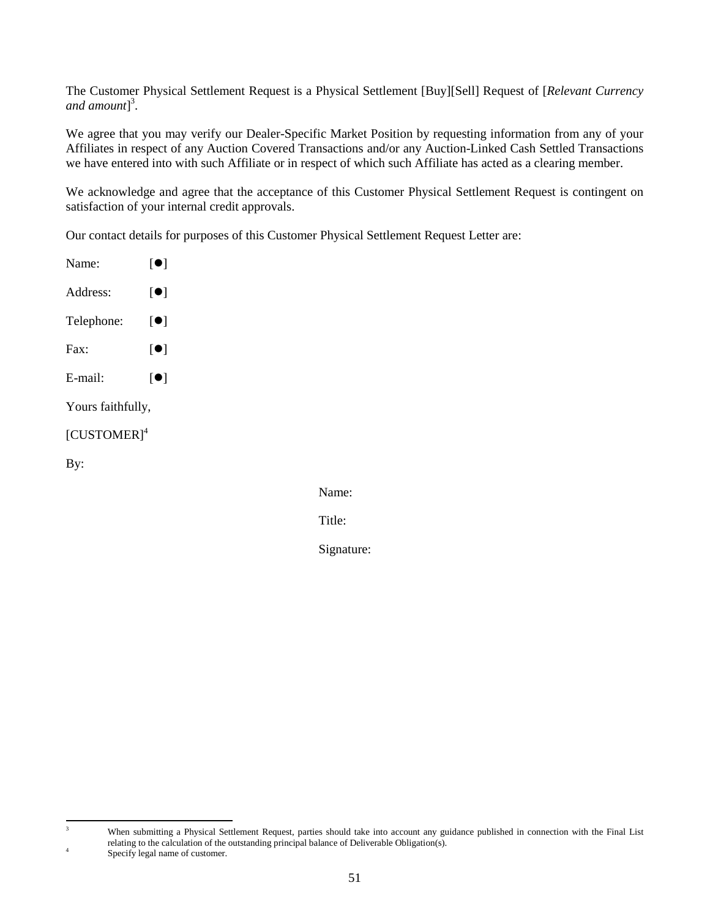The Customer Physical Settlement Request is a Physical Settlement [Buy][Sell] Request of [*Relevant Currency and amount*] 3 .

We agree that you may verify our Dealer-Specific Market Position by requesting information from any of your Affiliates in respect of any Auction Covered Transactions and/or any Auction-Linked Cash Settled Transactions we have entered into with such Affiliate or in respect of which such Affiliate has acted as a clearing member.

We acknowledge and agree that the acceptance of this Customer Physical Settlement Request is contingent on satisfaction of your internal credit approvals.

Our contact details for purposes of this Customer Physical Settlement Request Letter are:

| Name:                     | $\lceil \bullet \rceil$ |
|---------------------------|-------------------------|
| Address:                  | $\lceil \bullet \rceil$ |
| Telephone:                | $\lceil \bullet \rceil$ |
| Fax:                      | $\lceil \bullet \rceil$ |
| $E$ -mail:                | $\lceil \bullet \rceil$ |
| Yours faithfully,         |                         |
| $[CUSTOMER]$ <sup>4</sup> |                         |
| By:                       |                         |
|                           |                         |
|                           |                         |

Name:

Title:

Signature:

<sup>-&</sup>lt;br>3

When submitting a Physical Settlement Request, parties should take into account any guidance published in connection with the Final List relating to the calculation of the outstanding principal balance of Deliverable Obligation(s).

Specify legal name of customer.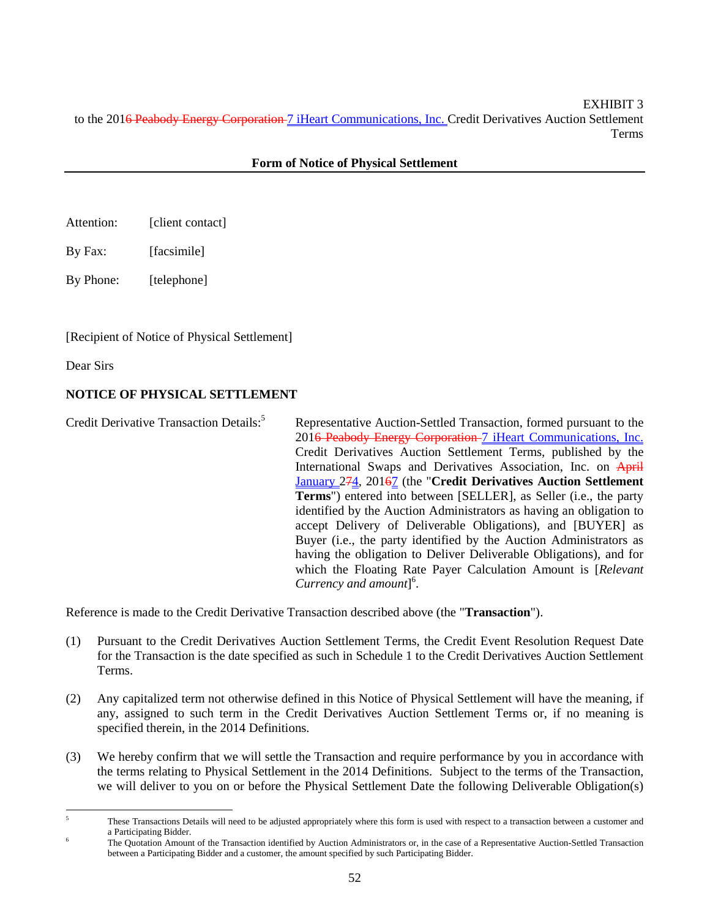EXHIBIT 3 to the 201<del>6 Peabody Energy Corporation 7 iHeart Communications, Inc. Credit Derivatives Auction Settlement</del> Terms

# **Form of Notice of Physical Settlement**

- Attention: [client contact]
- By Fax: [facsimile]

By Phone: [telephone]

[Recipient of Notice of Physical Settlement]

Dear Sirs

# **NOTICE OF PHYSICAL SETTLEMENT**

Credit Derivative Transaction Details:<sup>5</sup> Representative Auction-Settled Transaction, formed pursuant to the 201<del>6 Peabody Energy Corporation 7 iHeart Communications, Inc.</del> Credit Derivatives Auction Settlement Terms, published by the International Swaps and Derivatives Association, Inc. on April January 274, 20167 (the "**Credit Derivatives Auction Settlement Terms**") entered into between [SELLER], as Seller (i.e., the party identified by the Auction Administrators as having an obligation to accept Delivery of Deliverable Obligations), and [BUYER] as Buyer (i.e., the party identified by the Auction Administrators as having the obligation to Deliver Deliverable Obligations), and for which the Floating Rate Payer Calculation Amount is [*Relevant Currency and amount*] 6 .

Reference is made to the Credit Derivative Transaction described above (the "**Transaction**").

- (1) Pursuant to the Credit Derivatives Auction Settlement Terms, the Credit Event Resolution Request Date for the Transaction is the date specified as such in Schedule 1 to the Credit Derivatives Auction Settlement Terms.
- (2) Any capitalized term not otherwise defined in this Notice of Physical Settlement will have the meaning, if any, assigned to such term in the Credit Derivatives Auction Settlement Terms or, if no meaning is specified therein, in the 2014 Definitions.
- (3) We hereby confirm that we will settle the Transaction and require performance by you in accordance with the terms relating to Physical Settlement in the 2014 Definitions. Subject to the terms of the Transaction, we will deliver to you on or before the Physical Settlement Date the following Deliverable Obligation(s)

 $\frac{1}{5}$  These Transactions Details will need to be adjusted appropriately where this form is used with respect to a transaction between a customer and a Participating Bidder.

The Quotation Amount of the Transaction identified by Auction Administrators or, in the case of a Representative Auction-Settled Transaction between a Participating Bidder and a customer, the amount specified by such Participating Bidder.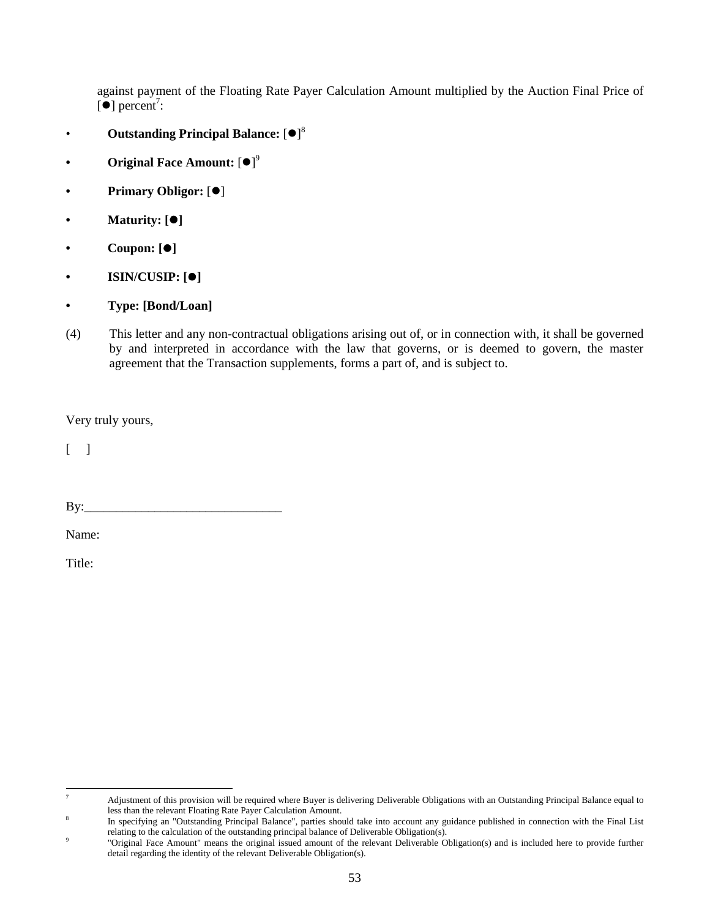against payment of the Floating Rate Payer Calculation Amount multiplied by the Auction Final Price of  $\left[\bullet\right]$  percent<sup>7</sup>:

- Outstanding Principal Balance: [ $\bullet$ ]<sup>8</sup>
- **Original Face Amount: [** $\bullet$ **]**<sup>9</sup>
- Primary Obligor: [ $\bullet$ ]
- **Maturity: []**
- **Coupon: []**
- **ISIN/CUSIP:** [ $\bullet$ ]
- **Type: [Bond/Loan]**
- (4) This letter and any non-contractual obligations arising out of, or in connection with, it shall be governed by and interpreted in accordance with the law that governs, or is deemed to govern, the master agreement that the Transaction supplements, forms a part of, and is subject to.

Very truly yours,

 $\lceil \cdot \rceil$ 

 $\mathbf{B} \mathbf{y}$ :

Name:

Title:

<sup>-&</sup>lt;br>7 Adjustment of this provision will be required where Buyer is delivering Deliverable Obligations with an Outstanding Principal Balance equal to less than the relevant Floating Rate Payer Calculation Amount.

In specifying an "Outstanding Principal Balance", parties should take into account any guidance published in connection with the Final List relating to the calculation of the outstanding principal balance of Deliverable Obligation(s).

 <sup>&</sup>quot;Original Face Amount" means the original issued amount of the relevant Deliverable Obligation(s) and is included here to provide further detail regarding the identity of the relevant Deliverable Obligation(s).